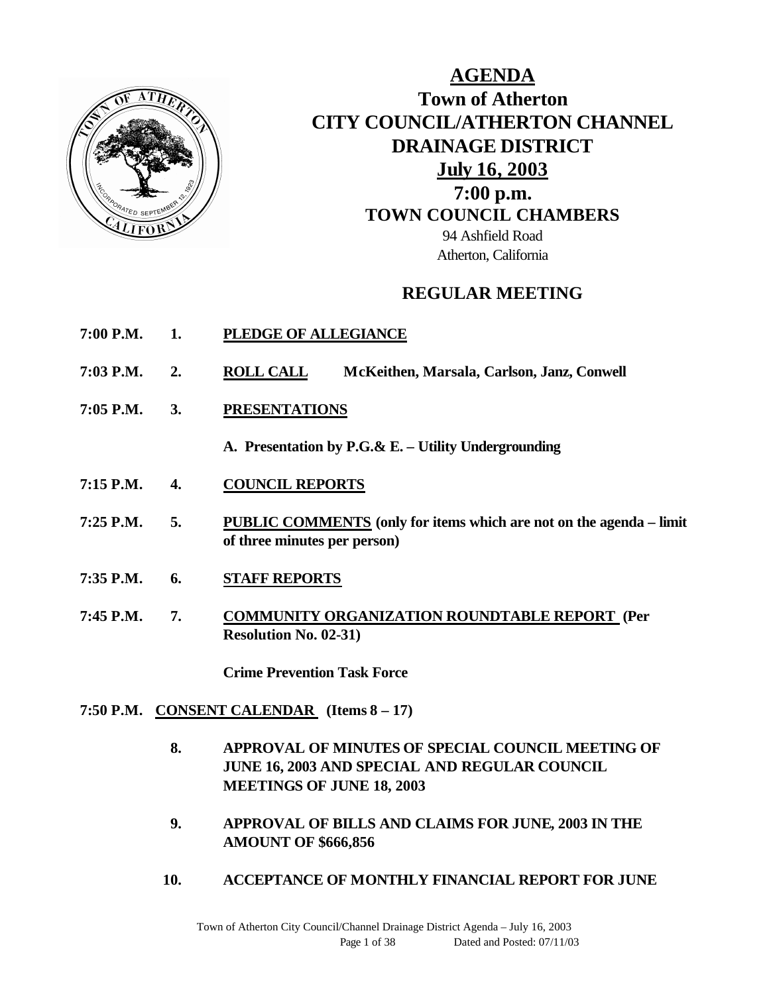

**AGENDA Town of Atherton CITY COUNCIL/ATHERTON CHANNEL DRAINAGE DISTRICT July 16, 2003 7:00 p.m. TOWN COUNCIL CHAMBERS** 94 Ashfield Road Atherton, California

# **REGULAR MEETING**

- **7:00 P.M. 1. PLEDGE OF ALLEGIANCE**
- **7:03 P.M. 2. ROLL CALL McKeithen, Marsala, Carlson, Janz, Conwell**
- **7:05 P.M. 3. PRESENTATIONS**

**A. Presentation by P.G.& E. – Utility Undergrounding**

- **7:15 P.M. 4. COUNCIL REPORTS**
- **7:25 P.M. 5. PUBLIC COMMENTS (only for items which are not on the agenda – limit of three minutes per person)**
- **7:35 P.M. 6. STAFF REPORTS**
- **7:45 P.M. 7. COMMUNITY ORGANIZATION ROUNDTABLE REPORT (Per Resolution No. 02-31)**

**Crime Prevention Task Force**

- **7:50 P.M. CONSENT CALENDAR (Items 8 – 17)**
	- **8. APPROVAL OF MINUTES OF SPECIAL COUNCIL MEETING OF JUNE 16, 2003 AND SPECIAL AND REGULAR COUNCIL MEETINGS OF JUNE 18, 2003**
	- **9. APPROVAL OF BILLS AND CLAIMS FOR JUNE, 2003 IN THE AMOUNT OF \$666,856**
	- **10. ACCEPTANCE OF MONTHLY FINANCIAL REPORT FOR JUNE**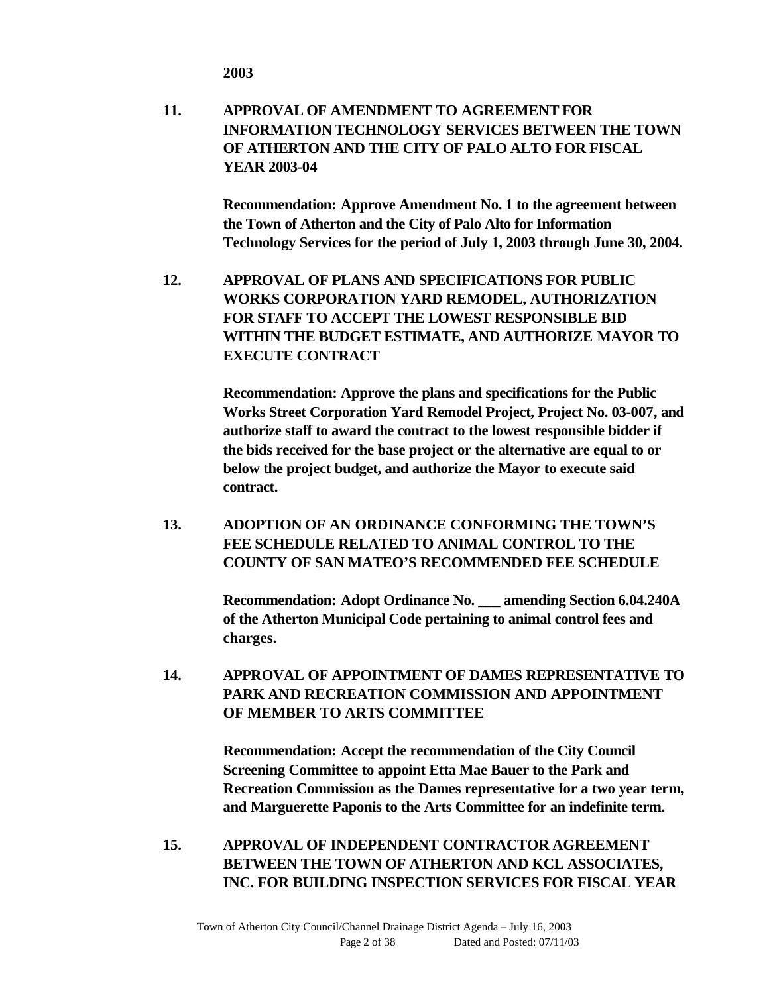**2003**

**11. APPROVAL OF AMENDMENT TO AGREEMENT FOR INFORMATION TECHNOLOGY SERVICES BETWEEN THE TOWN OF ATHERTON AND THE CITY OF PALO ALTO FOR FISCAL YEAR 2003-04**

> **Recommendation: Approve Amendment No. 1 to the agreement between the Town of Atherton and the City of Palo Alto for Information Technology Services for the period of July 1, 2003 through June 30, 2004.**

**12. APPROVAL OF PLANS AND SPECIFICATIONS FOR PUBLIC WORKS CORPORATION YARD REMODEL, AUTHORIZATION FOR STAFF TO ACCEPT THE LOWEST RESPONSIBLE BID WITHIN THE BUDGET ESTIMATE, AND AUTHORIZE MAYOR TO EXECUTE CONTRACT**

> **Recommendation: Approve the plans and specifications for the Public Works Street Corporation Yard Remodel Project, Project No. 03-007, and authorize staff to award the contract to the lowest responsible bidder if the bids received for the base project or the alternative are equal to or below the project budget, and authorize the Mayor to execute said contract.**

**13. ADOPTION OF AN ORDINANCE CONFORMING THE TOWN'S FEE SCHEDULE RELATED TO ANIMAL CONTROL TO THE COUNTY OF SAN MATEO'S RECOMMENDED FEE SCHEDULE**

> **Recommendation: Adopt Ordinance No. \_\_\_ amending Section 6.04.240A of the Atherton Municipal Code pertaining to animal control fees and charges.**

**14. APPROVAL OF APPOINTMENT OF DAMES REPRESENTATIVE TO PARK AND RECREATION COMMISSION AND APPOINTMENT OF MEMBER TO ARTS COMMITTEE**

> **Recommendation: Accept the recommendation of the City Council Screening Committee to appoint Etta Mae Bauer to the Park and Recreation Commission as the Dames representative for a two year term, and Marguerette Paponis to the Arts Committee for an indefinite term.**

**15. APPROVAL OF INDEPENDENT CONTRACTOR AGREEMENT BETWEEN THE TOWN OF ATHERTON AND KCL ASSOCIATES, INC. FOR BUILDING INSPECTION SERVICES FOR FISCAL YEAR**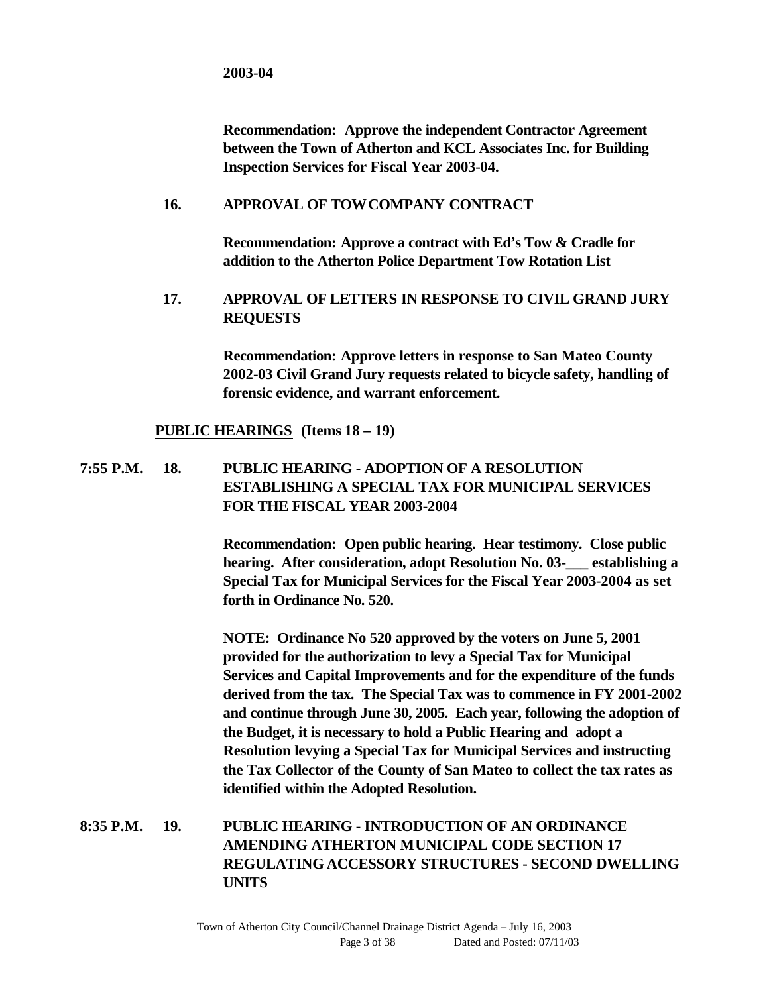**Recommendation: Approve the independent Contractor Agreement between the Town of Atherton and KCL Associates Inc. for Building Inspection Services for Fiscal Year 2003-04.**

#### **16. APPROVAL OF TOW COMPANY CONTRACT**

**Recommendation: Approve a contract with Ed's Tow & Cradle for addition to the Atherton Police Department Tow Rotation List**

### **17. APPROVAL OF LETTERS IN RESPONSE TO CIVIL GRAND JURY REQUESTS**

**Recommendation: Approve letters in response to San Mateo County 2002-03 Civil Grand Jury requests related to bicycle safety, handling of forensic evidence, and warrant enforcement.**

#### **PUBLIC HEARINGS (Items 18 – 19)**

### **7:55 P.M. 18. PUBLIC HEARING - ADOPTION OF A RESOLUTION ESTABLISHING A SPECIAL TAX FOR MUNICIPAL SERVICES FOR THE FISCAL YEAR 2003-2004**

**Recommendation: Open public hearing. Hear testimony. Close public hearing. After consideration, adopt Resolution No. 03-\_\_\_ establishing a Special Tax for Municipal Services for the Fiscal Year 2003-2004 as set forth in Ordinance No. 520.**

**NOTE: Ordinance No 520 approved by the voters on June 5, 2001 provided for the authorization to levy a Special Tax for Municipal Services and Capital Improvements and for the expenditure of the funds derived from the tax. The Special Tax was to commence in FY 2001-2002 and continue through June 30, 2005. Each year, following the adoption of the Budget, it is necessary to hold a Public Hearing and adopt a Resolution levying a Special Tax for Municipal Services and instructing the Tax Collector of the County of San Mateo to collect the tax rates as identified within the Adopted Resolution.**

### **8:35 P.M. 19. PUBLIC HEARING - INTRODUCTION OF AN ORDINANCE AMENDING ATHERTON MUNICIPAL CODE SECTION 17 REGULATING ACCESSORY STRUCTURES - SECOND DWELLING UNITS**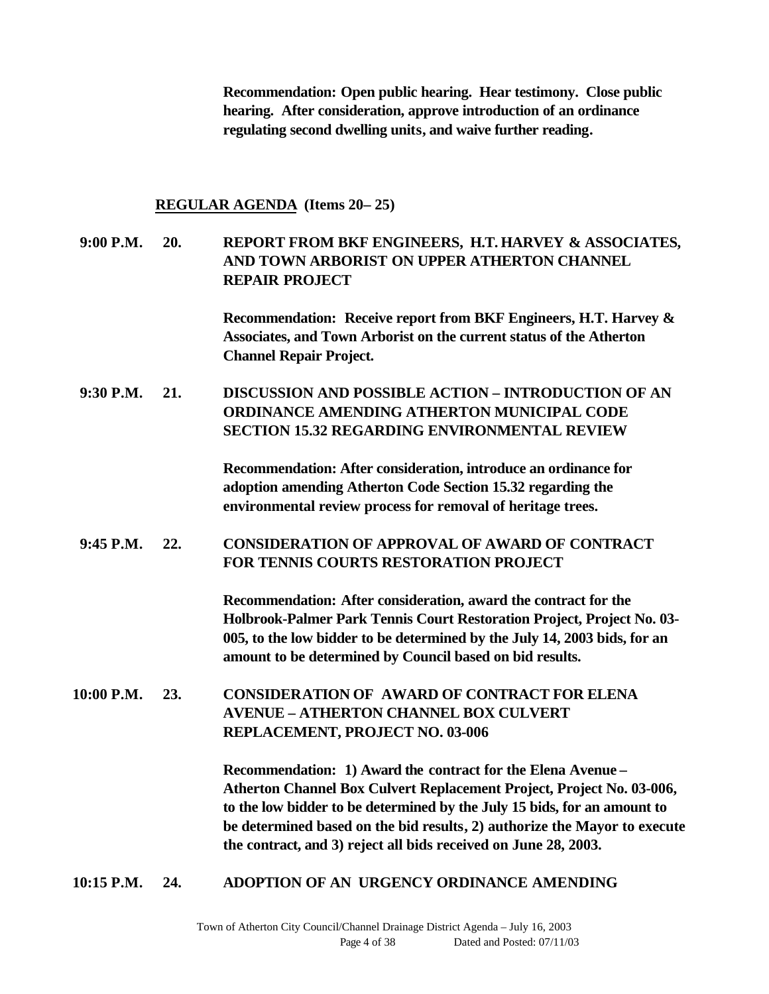**Recommendation: Open public hearing. Hear testimony. Close public hearing. After consideration, approve introduction of an ordinance regulating second dwelling units, and waive further reading.**

#### **REGULAR AGENDA (Items 20– 25)**

### **9:00 P.M. 20. REPORT FROM BKF ENGINEERS, H.T. HARVEY & ASSOCIATES, AND TOWN ARBORIST ON UPPER ATHERTON CHANNEL REPAIR PROJECT**

**Recommendation: Receive report from BKF Engineers, H.T. Harvey & Associates, and Town Arborist on the current status of the Atherton Channel Repair Project.**

**9:30 P.M. 21. DISCUSSION AND POSSIBLE ACTION – INTRODUCTION OF AN ORDINANCE AMENDING ATHERTON MUNICIPAL CODE SECTION 15.32 REGARDING ENVIRONMENTAL REVIEW**

> **Recommendation: After consideration, introduce an ordinance for adoption amending Atherton Code Section 15.32 regarding the environmental review process for removal of heritage trees.**

#### **9:45 P.M. 22. CONSIDERATION OF APPROVAL OF AWARD OF CONTRACT FOR TENNIS COURTS RESTORATION PROJECT**

**Recommendation: After consideration, award the contract for the Holbrook-Palmer Park Tennis Court Restoration Project, Project No. 03- 005, to the low bidder to be determined by the July 14, 2003 bids, for an amount to be determined by Council based on bid results.**

**10:00 P.M. 23. CONSIDERATION OF AWARD OF CONTRACT FOR ELENA AVENUE – ATHERTON CHANNEL BOX CULVERT REPLACEMENT, PROJECT NO. 03-006**

> **Recommendation: 1) Award the contract for the Elena Avenue – Atherton Channel Box Culvert Replacement Project, Project No. 03-006, to the low bidder to be determined by the July 15 bids, for an amount to be determined based on the bid results, 2) authorize the Mayor to execute the contract, and 3) reject all bids received on June 28, 2003.**

**10:15 P.M. 24. ADOPTION OF AN URGENCY ORDINANCE AMENDING**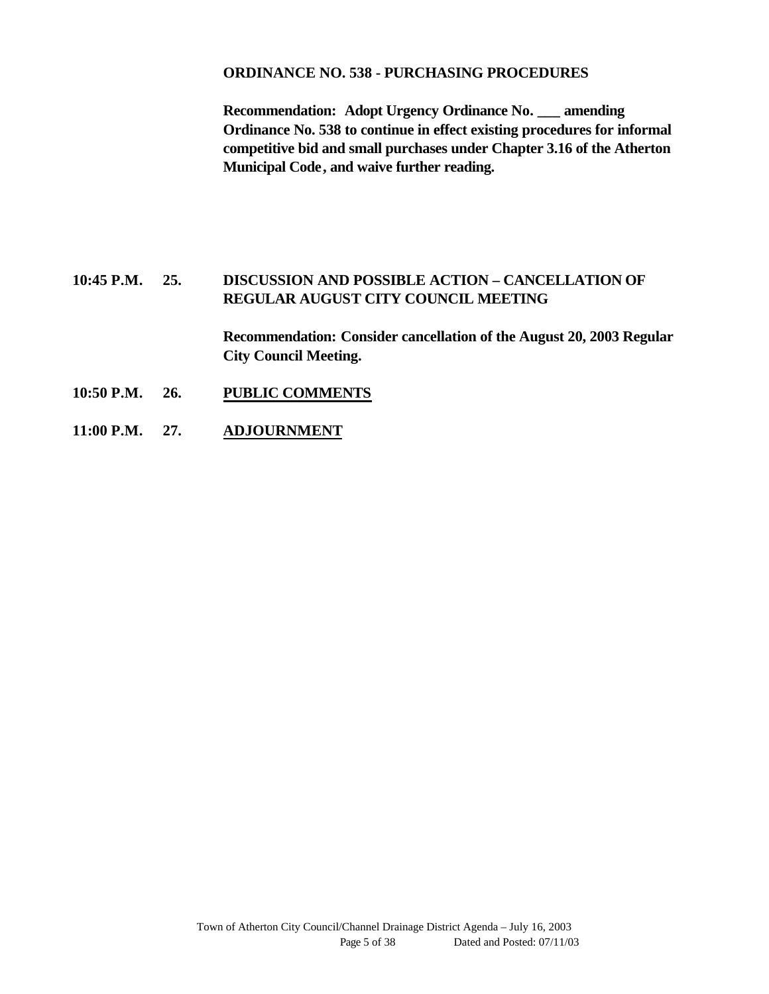#### **ORDINANCE NO. 538 - PURCHASING PROCEDURES**

**Recommendation: Adopt Urgency Ordinance No. \_\_\_ amending Ordinance No. 538 to continue in effect existing procedures for informal competitive bid and small purchases under Chapter 3.16 of the Atherton Municipal Code, and waive further reading.**

### **10:45 P.M. 25. DISCUSSION AND POSSIBLE ACTION – CANCELLATION OF REGULAR AUGUST CITY COUNCIL MEETING**

**Recommendation: Consider cancellation of the August 20, 2003 Regular City Council Meeting.**

- **10:50 P.M. 26. PUBLIC COMMENTS**
- **11:00 P.M. 27. ADJOURNMENT**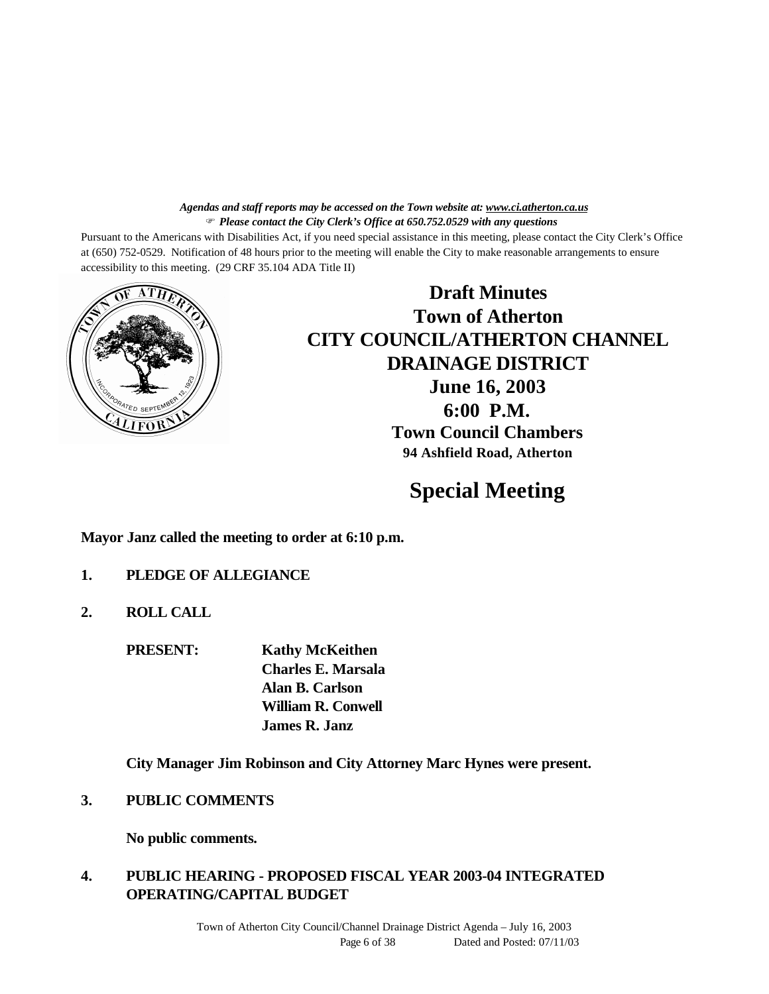#### *Agendas and staff reports may be accessed on the Town website at: www.ci.atherton.ca.us* F *Please contact the City Clerk's Office at 650.752.0529 with any questions*

Pursuant to the Americans with Disabilities Act, if you need special assistance in this meeting, please contact the City Clerk's Office at (650) 752-0529. Notification of 48 hours prior to the meeting will enable the City to make reasonable arrangements to ensure accessibility to this meeting. (29 CRF 35.104 ADA Title II)



**Draft Minutes Town of Atherton CITY COUNCIL/ATHERTON CHANNEL DRAINAGE DISTRICT June 16, 2003 6:00 P.M. Town Council Chambers 94 Ashfield Road, Atherton**

# **Special Meeting**

**Mayor Janz called the meeting to order at 6:10 p.m.**

- **1. PLEDGE OF ALLEGIANCE**
- **2. ROLL CALL**

**PRESENT: Kathy McKeithen**

**Charles E. Marsala Alan B. Carlson William R. Conwell James R. Janz**

**City Manager Jim Robinson and City Attorney Marc Hynes were present.**

**3. PUBLIC COMMENTS**

**No public comments.**

### **4. PUBLIC HEARING - PROPOSED FISCAL YEAR 2003-04 INTEGRATED OPERATING/CAPITAL BUDGET**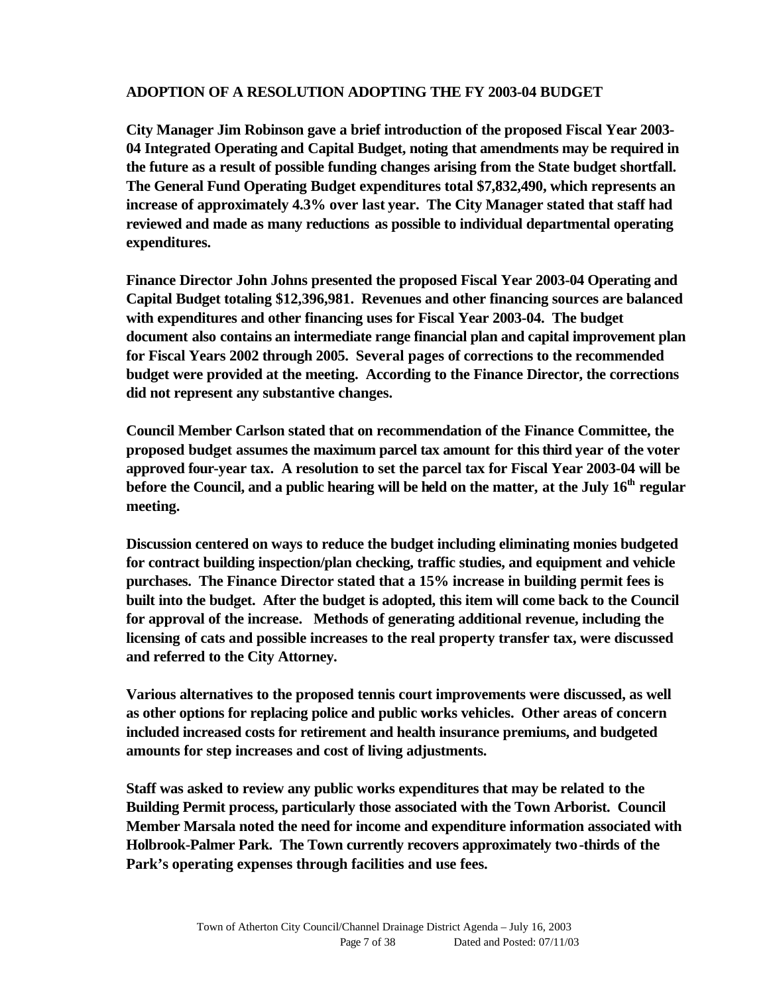### **ADOPTION OF A RESOLUTION ADOPTING THE FY 2003-04 BUDGET**

**City Manager Jim Robinson gave a brief introduction of the proposed Fiscal Year 2003- 04 Integrated Operating and Capital Budget, noting that amendments may be required in the future as a result of possible funding changes arising from the State budget shortfall. The General Fund Operating Budget expenditures total \$7,832,490, which represents an increase of approximately 4.3% over last year. The City Manager stated that staff had reviewed and made as many reductions as possible to individual departmental operating expenditures.** 

**Finance Director John Johns presented the proposed Fiscal Year 2003-04 Operating and Capital Budget totaling \$12,396,981. Revenues and other financing sources are balanced with expenditures and other financing uses for Fiscal Year 2003-04. The budget document also contains an intermediate range financial plan and capital improvement plan for Fiscal Years 2002 through 2005. Several pages of corrections to the recommended budget were provided at the meeting. According to the Finance Director, the corrections did not represent any substantive changes.** 

**Council Member Carlson stated that on recommendation of the Finance Committee, the proposed budget assumes the maximum parcel tax amount for this third year of the voter approved four-year tax. A resolution to set the parcel tax for Fiscal Year 2003-04 will be before the Council, and a public hearing will be held on the matter, at the July 16th regular meeting.** 

**Discussion centered on ways to reduce the budget including eliminating monies budgeted for contract building inspection/plan checking, traffic studies, and equipment and vehicle purchases. The Finance Director stated that a 15% increase in building permit fees is built into the budget. After the budget is adopted, this item will come back to the Council for approval of the increase. Methods of generating additional revenue, including the licensing of cats and possible increases to the real property transfer tax, were discussed and referred to the City Attorney.** 

**Various alternatives to the proposed tennis court improvements were discussed, as well as other options for replacing police and public works vehicles. Other areas of concern included increased costs for retirement and health insurance premiums, and budgeted amounts for step increases and cost of living adjustments.**

**Staff was asked to review any public works expenditures that may be related to the Building Permit process, particularly those associated with the Town Arborist. Council Member Marsala noted the need for income and expenditure information associated with Holbrook-Palmer Park. The Town currently recovers approximately two-thirds of the Park's operating expenses through facilities and use fees.**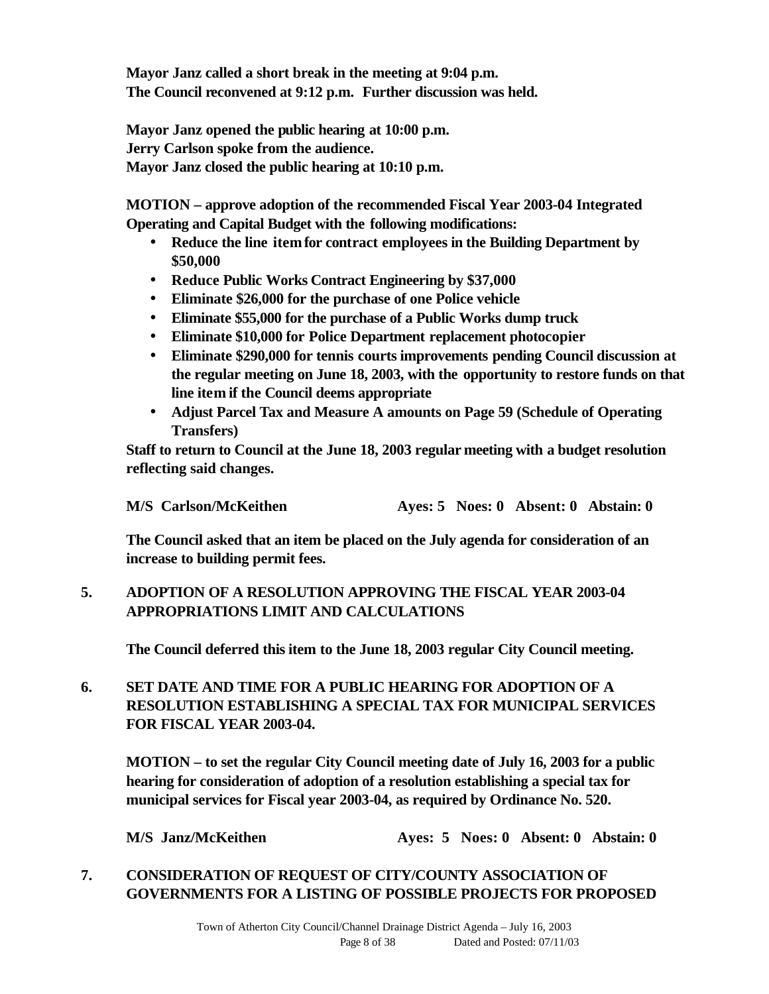**Mayor Janz called a short break in the meeting at 9:04 p.m. The Council reconvened at 9:12 p.m. Further discussion was held.**

**Mayor Janz opened the public hearing at 10:00 p.m. Jerry Carlson spoke from the audience. Mayor Janz closed the public hearing at 10:10 p.m.**

**MOTION – approve adoption of the recommended Fiscal Year 2003-04 Integrated Operating and Capital Budget with the following modifications:** 

- **Reduce the line item for contract employees in the Building Department by \$50,000**
- **Reduce Public Works Contract Engineering by \$37,000**
- **Eliminate \$26,000 for the purchase of one Police vehicle**
- **Eliminate \$55,000 for the purchase of a Public Works dump truck**
- **Eliminate \$10,000 for Police Department replacement photocopier**
- **Eliminate \$290,000 for tennis courts improvements pending Council discussion at the regular meeting on June 18, 2003, with the opportunity to restore funds on that line item if the Council deems appropriate**
- **Adjust Parcel Tax and Measure A amounts on Page 59 (Schedule of Operating Transfers)**

**Staff to return to Council at the June 18, 2003 regular meeting with a budget resolution reflecting said changes.**

**M/S Carlson/McKeithen Ayes: 5 Noes: 0 Absent: 0 Abstain: 0**

**The Council asked that an item be placed on the July agenda for consideration of an increase to building permit fees.** 

# **5. ADOPTION OF A RESOLUTION APPROVING THE FISCAL YEAR 2003-04 APPROPRIATIONS LIMIT AND CALCULATIONS**

**The Council deferred this item to the June 18, 2003 regular City Council meeting.**

# **6. SET DATE AND TIME FOR A PUBLIC HEARING FOR ADOPTION OF A RESOLUTION ESTABLISHING A SPECIAL TAX FOR MUNICIPAL SERVICES FOR FISCAL YEAR 2003-04.**

**MOTION – to set the regular City Council meeting date of July 16, 2003 for a public hearing for consideration of adoption of a resolution establishing a special tax for municipal services for Fiscal year 2003-04, as required by Ordinance No. 520.**

**M/S Janz/McKeithen Ayes: 5 Noes: 0 Absent: 0 Abstain: 0**

### **7. CONSIDERATION OF REQUEST OF CITY/COUNTY ASSOCIATION OF GOVERNMENTS FOR A LISTING OF POSSIBLE PROJECTS FOR PROPOSED**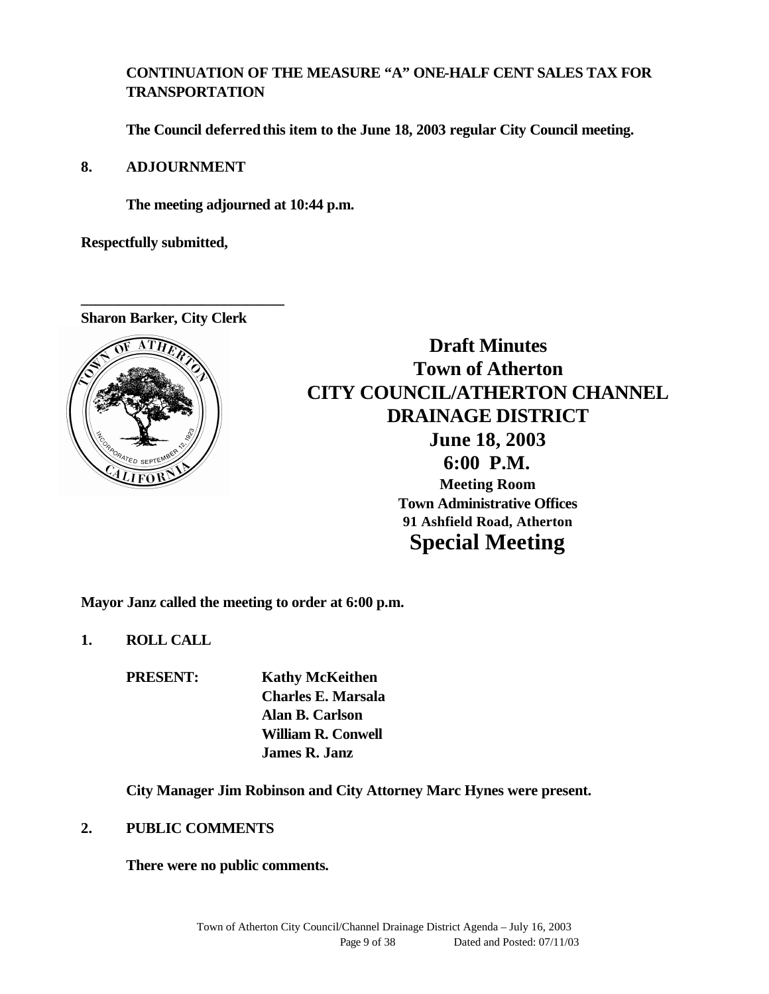# **CONTINUATION OF THE MEASURE "A" ONE-HALF CENT SALES TAX FOR TRANSPORTATION**

**The Council deferred this item to the June 18, 2003 regular City Council meeting.**

### **8. ADJOURNMENT**

**The meeting adjourned at 10:44 p.m.**

**Respectfully submitted,**

**Sharon Barker, City Clerk**

**\_\_\_\_\_\_\_\_\_\_\_\_\_\_\_\_\_\_\_\_\_\_\_\_\_\_\_**



**Draft Minutes Town of Atherton CITY COUNCIL/ATHERTON CHANNEL DRAINAGE DISTRICT June 18, 2003 6:00 P.M. Meeting Room Town Administrative Offices 91 Ashfield Road, Atherton Special Meeting**

**Mayor Janz called the meeting to order at 6:00 p.m.**

**1. ROLL CALL**

**PRESENT: Kathy McKeithen Charles E. Marsala Alan B. Carlson William R. Conwell James R. Janz**

**City Manager Jim Robinson and City Attorney Marc Hynes were present.**

### **2. PUBLIC COMMENTS**

**There were no public comments.**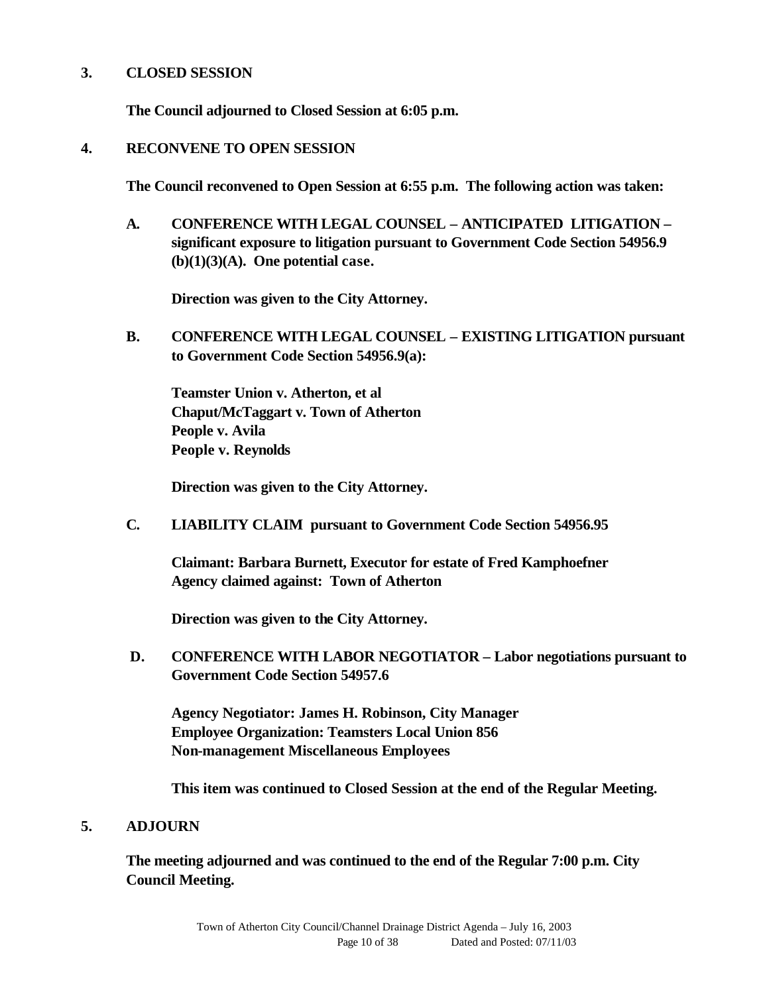### **3. CLOSED SESSION**

**The Council adjourned to Closed Session at 6:05 p.m.**

### **4. RECONVENE TO OPEN SESSION**

**The Council reconvened to Open Session at 6:55 p.m. The following action was taken:**

**A. CONFERENCE WITH LEGAL COUNSEL – ANTICIPATED LITIGATION – significant exposure to litigation pursuant to Government Code Section 54956.9 (b)(1)(3)(A). One potential case.**

**Direction was given to the City Attorney.**

**B. CONFERENCE WITH LEGAL COUNSEL – EXISTING LITIGATION pursuant to Government Code Section 54956.9(a):**

**Teamster Union v. Atherton, et al Chaput/McTaggart v. Town of Atherton People v. Avila People v. Reynolds**

**Direction was given to the City Attorney.**

**C. LIABILITY CLAIM pursuant to Government Code Section 54956.95**

**Claimant: Barbara Burnett, Executor for estate of Fred Kamphoefner Agency claimed against: Town of Atherton**

**Direction was given to the City Attorney.**

 **D. CONFERENCE WITH LABOR NEGOTIATOR – Labor negotiations pursuant to Government Code Section 54957.6**

**Agency Negotiator: James H. Robinson, City Manager Employee Organization: Teamsters Local Union 856 Non-management Miscellaneous Employees**

**This item was continued to Closed Session at the end of the Regular Meeting.**

#### **5. ADJOURN**

**The meeting adjourned and was continued to the end of the Regular 7:00 p.m. City Council Meeting.**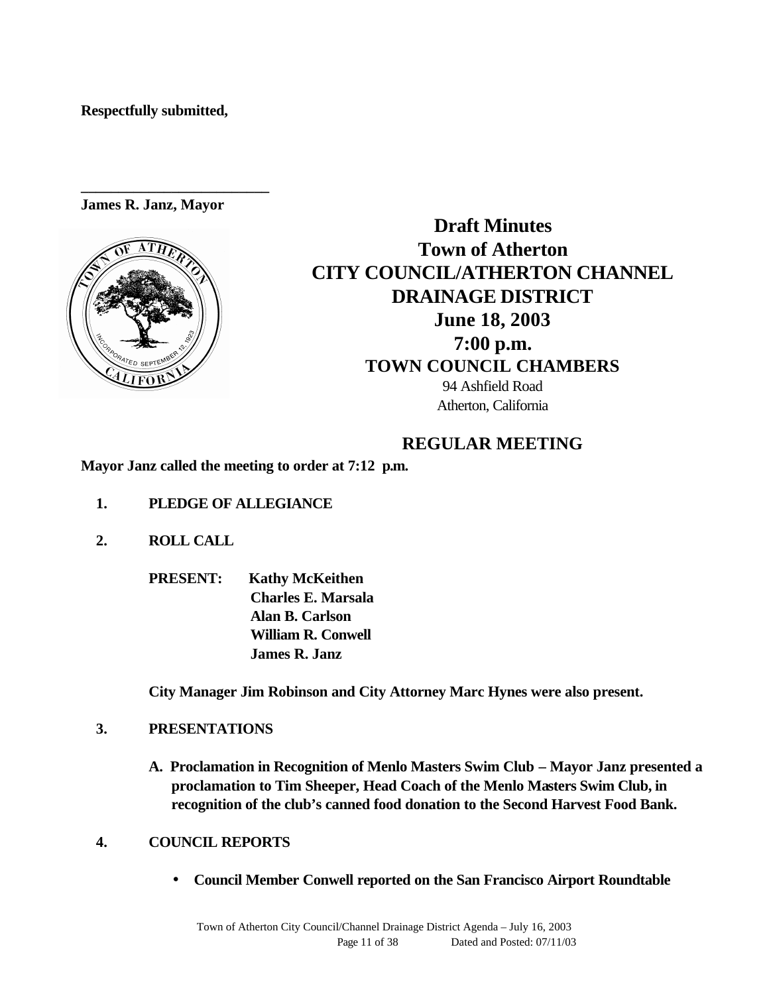**Respectfully submitted,**

**James R. Janz, Mayor**

**\_\_\_\_\_\_\_\_\_\_\_\_\_\_\_\_\_\_\_\_\_\_\_\_\_**



**Draft Minutes Town of Atherton CITY COUNCIL/ATHERTON CHANNEL DRAINAGE DISTRICT June 18, 2003 7:00 p.m. TOWN COUNCIL CHAMBERS** 94 Ashfield Road Atherton, California

# **REGULAR MEETING**

**Mayor Janz called the meeting to order at 7:12 p.m.**

- **1. PLEDGE OF ALLEGIANCE**
- **2. ROLL CALL** 
	- **PRESENT: Kathy McKeithen Charles E. Marsala Alan B. Carlson William R. Conwell James R. Janz**

**City Manager Jim Robinson and City Attorney Marc Hynes were also present.**

- **3. PRESENTATIONS**
	- **A. Proclamation in Recognition of Menlo Masters Swim Club Mayor Janz presented a proclamation to Tim Sheeper, Head Coach of the Menlo Masters Swim Club, in recognition of the club's canned food donation to the Second Harvest Food Bank.**
- **4. COUNCIL REPORTS**
	- **Council Member Conwell reported on the San Francisco Airport Roundtable**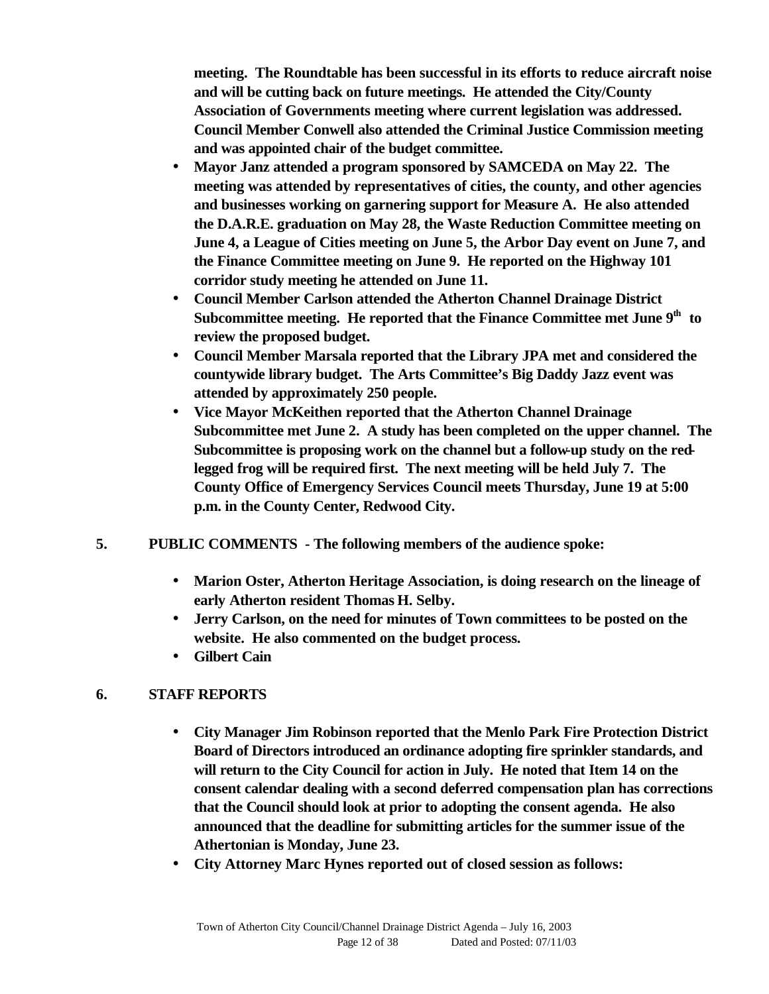**meeting. The Roundtable has been successful in its efforts to reduce aircraft noise and will be cutting back on future meetings. He attended the City/County Association of Governments meeting where current legislation was addressed. Council Member Conwell also attended the Criminal Justice Commission meeting and was appointed chair of the budget committee.**

- **Mayor Janz attended a program sponsored by SAMCEDA on May 22. The meeting was attended by representatives of cities, the county, and other agencies and businesses working on garnering support for Measure A. He also attended the D.A.R.E. graduation on May 28, the Waste Reduction Committee meeting on June 4, a League of Cities meeting on June 5, the Arbor Day event on June 7, and the Finance Committee meeting on June 9. He reported on the Highway 101 corridor study meeting he attended on June 11.**
- **Council Member Carlson attended the Atherton Channel Drainage District Subcommittee meeting. He reported that the Finance Committee met June 9th to review the proposed budget.**
- **Council Member Marsala reported that the Library JPA met and considered the countywide library budget. The Arts Committee's Big Daddy Jazz event was attended by approximately 250 people.**
- **Vice Mayor McKeithen reported that the Atherton Channel Drainage Subcommittee met June 2. A study has been completed on the upper channel. The Subcommittee is proposing work on the channel but a follow-up study on the redlegged frog will be required first. The next meeting will be held July 7. The County Office of Emergency Services Council meets Thursday, June 19 at 5:00 p.m. in the County Center, Redwood City.**
- **5. PUBLIC COMMENTS The following members of the audience spoke:**
	- **Marion Oster, Atherton Heritage Association, is doing research on the lineage of early Atherton resident Thomas H. Selby.**
	- **Jerry Carlson, on the need for minutes of Town committees to be posted on the website. He also commented on the budget process.**
	- **Gilbert Cain**

# **6. STAFF REPORTS**

- **City Manager Jim Robinson reported that the Menlo Park Fire Protection District Board of Directors introduced an ordinance adopting fire sprinkler standards, and will return to the City Council for action in July. He noted that Item 14 on the consent calendar dealing with a second deferred compensation plan has corrections that the Council should look at prior to adopting the consent agenda. He also announced that the deadline for submitting articles for the summer issue of the Athertonian is Monday, June 23.**
- **City Attorney Marc Hynes reported out of closed session as follows:**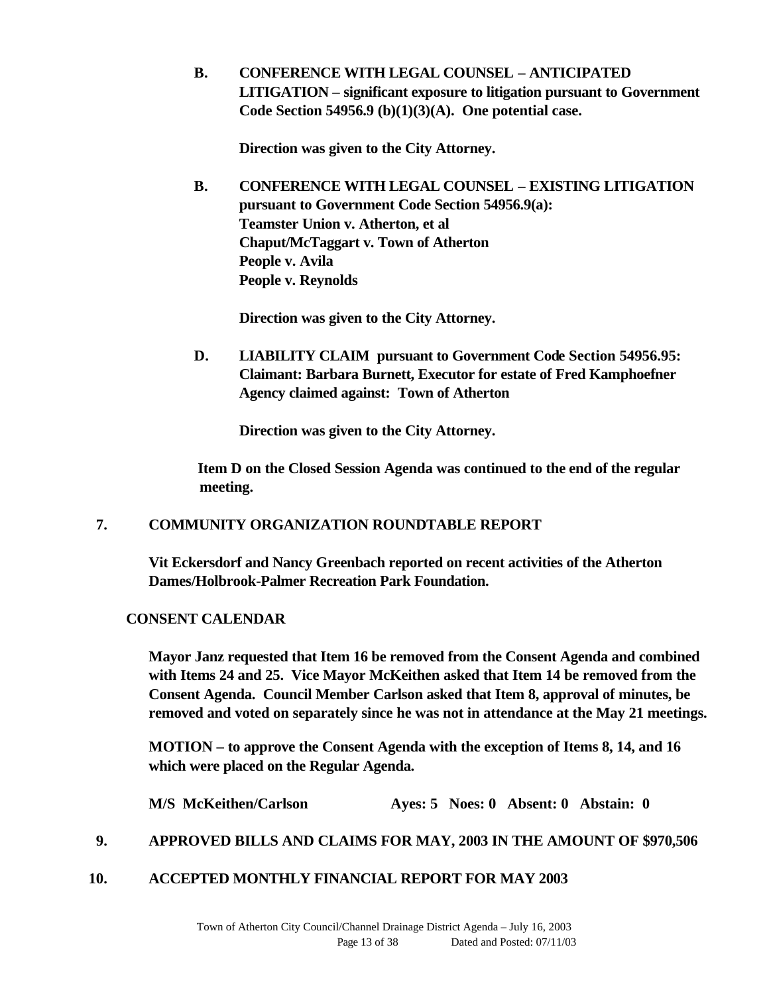**B. CONFERENCE WITH LEGAL COUNSEL – ANTICIPATED LITIGATION – significant exposure to litigation pursuant to Government Code Section 54956.9 (b)(1)(3)(A). One potential case.**

**Direction was given to the City Attorney.**

**B. CONFERENCE WITH LEGAL COUNSEL – EXISTING LITIGATION pursuant to Government Code Section 54956.9(a): Teamster Union v. Atherton, et al Chaput/McTaggart v. Town of Atherton People v. Avila People v. Reynolds**

**Direction was given to the City Attorney.**

**D. LIABILITY CLAIM pursuant to Government Code Section 54956.95: Claimant: Barbara Burnett, Executor for estate of Fred Kamphoefner Agency claimed against: Town of Atherton**

**Direction was given to the City Attorney.**

 **Item D on the Closed Session Agenda was continued to the end of the regular meeting.**

### **7. COMMUNITY ORGANIZATION ROUNDTABLE REPORT**

**Vit Eckersdorf and Nancy Greenbach reported on recent activities of the Atherton Dames/Holbrook-Palmer Recreation Park Foundation.**

### **CONSENT CALENDAR**

 **Mayor Janz requested that Item 16 be removed from the Consent Agenda and combined with Items 24 and 25. Vice Mayor McKeithen asked that Item 14 be removed from the Consent Agenda. Council Member Carlson asked that Item 8, approval of minutes, be removed and voted on separately since he was not in attendance at the May 21 meetings.**

 **MOTION – to approve the Consent Agenda with the exception of Items 8, 14, and 16 which were placed on the Regular Agenda.**

**M/S McKeithen/Carlson Ayes: 5 Noes: 0 Absent: 0 Abstain: 0**

### **9. APPROVED BILLS AND CLAIMS FOR MAY, 2003 IN THE AMOUNT OF \$970,506**

**10. ACCEPTED MONTHLY FINANCIAL REPORT FOR MAY 2003**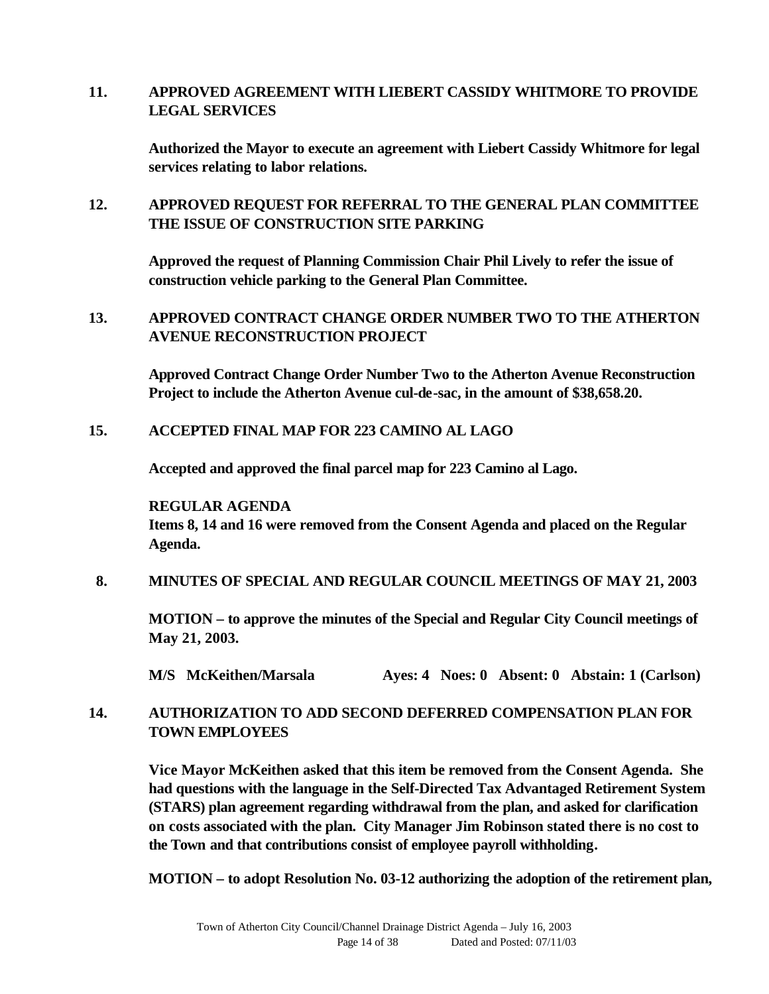### **11. APPROVED AGREEMENT WITH LIEBERT CASSIDY WHITMORE TO PROVIDE LEGAL SERVICES**

**Authorized the Mayor to execute an agreement with Liebert Cassidy Whitmore for legal services relating to labor relations.**

### **12. APPROVED REQUEST FOR REFERRAL TO THE GENERAL PLAN COMMITTEE THE ISSUE OF CONSTRUCTION SITE PARKING**

**Approved the request of Planning Commission Chair Phil Lively to refer the issue of construction vehicle parking to the General Plan Committee.**

### **13. APPROVED CONTRACT CHANGE ORDER NUMBER TWO TO THE ATHERTON AVENUE RECONSTRUCTION PROJECT**

**Approved Contract Change Order Number Two to the Atherton Avenue Reconstruction Project to include the Atherton Avenue cul-de-sac, in the amount of \$38,658.20.**

### **15. ACCEPTED FINAL MAP FOR 223 CAMINO AL LAGO**

**Accepted and approved the final parcel map for 223 Camino al Lago.**

#### **REGULAR AGENDA**

**Items 8, 14 and 16 were removed from the Consent Agenda and placed on the Regular Agenda.** 

#### **8. MINUTES OF SPECIAL AND REGULAR COUNCIL MEETINGS OF MAY 21, 2003**

**MOTION – to approve the minutes of the Special and Regular City Council meetings of May 21, 2003.**

**M/S McKeithen/Marsala Ayes: 4 Noes: 0 Absent: 0 Abstain: 1 (Carlson)**

### **14. AUTHORIZATION TO ADD SECOND DEFERRED COMPENSATION PLAN FOR TOWN EMPLOYEES**

**Vice Mayor McKeithen asked that this item be removed from the Consent Agenda. She had questions with the language in the Self-Directed Tax Advantaged Retirement System (STARS) plan agreement regarding withdrawal from the plan, and asked for clarification on costs associated with the plan. City Manager Jim Robinson stated there is no cost to the Town and that contributions consist of employee payroll withholding.**

**MOTION – to adopt Resolution No. 03-12 authorizing the adoption of the retirement plan,**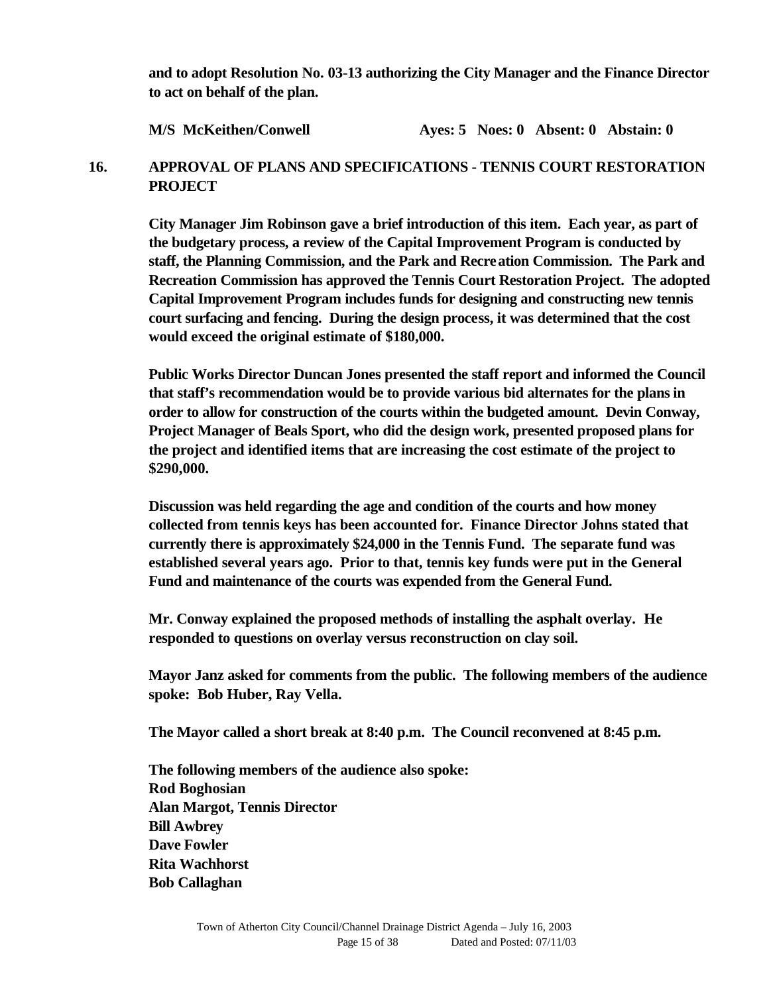**and to adopt Resolution No. 03-13 authorizing the City Manager and the Finance Director to act on behalf of the plan.** 

### **M/S McKeithen/Conwell Ayes: 5 Noes: 0 Absent: 0 Abstain: 0**

### **16. APPROVAL OF PLANS AND SPECIFICATIONS - TENNIS COURT RESTORATION PROJECT**

**City Manager Jim Robinson gave a brief introduction of this item. Each year, as part of the budgetary process, a review of the Capital Improvement Program is conducted by staff, the Planning Commission, and the Park and Recreation Commission. The Park and Recreation Commission has approved the Tennis Court Restoration Project. The adopted Capital Improvement Program includes funds for designing and constructing new tennis court surfacing and fencing. During the design process, it was determined that the cost would exceed the original estimate of \$180,000.** 

**Public Works Director Duncan Jones presented the staff report and informed the Council that staff's recommendation would be to provide various bid alternates for the plans in order to allow for construction of the courts within the budgeted amount. Devin Conway, Project Manager of Beals Sport, who did the design work, presented proposed plans for the project and identified items that are increasing the cost estimate of the project to \$290,000.**

**Discussion was held regarding the age and condition of the courts and how money collected from tennis keys has been accounted for. Finance Director Johns stated that currently there is approximately \$24,000 in the Tennis Fund. The separate fund was established several years ago. Prior to that, tennis key funds were put in the General Fund and maintenance of the courts was expended from the General Fund.** 

**Mr. Conway explained the proposed methods of installing the asphalt overlay. He responded to questions on overlay versus reconstruction on clay soil.**

**Mayor Janz asked for comments from the public. The following members of the audience spoke: Bob Huber, Ray Vella.**

**The Mayor called a short break at 8:40 p.m. The Council reconvened at 8:45 p.m.**

**The following members of the audience also spoke: Rod Boghosian Alan Margot, Tennis Director Bill Awbrey Dave Fowler Rita Wachhorst Bob Callaghan**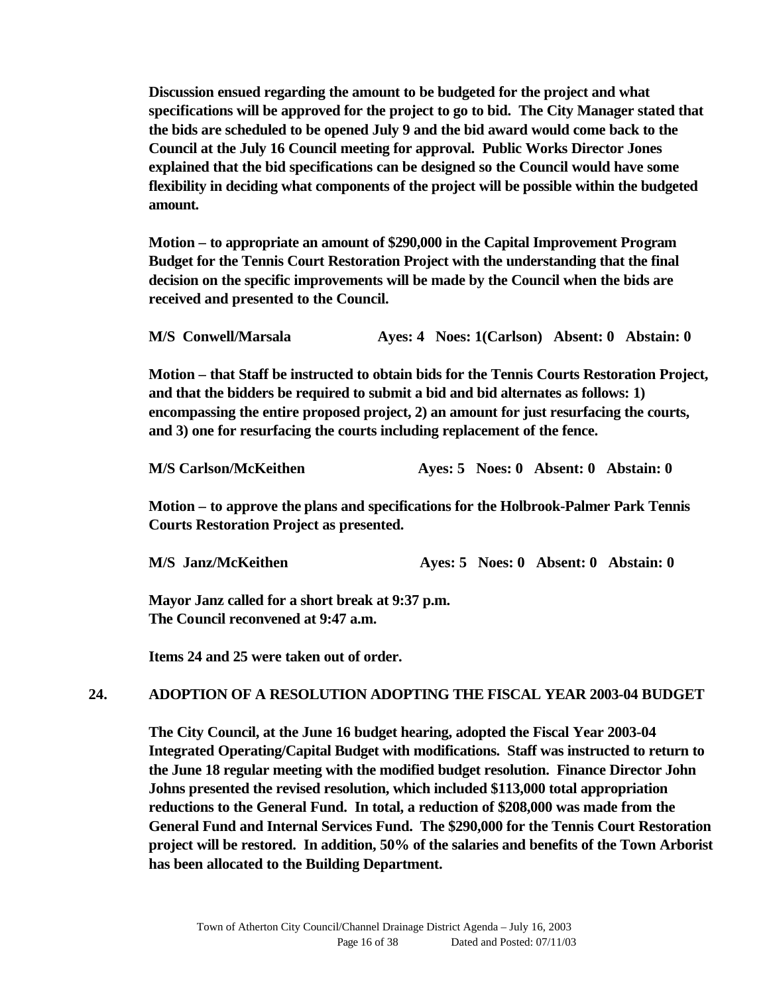**Discussion ensued regarding the amount to be budgeted for the project and what specifications will be approved for the project to go to bid. The City Manager stated that the bids are scheduled to be opened July 9 and the bid award would come back to the Council at the July 16 Council meeting for approval. Public Works Director Jones explained that the bid specifications can be designed so the Council would have some flexibility in deciding what components of the project will be possible within the budgeted amount.**

**Motion – to appropriate an amount of \$290,000 in the Capital Improvement Program Budget for the Tennis Court Restoration Project with the understanding that the final decision on the specific improvements will be made by the Council when the bids are received and presented to the Council.**

**M/S Conwell/Marsala Ayes: 4 Noes: 1(Carlson) Absent: 0 Abstain: 0**

**Motion – that Staff be instructed to obtain bids for the Tennis Courts Restoration Project, and that the bidders be required to submit a bid and bid alternates as follows: 1) encompassing the entire proposed project, 2) an amount for just resurfacing the courts, and 3) one for resurfacing the courts including replacement of the fence.**

| <b>M/S Carlson/McKeithen</b><br>Aves: 5 Noes: 0 Absent: 0 Abstain: 0 |
|----------------------------------------------------------------------|
|----------------------------------------------------------------------|

**Motion – to approve the plans and specifications for the Holbrook-Palmer Park Tennis Courts Restoration Project as presented.**

**M/S Janz/McKeithen Ayes: 5 Noes: 0 Absent: 0 Abstain: 0**

**Mayor Janz called for a short break at 9:37 p.m. The Council reconvened at 9:47 a.m.**

**Items 24 and 25 were taken out of order.**

#### **24. ADOPTION OF A RESOLUTION ADOPTING THE FISCAL YEAR 2003-04 BUDGET**

**The City Council, at the June 16 budget hearing, adopted the Fiscal Year 2003-04 Integrated Operating/Capital Budget with modifications. Staff was instructed to return to the June 18 regular meeting with the modified budget resolution. Finance Director John Johns presented the revised resolution, which included \$113,000 total appropriation reductions to the General Fund. In total, a reduction of \$208,000 was made from the General Fund and Internal Services Fund. The \$290,000 for the Tennis Court Restoration project will be restored. In addition, 50% of the salaries and benefits of the Town Arborist has been allocated to the Building Department.**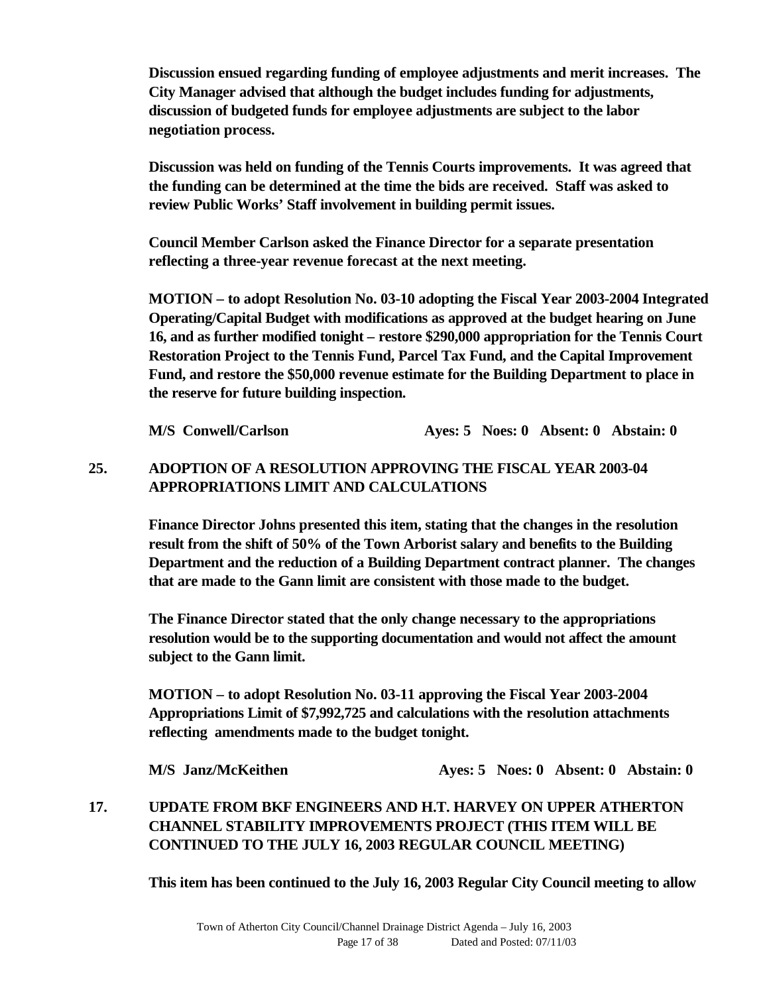**Discussion ensued regarding funding of employee adjustments and merit increases. The City Manager advised that although the budget includes funding for adjustments, discussion of budgeted funds for employee adjustments are subject to the labor negotiation process.**

**Discussion was held on funding of the Tennis Courts improvements. It was agreed that the funding can be determined at the time the bids are received. Staff was asked to review Public Works' Staff involvement in building permit issues.** 

**Council Member Carlson asked the Finance Director for a separate presentation reflecting a three-year revenue forecast at the next meeting.** 

**MOTION – to adopt Resolution No. 03-10 adopting the Fiscal Year 2003-2004 Integrated Operating/Capital Budget with modifications as approved at the budget hearing on June 16, and as further modified tonight – restore \$290,000 appropriation for the Tennis Court Restoration Project to the Tennis Fund, Parcel Tax Fund, and the Capital Improvement Fund, and restore the \$50,000 revenue estimate for the Building Department to place in the reserve for future building inspection.**

**M/S Conwell/Carlson Ayes: 5 Noes: 0 Absent: 0 Abstain: 0**

# **25. ADOPTION OF A RESOLUTION APPROVING THE FISCAL YEAR 2003-04 APPROPRIATIONS LIMIT AND CALCULATIONS**

**Finance Director Johns presented this item, stating that the changes in the resolution result from the shift of 50% of the Town Arborist salary and benefits to the Building Department and the reduction of a Building Department contract planner. The changes that are made to the Gann limit are consistent with those made to the budget.** 

**The Finance Director stated that the only change necessary to the appropriations resolution would be to the supporting documentation and would not affect the amount subject to the Gann limit.** 

**MOTION – to adopt Resolution No. 03-11 approving the Fiscal Year 2003-2004 Appropriations Limit of \$7,992,725 and calculations with the resolution attachments reflecting amendments made to the budget tonight.**

**M/S** Janz/McKeithen **Ayes: 5 Noes: 0 Absent: 0 Abstain: 0** 

**17. UPDATE FROM BKF ENGINEERS AND H.T. HARVEY ON UPPER ATHERTON CHANNEL STABILITY IMPROVEMENTS PROJECT (THIS ITEM WILL BE CONTINUED TO THE JULY 16, 2003 REGULAR COUNCIL MEETING)**

**This item has been continued to the July 16, 2003 Regular City Council meeting to allow**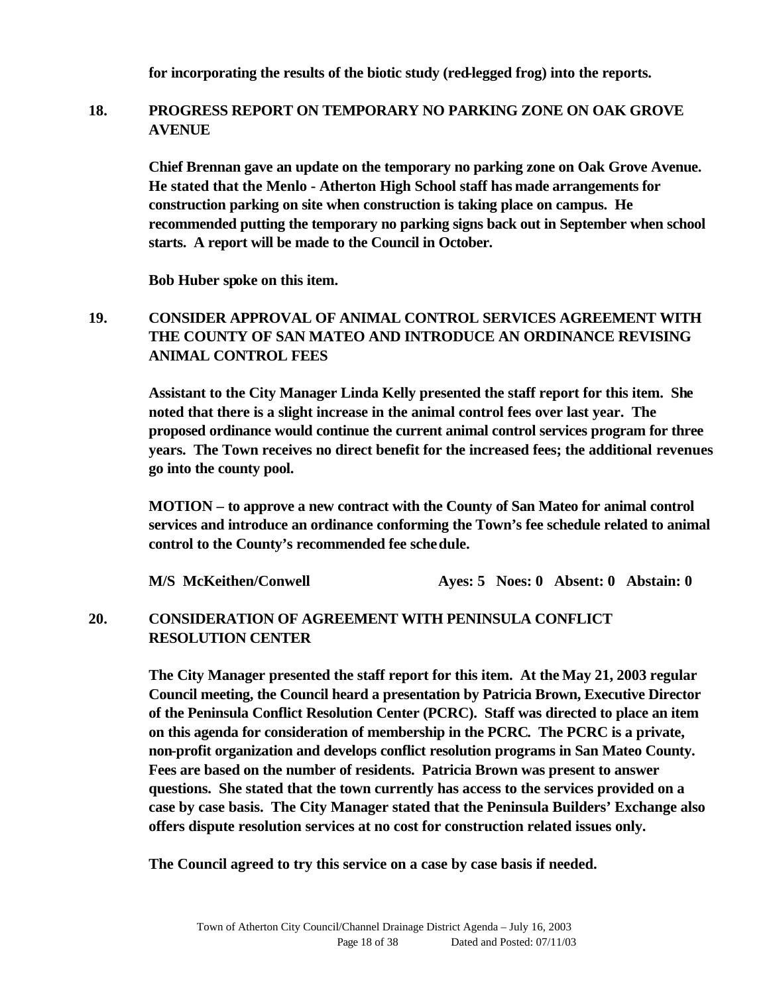**for incorporating the results of the biotic study (red-legged frog) into the reports.**

### **18. PROGRESS REPORT ON TEMPORARY NO PARKING ZONE ON OAK GROVE AVENUE**

**Chief Brennan gave an update on the temporary no parking zone on Oak Grove Avenue. He stated that the Menlo - Atherton High School staff has made arrangements for construction parking on site when construction is taking place on campus. He recommended putting the temporary no parking signs back out in September when school starts. A report will be made to the Council in October.**

**Bob Huber spoke on this item.**

# **19. CONSIDER APPROVAL OF ANIMAL CONTROL SERVICES AGREEMENT WITH THE COUNTY OF SAN MATEO AND INTRODUCE AN ORDINANCE REVISING ANIMAL CONTROL FEES**

**Assistant to the City Manager Linda Kelly presented the staff report for this item. She noted that there is a slight increase in the animal control fees over last year. The proposed ordinance would continue the current animal control services program for three years. The Town receives no direct benefit for the increased fees; the additional revenues go into the county pool.** 

**MOTION – to approve a new contract with the County of San Mateo for animal control services and introduce an ordinance conforming the Town's fee schedule related to animal control to the County's recommended fee schedule.**

**M/S McKeithen/Conwell Ayes: 5 Noes: 0 Absent: 0 Abstain: 0**

### **20. CONSIDERATION OF AGREEMENT WITH PENINSULA CONFLICT RESOLUTION CENTER**

**The City Manager presented the staff report for this item. At the May 21, 2003 regular Council meeting, the Council heard a presentation by Patricia Brown, Executive Director of the Peninsula Conflict Resolution Center (PCRC). Staff was directed to place an item on this agenda for consideration of membership in the PCRC. The PCRC is a private, non-profit organization and develops conflict resolution programs in San Mateo County. Fees are based on the number of residents. Patricia Brown was present to answer questions. She stated that the town currently has access to the services provided on a case by case basis. The City Manager stated that the Peninsula Builders' Exchange also offers dispute resolution services at no cost for construction related issues only.**

**The Council agreed to try this service on a case by case basis if needed.**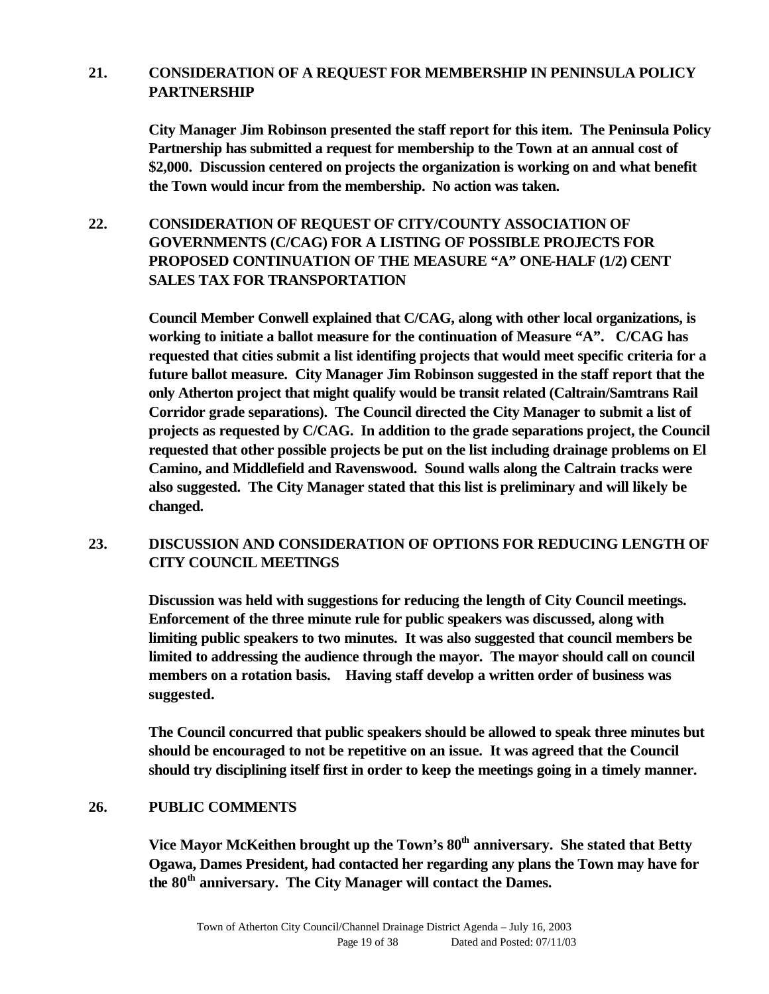### **21. CONSIDERATION OF A REQUEST FOR MEMBERSHIP IN PENINSULA POLICY PARTNERSHIP**

**City Manager Jim Robinson presented the staff report for this item. The Peninsula Policy Partnership has submitted a request for membership to the Town at an annual cost of \$2,000. Discussion centered on projects the organization is working on and what benefit the Town would incur from the membership. No action was taken.** 

 **22. CONSIDERATION OF REQUEST OF CITY/COUNTY ASSOCIATION OF GOVERNMENTS (C/CAG) FOR A LISTING OF POSSIBLE PROJECTS FOR PROPOSED CONTINUATION OF THE MEASURE "A" ONE-HALF (1/2) CENT SALES TAX FOR TRANSPORTATION**

> **Council Member Conwell explained that C/CAG, along with other local organizations, is working to initiate a ballot measure for the continuation of Measure "A". C/CAG has requested that cities submit a list identifing projects that would meet specific criteria for a future ballot measure. City Manager Jim Robinson suggested in the staff report that the only Atherton project that might qualify would be transit related (Caltrain/Samtrans Rail Corridor grade separations). The Council directed the City Manager to submit a list of projects as requested by C/CAG. In addition to the grade separations project, the Council requested that other possible projects be put on the list including drainage problems on El Camino, and Middlefield and Ravenswood. Sound walls along the Caltrain tracks were also suggested. The City Manager stated that this list is preliminary and will likely be changed.**

### **23. DISCUSSION AND CONSIDERATION OF OPTIONS FOR REDUCING LENGTH OF CITY COUNCIL MEETINGS**

**Discussion was held with suggestions for reducing the length of City Council meetings. Enforcement of the three minute rule for public speakers was discussed, along with limiting public speakers to two minutes. It was also suggested that council members be limited to addressing the audience through the mayor. The mayor should call on council members on a rotation basis. Having staff develop a written order of business was suggested.**

**The Council concurred that public speakers should be allowed to speak three minutes but should be encouraged to not be repetitive on an issue. It was agreed that the Council should try disciplining itself first in order to keep the meetings going in a timely manner.** 

#### **26. PUBLIC COMMENTS**

**Vice Mayor McKeithen brought up the Town's 80th anniversary. She stated that Betty Ogawa, Dames President, had contacted her regarding any plans the Town may have for the 80th anniversary. The City Manager will contact the Dames.**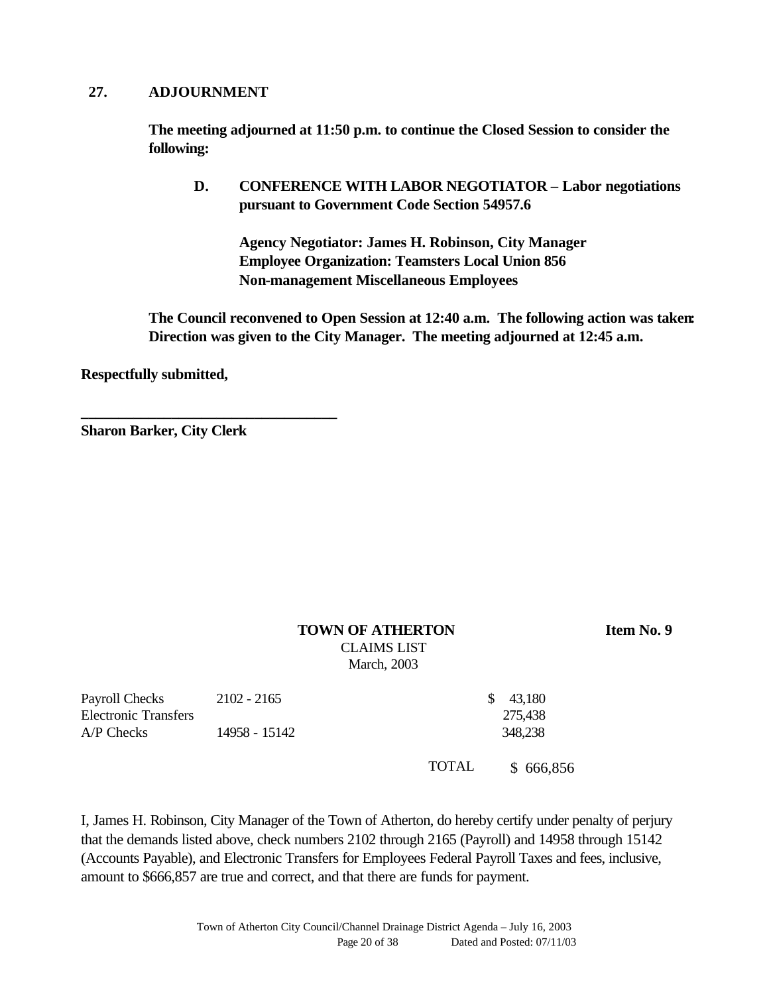#### **27. ADJOURNMENT**

**The meeting adjourned at 11:50 p.m. to continue the Closed Session to consider the following:**

**D. CONFERENCE WITH LABOR NEGOTIATOR – Labor negotiations pursuant to Government Code Section 54957.6**

**Agency Negotiator: James H. Robinson, City Manager Employee Organization: Teamsters Local Union 856 Non-management Miscellaneous Employees**

**The Council reconvened to Open Session at 12:40 a.m. The following action was taken: Direction was given to the City Manager. The meeting adjourned at 12:45 a.m.**

**Respectfully submitted,**

**Sharon Barker, City Clerk**

**\_\_\_\_\_\_\_\_\_\_\_\_\_\_\_\_\_\_\_\_\_\_\_\_\_\_\_\_\_\_\_\_\_\_**

# **TOWN OF ATHERTON Item No. 9** CLAIMS LIST

March, 2003

| Payroll Checks              | 2102 - 2165   | \$ 43.180 |  |
|-----------------------------|---------------|-----------|--|
| <b>Electronic Transfers</b> |               | 275.438   |  |
| $A/P$ Checks                | 14958 - 15142 | 348,238   |  |
|                             |               |           |  |

TOTAL \$ 666,856

I, James H. Robinson, City Manager of the Town of Atherton, do hereby certify under penalty of perjury that the demands listed above, check numbers 2102 through 2165 (Payroll) and 14958 through 15142 (Accounts Payable), and Electronic Transfers for Employees Federal Payroll Taxes and fees, inclusive, amount to \$666,857 are true and correct, and that there are funds for payment.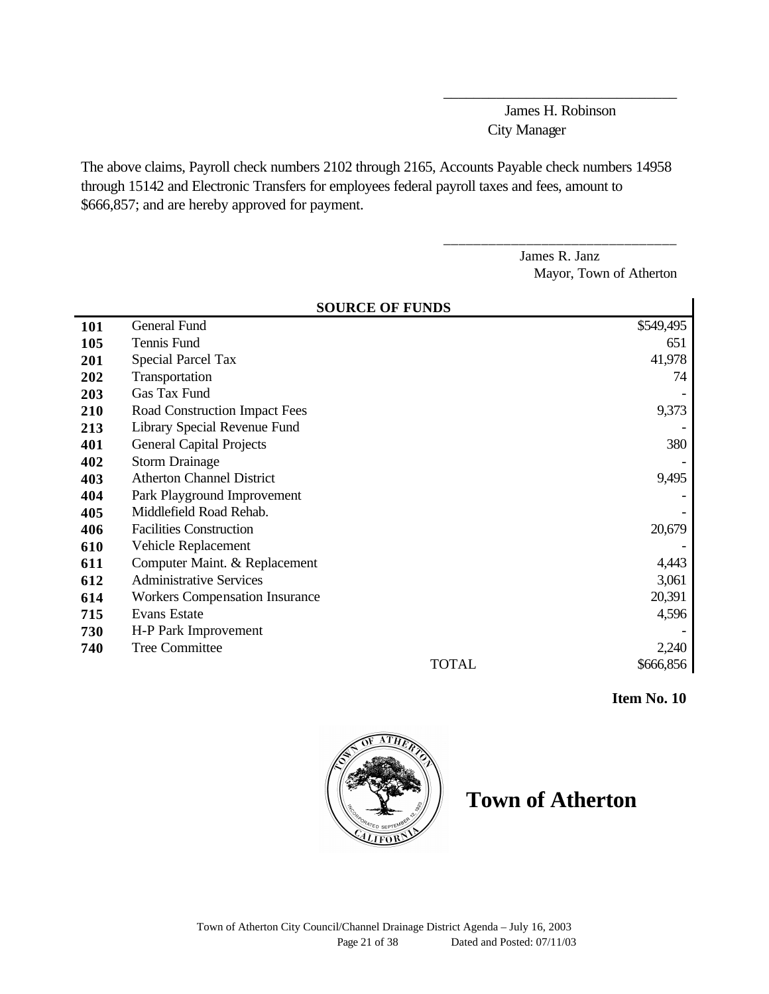James H. Robinson City Manager

\_\_\_\_\_\_\_\_\_\_\_\_\_\_\_\_\_\_\_\_\_\_\_\_\_\_\_\_\_\_\_

\_\_\_\_\_\_\_\_\_\_\_\_\_\_\_\_\_\_\_\_\_\_\_\_\_\_\_\_\_\_\_

The above claims, Payroll check numbers 2102 through 2165, Accounts Payable check numbers 14958 through 15142 and Electronic Transfers for employees federal payroll taxes and fees, amount to \$666,857; and are hereby approved for payment.

> James R. Janz Mayor, Town of Atherton

|            | <b>SOURCE OF FUNDS</b>                |           |  |  |  |
|------------|---------------------------------------|-----------|--|--|--|
| <b>101</b> | General Fund                          | \$549,495 |  |  |  |
| 105        | Tennis Fund                           | 651       |  |  |  |
| 201        | Special Parcel Tax                    | 41,978    |  |  |  |
| 202        | Transportation                        | 74        |  |  |  |
| 203        | Gas Tax Fund                          |           |  |  |  |
| 210        | Road Construction Impact Fees         | 9,373     |  |  |  |
| 213        | Library Special Revenue Fund          |           |  |  |  |
| 401        | <b>General Capital Projects</b>       | 380       |  |  |  |
| 402        | <b>Storm Drainage</b>                 |           |  |  |  |
| 403        | <b>Atherton Channel District</b>      | 9,495     |  |  |  |
| 404        | Park Playground Improvement           |           |  |  |  |
| 405        | Middlefield Road Rehab.               |           |  |  |  |
| 406        | <b>Facilities Construction</b>        | 20,679    |  |  |  |
| 610        | Vehicle Replacement                   |           |  |  |  |
| 611        | Computer Maint. & Replacement         | 4,443     |  |  |  |
| 612        | <b>Administrative Services</b>        | 3,061     |  |  |  |
| 614        | <b>Workers Compensation Insurance</b> | 20,391    |  |  |  |
| 715        | <b>Evans Estate</b>                   | 4,596     |  |  |  |
| 730        | H-P Park Improvement                  |           |  |  |  |
| 740        | <b>Tree Committee</b>                 | 2,240     |  |  |  |
|            | <b>TOTAL</b>                          | \$666,856 |  |  |  |

 **Item No. 10** 



**Town of Atherton**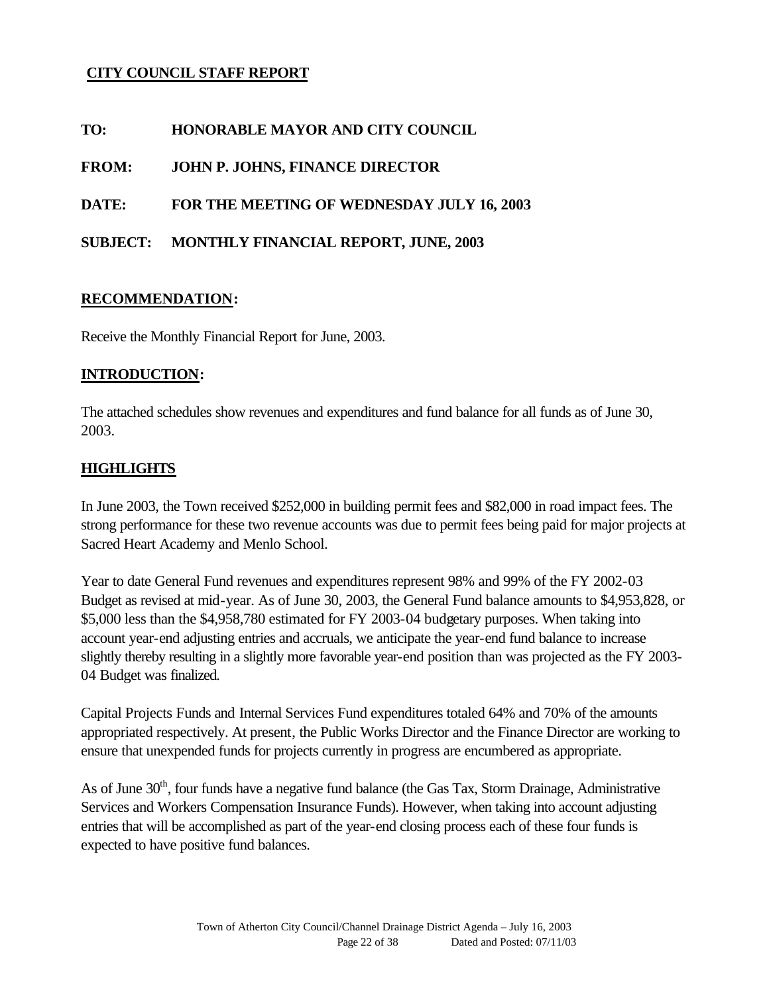### **CITY COUNCIL STAFF REPORT**

**TO: HONORABLE MAYOR AND CITY COUNCIL**

**FROM: JOHN P. JOHNS, FINANCE DIRECTOR**

**DATE: FOR THE MEETING OF WEDNESDAY JULY 16, 2003**

**SUBJECT: MONTHLY FINANCIAL REPORT, JUNE, 2003**

#### **RECOMMENDATION:**

Receive the Monthly Financial Report for June, 2003.

#### **INTRODUCTION:**

The attached schedules show revenues and expenditures and fund balance for all funds as of June 30, 2003.

### **HIGHLIGHTS**

In June 2003, the Town received \$252,000 in building permit fees and \$82,000 in road impact fees. The strong performance for these two revenue accounts was due to permit fees being paid for major projects at Sacred Heart Academy and Menlo School.

Year to date General Fund revenues and expenditures represent 98% and 99% of the FY 2002-03 Budget as revised at mid-year. As of June 30, 2003, the General Fund balance amounts to \$4,953,828, or \$5,000 less than the \$4,958,780 estimated for FY 2003-04 budgetary purposes. When taking into account year-end adjusting entries and accruals, we anticipate the year-end fund balance to increase slightly thereby resulting in a slightly more favorable year-end position than was projected as the FY 2003- 04 Budget was finalized.

Capital Projects Funds and Internal Services Fund expenditures totaled 64% and 70% of the amounts appropriated respectively. At present, the Public Works Director and the Finance Director are working to ensure that unexpended funds for projects currently in progress are encumbered as appropriate.

As of June 30<sup>th</sup>, four funds have a negative fund balance (the Gas Tax, Storm Drainage, Administrative Services and Workers Compensation Insurance Funds). However, when taking into account adjusting entries that will be accomplished as part of the year-end closing process each of these four funds is expected to have positive fund balances.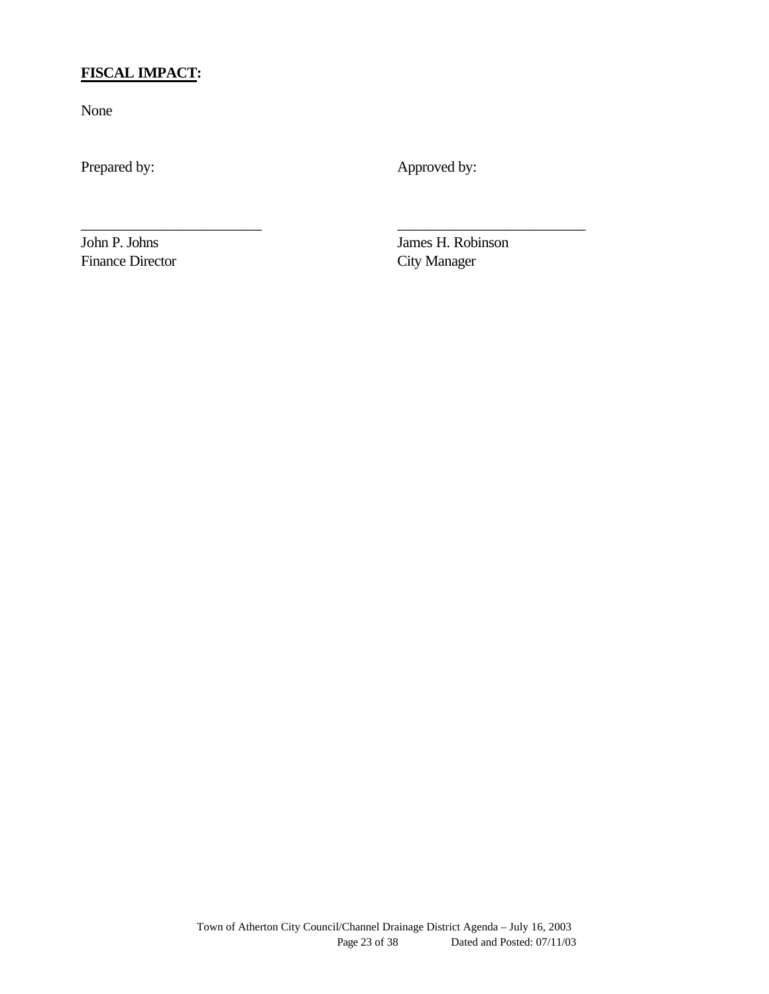# **FISCAL IMPACT:**

None

Prepared by: Approved by:

\_\_\_\_\_\_\_\_\_\_\_\_\_\_\_\_\_\_\_\_\_\_\_\_ \_\_\_\_\_\_\_\_\_\_\_\_\_\_\_\_\_\_\_\_\_\_\_\_\_

Finance Director City Manager

John P. Johns James H. Robinson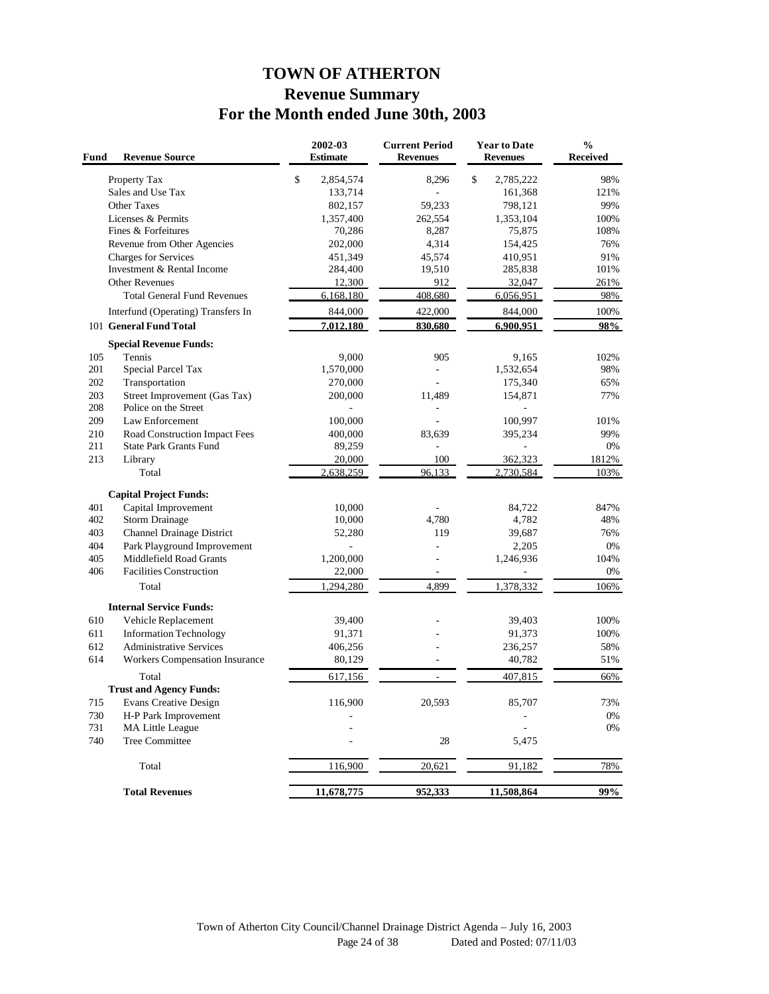# **TOWN OF ATHERTON Revenue Summary For the Month ended June 30th, 2003**

| Fund | <b>Revenue Source</b>              | 2002-03<br><b>Estimate</b> | <b>Current Period</b><br><b>Revenues</b> | <b>Year to Date</b><br><b>Revenues</b> | $\frac{0}{0}$<br><b>Received</b> |
|------|------------------------------------|----------------------------|------------------------------------------|----------------------------------------|----------------------------------|
|      | Property Tax                       | \$<br>2,854,574            | 8,296                                    | \$<br>2,785,222                        | 98%                              |
|      | Sales and Use Tax                  | 133,714                    | $\overline{\phantom{a}}$                 | 161,368                                | 121%                             |
|      | <b>Other Taxes</b>                 | 802,157                    | 59,233                                   | 798,121                                | 99%                              |
|      | Licenses & Permits                 | 1,357,400                  | 262,554                                  | 1,353,104                              | 100%                             |
|      | Fines & Forfeitures                | 70,286                     | 8,287                                    | 75,875                                 | 108%                             |
|      | Revenue from Other Agencies        | 202,000                    | 4,314                                    | 154,425                                | 76%                              |
|      | <b>Charges for Services</b>        | 451,349                    | 45,574                                   | 410,951                                | 91%                              |
|      | Investment & Rental Income         | 284,400                    | 19,510                                   | 285,838                                | 101%                             |
|      | <b>Other Revenues</b>              | 12,300                     | 912                                      | 32,047                                 | 261%                             |
|      | <b>Total General Fund Revenues</b> | 6,168,180                  | 408,680                                  | 6,056,951                              | 98%                              |
|      | Interfund (Operating) Transfers In | 844,000                    | 422,000                                  | 844,000                                | 100%                             |
|      | 101 General Fund Total             | 7,012,180                  | 830,680                                  | 6,900,951                              | 98%                              |
|      | <b>Special Revenue Funds:</b>      |                            |                                          |                                        |                                  |
| 105  | Tennis                             | 9,000                      | 905                                      | 9,165                                  | 102%                             |
| 201  | Special Parcel Tax                 | 1,570,000                  | $\frac{1}{2}$                            | 1,532,654                              | 98%                              |
| 202  | Transportation                     | 270,000                    | $\overline{\phantom{a}}$                 | 175,340                                | 65%                              |
| 203  | Street Improvement (Gas Tax)       | 200,000                    | 11,489                                   | 154,871                                | 77%                              |
| 208  | Police on the Street               |                            | $\sim$                                   |                                        |                                  |
| 209  | Law Enforcement                    | 100,000                    |                                          | 100,997                                | 101%                             |
| 210  | Road Construction Impact Fees      | 400,000                    | 83,639                                   | 395,234                                | 99%                              |
| 211  | <b>State Park Grants Fund</b>      | 89,259                     | $\bar{a}$                                |                                        | 0%                               |
| 213  | Library                            | 20,000                     | 100                                      | 362,323                                | 1812%                            |
|      | Total                              | 2.638.259                  | 96,133                                   | 2,730,584                              | 103%                             |
|      | <b>Capital Project Funds:</b>      |                            |                                          |                                        |                                  |
| 401  | Capital Improvement                | 10,000                     |                                          | 84,722                                 | 847%                             |
| 402  | <b>Storm Drainage</b>              | 10,000                     | 4,780                                    | 4,782                                  | 48%                              |
| 403  | Channel Drainage District          | 52,280                     | 119                                      | 39,687                                 | 76%                              |
| 404  | Park Playground Improvement        |                            |                                          | 2,205                                  | 0%                               |
| 405  | Middlefield Road Grants            | 1,200,000                  | $\overline{a}$                           | 1,246,936                              | 104%                             |
| 406  | <b>Facilities Construction</b>     | 22,000                     |                                          |                                        | 0%                               |
|      | Total                              | 1,294,280                  | 4,899                                    | 1,378,332                              | 106%                             |
|      | <b>Internal Service Funds:</b>     |                            |                                          |                                        |                                  |
| 610  | Vehicle Replacement                | 39,400                     |                                          | 39,403                                 | 100%                             |
| 611  | <b>Information Technology</b>      | 91,371                     |                                          | 91,373                                 | 100%                             |
| 612  | <b>Administrative Services</b>     | 406,256                    |                                          | 236,257                                | 58%                              |
| 614  | Workers Compensation Insurance     | 80,129                     |                                          | 40,782                                 | 51%                              |
|      | Total                              | 617,156                    |                                          | 407,815                                | 66%                              |
|      | <b>Trust and Agency Funds:</b>     |                            |                                          |                                        |                                  |
| 715  | Evans Creative Design              | 116,900                    | 20,593                                   | 85,707                                 | 73%                              |
| 730  | H-P Park Improvement               |                            |                                          |                                        | $0\%$                            |
| 731  | MA Little League                   |                            |                                          |                                        | 0%                               |
| 740  | <b>Tree Committee</b>              |                            | 28                                       | 5,475                                  |                                  |
|      |                                    |                            |                                          |                                        |                                  |
|      | Total                              | 116,900                    | 20,621                                   | 91,182                                 | 78%                              |
|      | <b>Total Revenues</b>              | 11,678,775                 | 952,333                                  | 11,508,864                             | 99%                              |
|      |                                    |                            |                                          |                                        |                                  |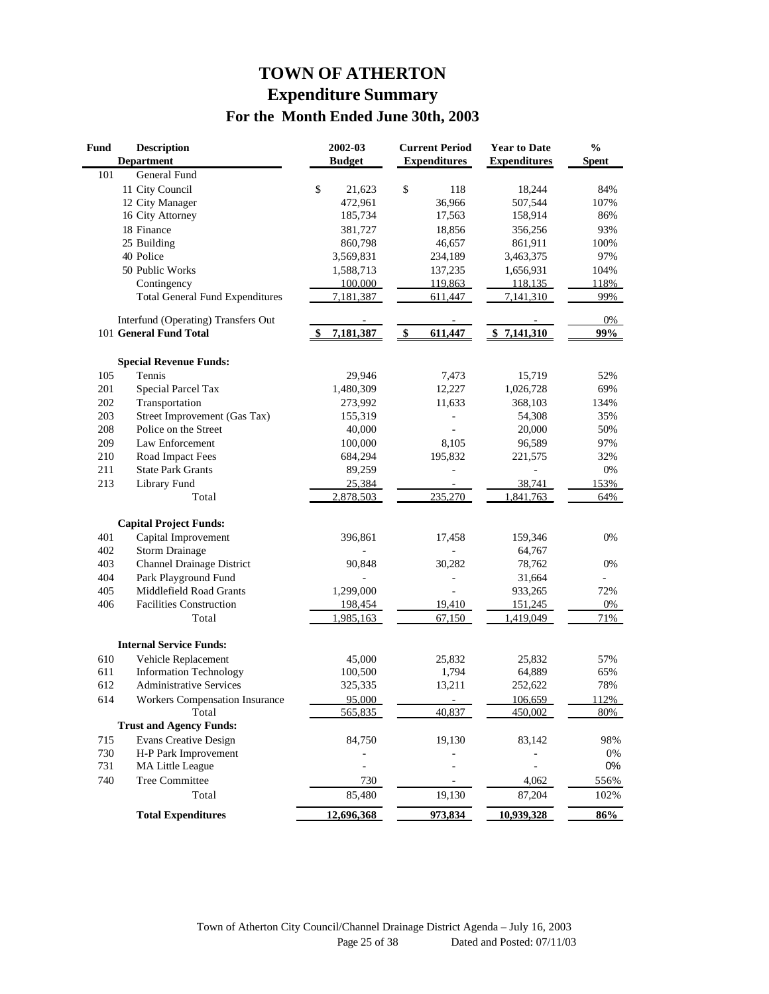# **TOWN OF ATHERTON Expenditure Summary For the Month Ended June 30th, 2003**

| Fund | <b>Description</b><br><b>Department</b> | 2002-03<br><b>Budget</b> | <b>Current Period</b><br><b>Expenditures</b> | <b>Year to Date</b><br><b>Expenditures</b> | $\frac{0}{0}$<br><b>Spent</b> |
|------|-----------------------------------------|--------------------------|----------------------------------------------|--------------------------------------------|-------------------------------|
| 101  | General Fund                            |                          |                                              |                                            |                               |
|      | 11 City Council                         | \$<br>21,623             | \$<br>118                                    | 18,244                                     | 84%                           |
|      | 12 City Manager                         | 472,961                  | 36,966                                       | 507,544                                    | 107%                          |
|      | 16 City Attorney                        | 185,734                  | 17,563                                       | 158,914                                    | 86%                           |
|      | 18 Finance                              | 381,727                  | 18,856                                       | 356,256                                    | 93%                           |
|      | 25 Building                             | 860,798                  | 46,657                                       | 861,911                                    | 100%                          |
|      | 40 Police                               | 3,569,831                | 234,189                                      | 3,463,375                                  | 97%                           |
|      | 50 Public Works                         | 1,588,713                | 137,235                                      | 1,656,931                                  | 104%                          |
|      | Contingency                             | 100,000                  | 119,863                                      | 118,135                                    | 118%                          |
|      | <b>Total General Fund Expenditures</b>  | 7,181,387                | 611,447                                      | 7,141,310                                  | 99%                           |
|      | Interfund (Operating) Transfers Out     |                          |                                              |                                            | 0%                            |
|      | 101 General Fund Total                  | 7,181,387                | \$<br>611,447                                | \$7,141,310                                | 99%                           |
|      | <b>Special Revenue Funds:</b>           |                          |                                              |                                            |                               |
| 105  | Tennis                                  | 29,946                   | 7,473                                        | 15,719                                     | 52%                           |
| 201  | Special Parcel Tax                      | 1,480,309                | 12,227                                       | 1,026,728                                  | 69%                           |
| 202  | Transportation                          | 273,992                  | 11,633                                       | 368,103                                    | 134%                          |
| 203  | Street Improvement (Gas Tax)            | 155,319                  |                                              | 54,308                                     | 35%                           |
| 208  | Police on the Street                    | 40,000                   |                                              | 20,000                                     | 50%                           |
| 209  | Law Enforcement                         | 100,000                  | 8,105                                        | 96,589                                     | 97%                           |
| 210  | Road Impact Fees                        | 684,294                  | 195,832                                      | 221,575                                    | 32%                           |
| 211  | <b>State Park Grants</b>                | 89,259                   |                                              |                                            | 0%                            |
| 213  | Library Fund                            | 25,384                   |                                              | 38,741                                     | 153%                          |
|      | Total                                   | 2,878,503                | 235,270                                      | 1,841,763                                  | 64%                           |
|      | <b>Capital Project Funds:</b>           |                          |                                              |                                            |                               |
| 401  | Capital Improvement                     | 396,861                  | 17,458                                       | 159,346                                    | 0%                            |
| 402  | <b>Storm Drainage</b>                   |                          |                                              | 64,767                                     |                               |
| 403  | Channel Drainage District               | 90,848                   | 30,282                                       | 78,762                                     | 0%                            |
| 404  | Park Playground Fund                    |                          | L,                                           | 31,664                                     |                               |
| 405  | Middlefield Road Grants                 | 1,299,000                |                                              | 933,265                                    | 72%                           |
| 406  | <b>Facilities Construction</b>          | 198,454                  | 19,410                                       | 151,245                                    | 0%                            |
|      | Total                                   | 1,985,163                | 67,150                                       | 1,419,049                                  | 71%                           |
|      | <b>Internal Service Funds:</b>          |                          |                                              |                                            |                               |
| 610  | Vehicle Replacement                     | 45,000                   | 25,832                                       | 25,832                                     | 57%                           |
| 611  | <b>Information Technology</b>           | 100,500                  | 1,794                                        | 64,889                                     | 65%                           |
| 612  | Administrative Services                 | 325,335                  | 13,211                                       | 252,622                                    | 78%                           |
| 614  | <b>Workers Compensation Insurance</b>   | 95,000                   |                                              | 106,659                                    | 112%                          |
|      | Total                                   | 565,835                  | 40,837                                       | 450,002                                    | 80%                           |
|      | <b>Trust and Agency Funds:</b>          |                          |                                              |                                            |                               |
| 715  | <b>Evans Creative Design</b>            | 84,750                   | 19,130                                       | 83,142                                     | 98%                           |
| 730  | H-P Park Improvement                    |                          |                                              |                                            | $0\%$                         |
| 731  | MA Little League                        |                          |                                              |                                            | $0\%$                         |
| 740  | <b>Tree Committee</b>                   | 730                      |                                              | 4,062                                      | 556%                          |
|      | Total                                   | 85,480                   | 19,130                                       | 87,204                                     | 102%                          |
|      | <b>Total Expenditures</b>               | 12,696,368               | 973,834                                      | 10,939,328                                 | 86%                           |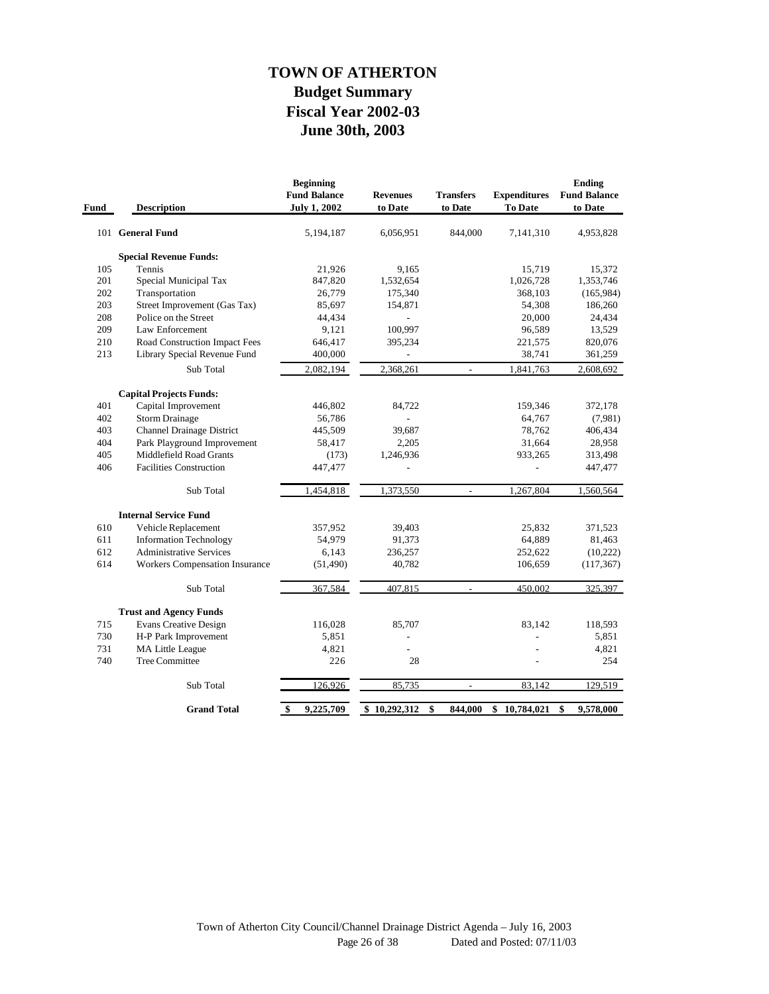# **June 30th, 2003 Fiscal Year 2002-03 Budget Summary TOWN OF ATHERTON**

| Fund | <b>Description</b>                    | <b>Beginning</b><br><b>Fund Balance</b><br><b>July 1, 2002</b> | <b>Revenues</b><br>to Date | <b>Transfers</b><br>to Date | <b>Expenditures</b><br>To Date | <b>Ending</b><br><b>Fund Balance</b><br>to Date |
|------|---------------------------------------|----------------------------------------------------------------|----------------------------|-----------------------------|--------------------------------|-------------------------------------------------|
|      | 101 General Fund                      | 5,194,187                                                      | 6,056,951                  | 844,000                     | 7,141,310                      | 4,953,828                                       |
|      | <b>Special Revenue Funds:</b>         |                                                                |                            |                             |                                |                                                 |
| 105  | Tennis                                | 21,926                                                         | 9,165                      |                             | 15,719                         | 15,372                                          |
| 201  | Special Municipal Tax                 | 847,820                                                        | 1,532,654                  |                             | 1,026,728                      | 1,353,746                                       |
| 202  | Transportation                        | 26,779                                                         | 175,340                    |                             | 368,103                        | (165,984)                                       |
| 203  | Street Improvement (Gas Tax)          | 85,697                                                         | 154,871                    |                             | 54,308                         | 186,260                                         |
| 208  | Police on the Street                  | 44,434                                                         |                            |                             | 20,000                         | 24,434                                          |
| 209  | Law Enforcement                       | 9,121                                                          | 100,997                    |                             | 96,589                         | 13,529                                          |
| 210  | Road Construction Impact Fees         | 646,417                                                        | 395,234                    |                             | 221,575                        | 820,076                                         |
| 213  | Library Special Revenue Fund          | 400,000                                                        |                            |                             | 38,741                         | 361,259                                         |
|      | Sub Total                             | 2,082,194                                                      | 2,368,261                  |                             | 1,841,763                      | 2,608,692                                       |
|      | <b>Capital Projects Funds:</b>        |                                                                |                            |                             |                                |                                                 |
| 401  | Capital Improvement                   | 446,802                                                        | 84,722                     |                             | 159,346                        | 372,178                                         |
| 402  | Storm Drainage                        | 56,786                                                         |                            |                             | 64,767                         | (7,981)                                         |
| 403  | <b>Channel Drainage District</b>      | 445,509                                                        | 39,687                     |                             | 78,762                         | 406,434                                         |
| 404  | Park Playground Improvement           | 58,417                                                         | 2,205                      |                             | 31,664                         | 28,958                                          |
| 405  | <b>Middlefield Road Grants</b>        | (173)                                                          | 1,246,936                  |                             | 933,265                        | 313,498                                         |
| 406  | <b>Facilities Construction</b>        | 447,477                                                        | $\overline{a}$             |                             | $\overline{a}$                 | 447,477                                         |
|      | Sub Total                             | 1,454,818                                                      | 1,373,550                  | $\overline{\phantom{a}}$    | 1,267,804                      | 1,560,564                                       |
|      | <b>Internal Service Fund</b>          |                                                                |                            |                             |                                |                                                 |
| 610  | Vehicle Replacement                   | 357,952                                                        | 39,403                     |                             | 25,832                         | 371,523                                         |
| 611  | <b>Information Technology</b>         | 54,979                                                         | 91,373                     |                             | 64,889                         | 81,463                                          |
| 612  | <b>Administrative Services</b>        | 6,143                                                          | 236,257                    |                             | 252,622                        | (10, 222)                                       |
| 614  | <b>Workers Compensation Insurance</b> | (51, 490)                                                      | 40,782                     |                             | 106,659                        | (117, 367)                                      |
|      | Sub Total                             | 367,584                                                        | 407,815                    |                             | 450,002                        | 325,397                                         |
|      | <b>Trust and Agency Funds</b>         |                                                                |                            |                             |                                |                                                 |
| 715  | <b>Evans Creative Design</b>          | 116,028                                                        | 85,707                     |                             | 83,142                         | 118,593                                         |
| 730  | H-P Park Improvement                  | 5,851                                                          |                            |                             |                                | 5,851                                           |
| 731  | MA Little League                      | 4,821                                                          | $\overline{a}$             |                             |                                | 4,821                                           |
| 740  | <b>Tree Committee</b>                 | 226                                                            | 28                         |                             |                                | 254                                             |
|      | Sub Total                             | 126,926                                                        | 85,735                     | $\overline{\phantom{a}}$    | 83,142                         | 129,519                                         |
|      | <b>Grand Total</b>                    | 9,225,709<br>\$                                                | \$10,292,312               | \$<br>844,000               | \$<br>10,784,021               | 9,578,000<br>\$                                 |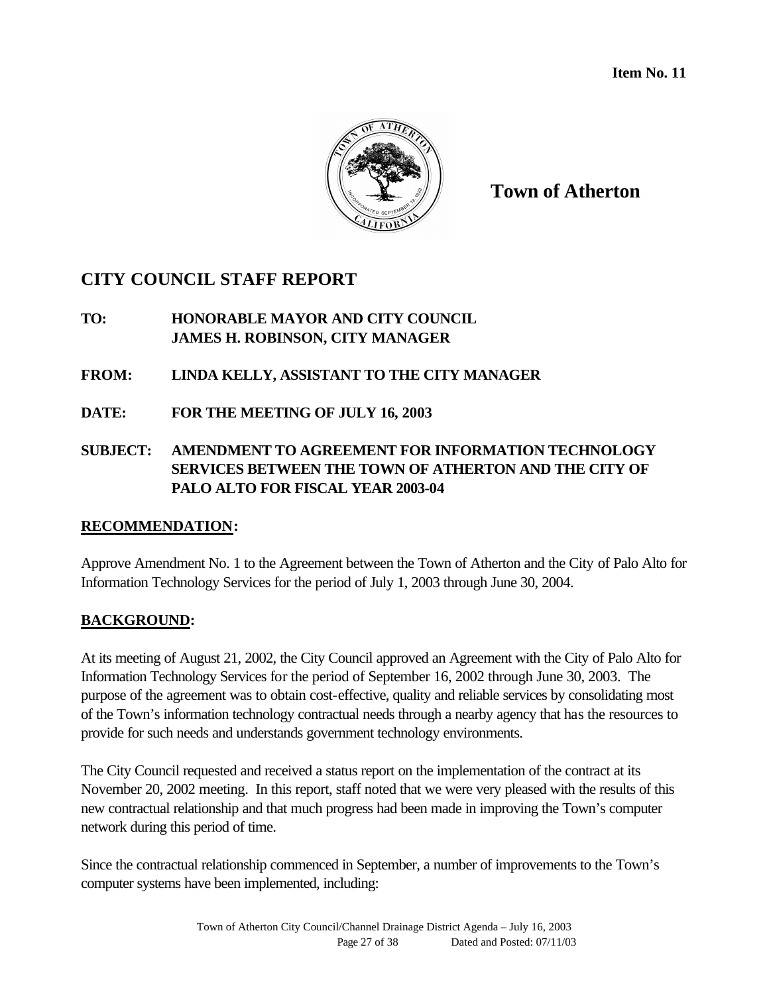

**Town of Atherton**

# **CITY COUNCIL STAFF REPORT**

# **TO: HONORABLE MAYOR AND CITY COUNCIL JAMES H. ROBINSON, CITY MANAGER**

# **FROM: LINDA KELLY, ASSISTANT TO THE CITY MANAGER**

**DATE: FOR THE MEETING OF JULY 16, 2003**

# **SUBJECT: AMENDMENT TO AGREEMENT FOR INFORMATION TECHNOLOGY SERVICES BETWEEN THE TOWN OF ATHERTON AND THE CITY OF PALO ALTO FOR FISCAL YEAR 2003-04**

# **RECOMMENDATION:**

Approve Amendment No. 1 to the Agreement between the Town of Atherton and the City of Palo Alto for Information Technology Services for the period of July 1, 2003 through June 30, 2004.

# **BACKGROUND:**

At its meeting of August 21, 2002, the City Council approved an Agreement with the City of Palo Alto for Information Technology Services for the period of September 16, 2002 through June 30, 2003. The purpose of the agreement was to obtain cost-effective, quality and reliable services by consolidating most of the Town's information technology contractual needs through a nearby agency that has the resources to provide for such needs and understands government technology environments.

The City Council requested and received a status report on the implementation of the contract at its November 20, 2002 meeting. In this report, staff noted that we were very pleased with the results of this new contractual relationship and that much progress had been made in improving the Town's computer network during this period of time.

Since the contractual relationship commenced in September, a number of improvements to the Town's computer systems have been implemented, including: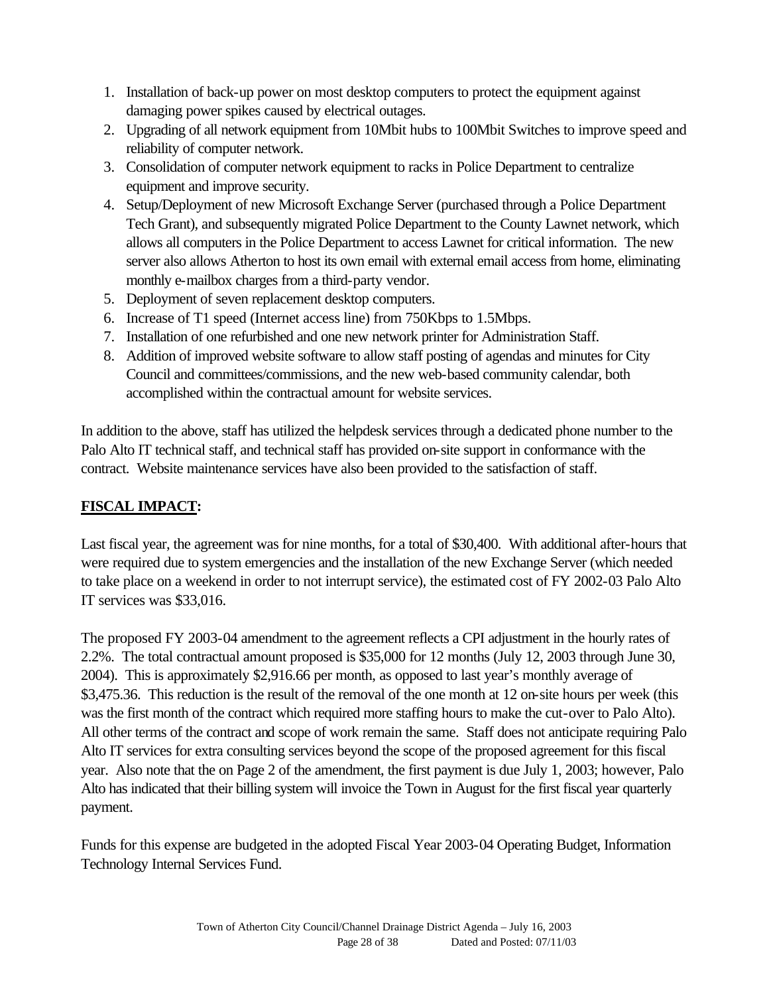- 1. Installation of back-up power on most desktop computers to protect the equipment against damaging power spikes caused by electrical outages.
- 2. Upgrading of all network equipment from 10Mbit hubs to 100Mbit Switches to improve speed and reliability of computer network.
- 3. Consolidation of computer network equipment to racks in Police Department to centralize equipment and improve security.
- 4. Setup/Deployment of new Microsoft Exchange Server (purchased through a Police Department Tech Grant), and subsequently migrated Police Department to the County Lawnet network, which allows all computers in the Police Department to access Lawnet for critical information. The new server also allows Atherton to host its own email with external email access from home, eliminating monthly e-mailbox charges from a third-party vendor.
- 5. Deployment of seven replacement desktop computers.
- 6. Increase of T1 speed (Internet access line) from 750Kbps to 1.5Mbps.
- 7. Installation of one refurbished and one new network printer for Administration Staff.
- 8. Addition of improved website software to allow staff posting of agendas and minutes for City Council and committees/commissions, and the new web-based community calendar, both accomplished within the contractual amount for website services.

In addition to the above, staff has utilized the helpdesk services through a dedicated phone number to the Palo Alto IT technical staff, and technical staff has provided on-site support in conformance with the contract. Website maintenance services have also been provided to the satisfaction of staff.

# **FISCAL IMPACT:**

Last fiscal year, the agreement was for nine months, for a total of \$30,400. With additional after-hours that were required due to system emergencies and the installation of the new Exchange Server (which needed to take place on a weekend in order to not interrupt service), the estimated cost of FY 2002-03 Palo Alto IT services was \$33,016.

The proposed FY 2003-04 amendment to the agreement reflects a CPI adjustment in the hourly rates of 2.2%. The total contractual amount proposed is \$35,000 for 12 months (July 12, 2003 through June 30, 2004). This is approximately \$2,916.66 per month, as opposed to last year's monthly average of \$3,475.36. This reduction is the result of the removal of the one month at 12 on-site hours per week (this was the first month of the contract which required more staffing hours to make the cut-over to Palo Alto). All other terms of the contract and scope of work remain the same. Staff does not anticipate requiring Palo Alto IT services for extra consulting services beyond the scope of the proposed agreement for this fiscal year. Also note that the on Page 2 of the amendment, the first payment is due July 1, 2003; however, Palo Alto has indicated that their billing system will invoice the Town in August for the first fiscal year quarterly payment.

Funds for this expense are budgeted in the adopted Fiscal Year 2003-04 Operating Budget, Information Technology Internal Services Fund.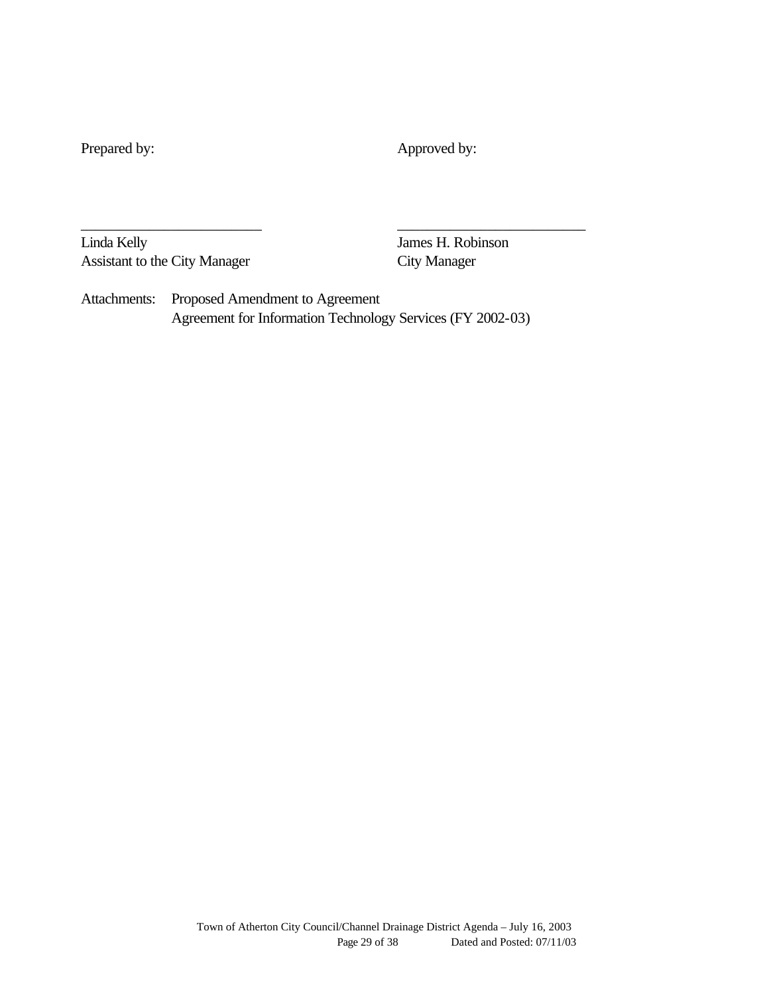Prepared by: Approved by:

Linda Kelly James H. Robinson Assistant to the City Manager City Manager

Attachments: Proposed Amendment to Agreement Agreement for Information Technology Services (FY 2002-03)

\_\_\_\_\_\_\_\_\_\_\_\_\_\_\_\_\_\_\_\_\_\_\_\_ \_\_\_\_\_\_\_\_\_\_\_\_\_\_\_\_\_\_\_\_\_\_\_\_\_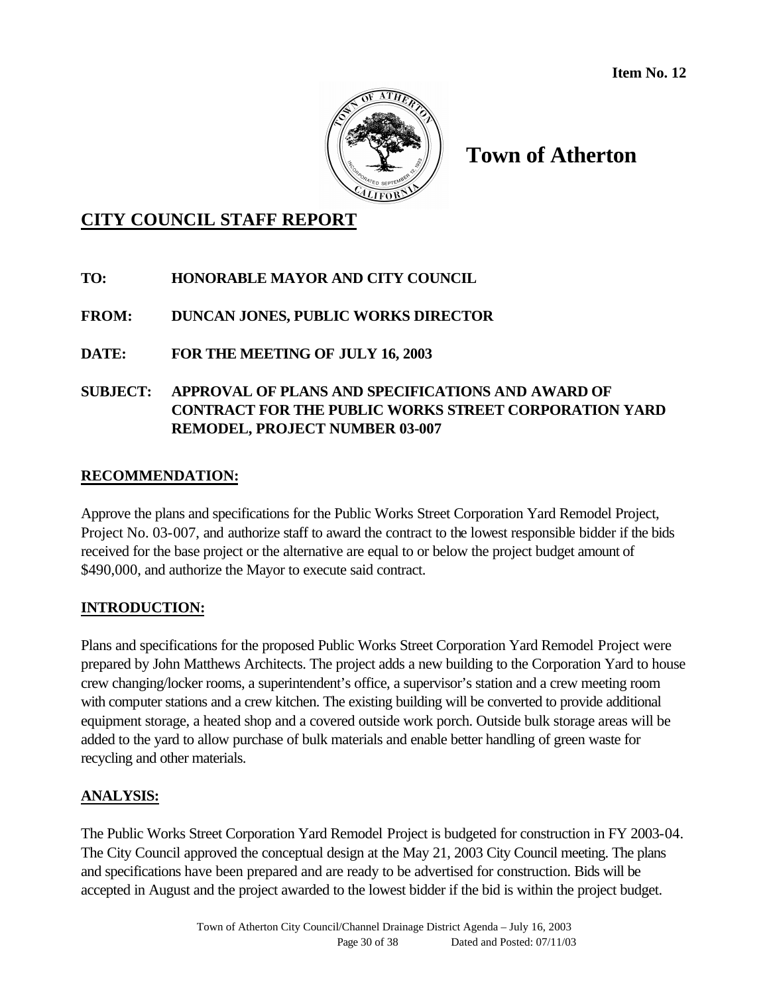

# **Town of Atherton**

# **CITY COUNCIL STAFF REPORT**

# **TO: HONORABLE MAYOR AND CITY COUNCIL**

# **FROM: DUNCAN JONES, PUBLIC WORKS DIRECTOR**

# **DATE: FOR THE MEETING OF JULY 16, 2003**

# **SUBJECT: APPROVAL OF PLANS AND SPECIFICATIONS AND AWARD OF CONTRACT FOR THE PUBLIC WORKS STREET CORPORATION YARD REMODEL, PROJECT NUMBER 03-007**

# **RECOMMENDATION:**

Approve the plans and specifications for the Public Works Street Corporation Yard Remodel Project, Project No. 03-007, and authorize staff to award the contract to the lowest responsible bidder if the bids received for the base project or the alternative are equal to or below the project budget amount of \$490,000, and authorize the Mayor to execute said contract.

# **INTRODUCTION:**

Plans and specifications for the proposed Public Works Street Corporation Yard Remodel Project were prepared by John Matthews Architects. The project adds a new building to the Corporation Yard to house crew changing/locker rooms, a superintendent's office, a supervisor's station and a crew meeting room with computer stations and a crew kitchen. The existing building will be converted to provide additional equipment storage, a heated shop and a covered outside work porch. Outside bulk storage areas will be added to the yard to allow purchase of bulk materials and enable better handling of green waste for recycling and other materials.

# **ANALYSIS:**

The Public Works Street Corporation Yard Remodel Project is budgeted for construction in FY 2003-04. The City Council approved the conceptual design at the May 21, 2003 City Council meeting. The plans and specifications have been prepared and are ready to be advertised for construction. Bids will be accepted in August and the project awarded to the lowest bidder if the bid is within the project budget.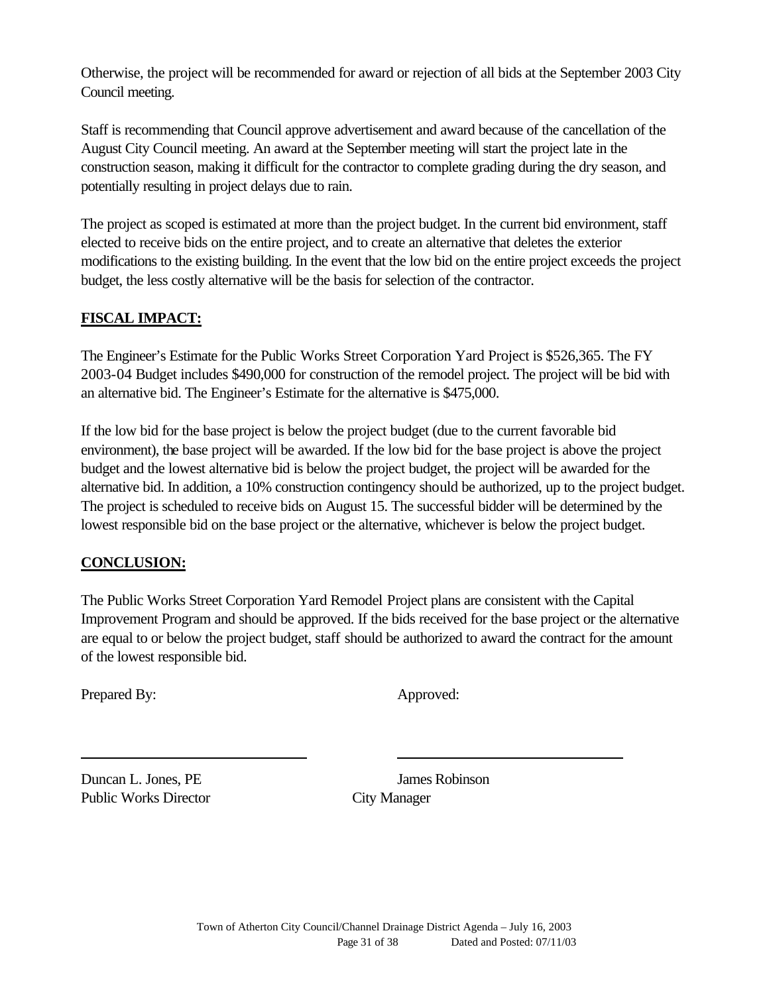Otherwise, the project will be recommended for award or rejection of all bids at the September 2003 City Council meeting.

Staff is recommending that Council approve advertisement and award because of the cancellation of the August City Council meeting. An award at the September meeting will start the project late in the construction season, making it difficult for the contractor to complete grading during the dry season, and potentially resulting in project delays due to rain.

The project as scoped is estimated at more than the project budget. In the current bid environment, staff elected to receive bids on the entire project, and to create an alternative that deletes the exterior modifications to the existing building. In the event that the low bid on the entire project exceeds the project budget, the less costly alternative will be the basis for selection of the contractor.

# **FISCAL IMPACT:**

The Engineer's Estimate for the Public Works Street Corporation Yard Project is \$526,365. The FY 2003-04 Budget includes \$490,000 for construction of the remodel project. The project will be bid with an alternative bid. The Engineer's Estimate for the alternative is \$475,000.

If the low bid for the base project is below the project budget (due to the current favorable bid environment), the base project will be awarded. If the low bid for the base project is above the project budget and the lowest alternative bid is below the project budget, the project will be awarded for the alternative bid. In addition, a 10% construction contingency should be authorized, up to the project budget. The project is scheduled to receive bids on August 15. The successful bidder will be determined by the lowest responsible bid on the base project or the alternative, whichever is below the project budget.

# **CONCLUSION:**

The Public Works Street Corporation Yard Remodel Project plans are consistent with the Capital Improvement Program and should be approved. If the bids received for the base project or the alternative are equal to or below the project budget, staff should be authorized to award the contract for the amount of the lowest responsible bid.

Prepared By: Approved:

**Duncan L. Jones, PE** James Robinson Public Works Director City Manager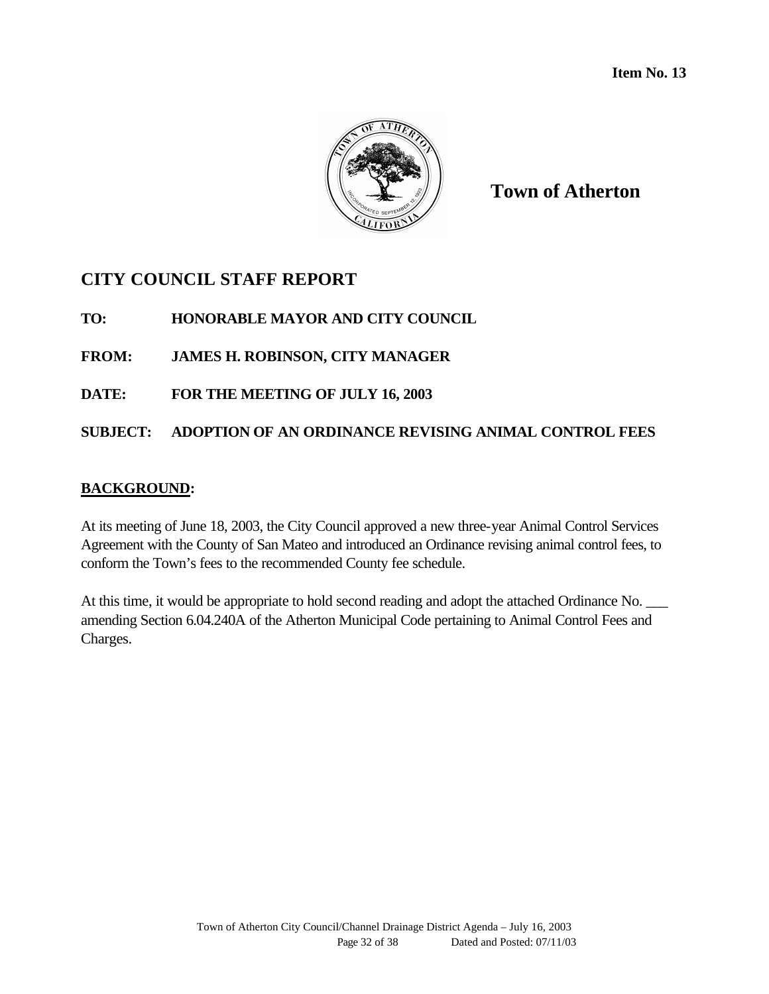

**Town of Atherton**

# **CITY COUNCIL STAFF REPORT**

**TO: HONORABLE MAYOR AND CITY COUNCIL**

**FROM: JAMES H. ROBINSON, CITY MANAGER**

**DATE: FOR THE MEETING OF JULY 16, 2003**

# **SUBJECT: ADOPTION OF AN ORDINANCE REVISING ANIMAL CONTROL FEES**

# **BACKGROUND:**

At its meeting of June 18, 2003, the City Council approved a new three-year Animal Control Services Agreement with the County of San Mateo and introduced an Ordinance revising animal control fees, to conform the Town's fees to the recommended County fee schedule.

At this time, it would be appropriate to hold second reading and adopt the attached Ordinance No. amending Section 6.04.240A of the Atherton Municipal Code pertaining to Animal Control Fees and Charges.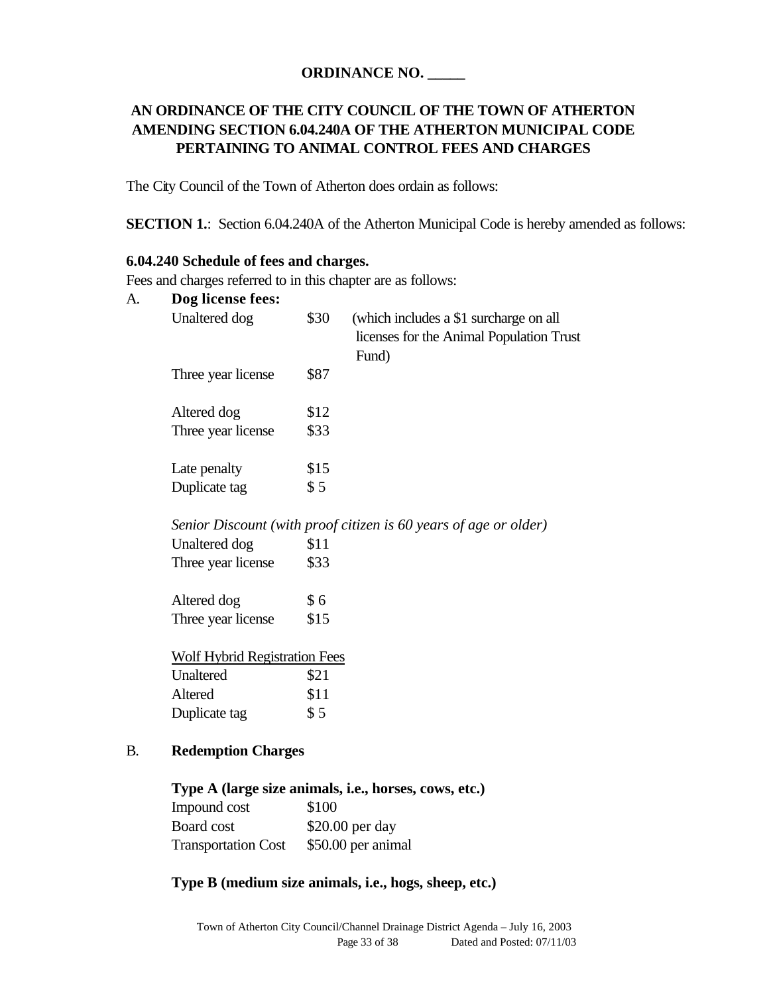### **ORDINANCE NO. \_\_\_\_\_**

# **AN ORDINANCE OF THE CITY COUNCIL OF THE TOWN OF ATHERTON AMENDING SECTION 6.04.240A OF THE ATHERTON MUNICIPAL CODE PERTAINING TO ANIMAL CONTROL FEES AND CHARGES**

The City Council of the Town of Atherton does ordain as follows:

**SECTION 1.:** Section 6.04.240A of the Atherton Municipal Code is hereby amended as follows:

#### **6.04.240 Schedule of fees and charges.**

Fees and charges referred to in this chapter are as follows:

| A. | Dog license fees:                    |       |                                                                                             |
|----|--------------------------------------|-------|---------------------------------------------------------------------------------------------|
|    | Unaltered dog                        | \$30  | (which includes a \$1 surcharge on all<br>licenses for the Animal Population Trust<br>Fund) |
|    | Three year license                   | \$87  |                                                                                             |
|    | Altered dog                          | \$12  |                                                                                             |
|    | Three year license                   | \$33  |                                                                                             |
|    | Late penalty                         | \$15  |                                                                                             |
|    | Duplicate tag                        | \$5   |                                                                                             |
|    |                                      |       | Senior Discount (with proof citizen is 60 years of age or older)                            |
|    | Unaltered dog                        | \$11  |                                                                                             |
|    | Three year license                   | \$33  |                                                                                             |
|    | Altered dog                          | \$6   |                                                                                             |
|    | Three year license                   | \$15  |                                                                                             |
|    | <b>Wolf Hybrid Registration Fees</b> |       |                                                                                             |
|    | Unaltered                            | \$21  |                                                                                             |
|    | Altered                              | \$11  |                                                                                             |
|    | Duplicate tag                        | \$5   |                                                                                             |
| В. | <b>Redemption Charges</b>            |       |                                                                                             |
|    |                                      |       | Type A (large size animals, i.e., horses, cows, etc.)                                       |
|    | Impound cost                         | \$100 |                                                                                             |

| Impound cost               | \$100              |
|----------------------------|--------------------|
| Board cost                 | $$20.00$ per day   |
| <b>Transportation Cost</b> | \$50.00 per animal |

#### **Type B (medium size animals, i.e., hogs, sheep, etc.)**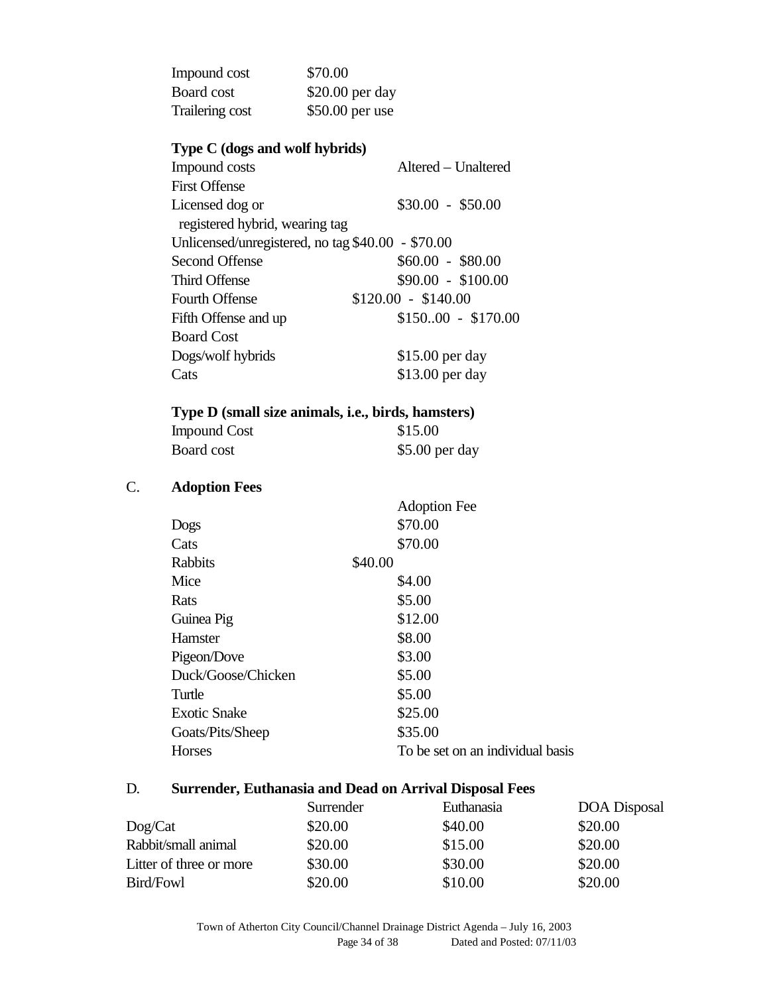| Impound cost    | \$70.00          |
|-----------------|------------------|
| Board cost      | $$20.00$ per day |
| Trailering cost | $$50.00$ per use |

# **Type C (dogs and wolf hybrids)**

| Impound costs                                     | Altered - Unaltered |
|---------------------------------------------------|---------------------|
| <b>First Offense</b>                              |                     |
| Licensed dog or                                   | $$30.00 - $50.00$   |
| registered hybrid, wearing tag                    |                     |
| Unlicensed/unregistered, no tag \$40.00 - \$70.00 |                     |
| <b>Second Offense</b>                             | $$60.00 - $80.00$   |
| <b>Third Offense</b>                              | $$90.00 - $100.00$  |
| <b>Fourth Offense</b>                             | $$120.00 - $140.00$ |
| Fifth Offense and up                              | $$15000 - $170.00$  |
| <b>Board Cost</b>                                 |                     |
| Dogs/wolf hybrids                                 | \$15.00 per day     |
| Cats                                              | \$13.00 per day     |

### **Type D (small size animals, i.e., birds, hamsters)**

| <b>Impound Cost</b> | \$15.00         |
|---------------------|-----------------|
| Board cost          | $$5.00$ per day |

# C. **Adoption Fees**

|                     |         | <b>Adoption Fee</b>              |
|---------------------|---------|----------------------------------|
| Dogs                |         | \$70.00                          |
| Cats                |         | \$70.00                          |
| Rabbits             | \$40.00 |                                  |
| Mice                |         | \$4.00                           |
| Rats                |         | \$5.00                           |
| Guinea Pig          |         | \$12.00                          |
| Hamster             |         | \$8.00                           |
| Pigeon/Dove         |         | \$3.00                           |
| Duck/Goose/Chicken  |         | \$5.00                           |
| Turtle              |         | \$5.00                           |
| <b>Exotic Snake</b> |         | \$25.00                          |
| Goats/Pits/Sheep    |         | \$35.00                          |
| <b>Horses</b>       |         | To be set on an individual basis |
|                     |         |                                  |

# D. **Surrender, Euthanasia and Dead on Arrival Disposal Fees**

|                         | Surrender | Euthanasia | <b>DOA</b> Disposal |
|-------------------------|-----------|------------|---------------------|
| Dog/Cat                 | \$20.00   | \$40.00    | \$20.00             |
| Rabbit/small animal     | \$20.00   | \$15.00    | \$20.00             |
| Litter of three or more | \$30.00   | \$30.00    | \$20.00             |
| Bird/Fowl               | \$20.00   | \$10.00    | \$20.00             |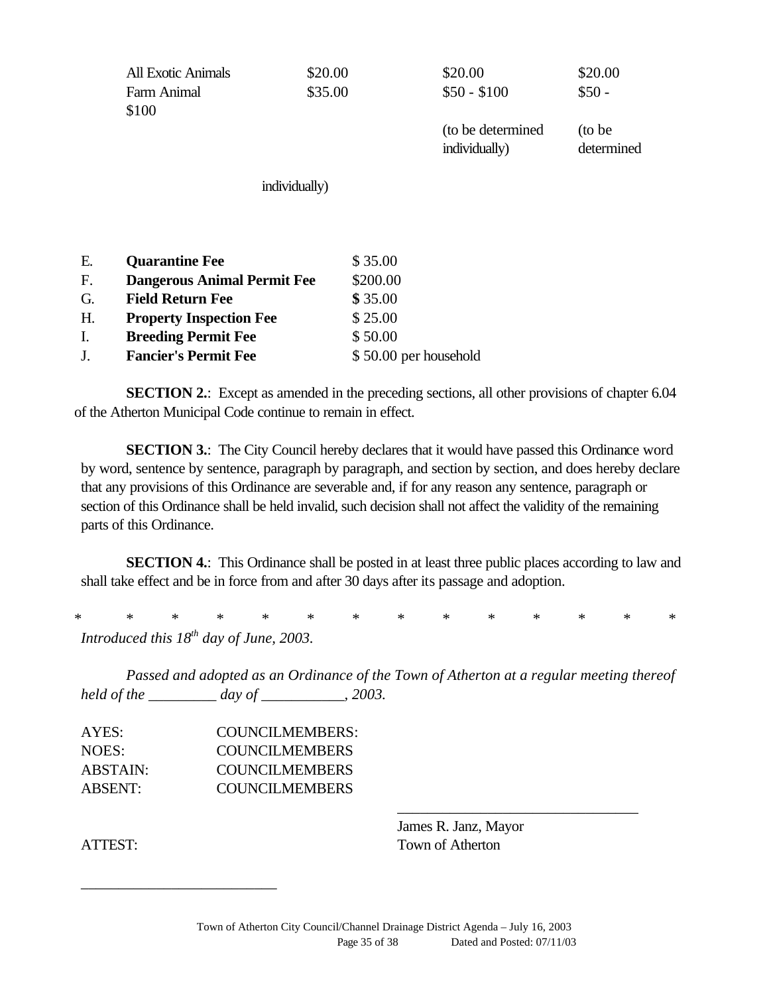|    | <b>All Exotic Animals</b><br>Farm Animal<br>\$100 | \$20.00<br>\$35.00 | \$20.00<br>$$50 - $100$            | \$20.00<br>$$50 -$    |
|----|---------------------------------------------------|--------------------|------------------------------------|-----------------------|
|    |                                                   |                    | (to be determined<br>individually) | (to be)<br>determined |
|    | individually)                                     |                    |                                    |                       |
| Ε. | <b>Quarantine Fee</b>                             | \$35.00            |                                    |                       |
| F. | <b>Dangerous Animal Permit Fee</b>                | \$200.00           |                                    |                       |
| G. | <b>Field Return Fee</b>                           | \$35.00            |                                    |                       |
| H. | <b>Property Inspection Fee</b>                    | \$25.00            |                                    |                       |
| I. | <b>Breeding Permit Fee</b>                        | \$50.00            |                                    |                       |

**SECTION 2.:** Except as amended in the preceding sections, all other provisions of chapter 6.04 of the Atherton Municipal Code continue to remain in effect.

J. **Fancier's Permit Fee** \$ 50.00 per household

**SECTION 3.:** The City Council hereby declares that it would have passed this Ordinance word by word, sentence by sentence, paragraph by paragraph, and section by section, and does hereby declare that any provisions of this Ordinance are severable and, if for any reason any sentence, paragraph or section of this Ordinance shall be held invalid, such decision shall not affect the validity of the remaining parts of this Ordinance.

**SECTION 4.:** This Ordinance shall be posted in at least three public places according to law and shall take effect and be in force from and after 30 days after its passage and adoption.

\* \* \* \* \* \* \* \* \* \* \* \* \* \* *Introduced this 18th day of June, 2003.*

*Passed and adopted as an Ordinance of the Town of Atherton at a regular meeting thereof held of the \_\_\_\_\_\_\_\_\_ day of \_\_\_\_\_\_\_\_\_\_\_, 2003.*

| <b>COUNCILMEMBERS:</b> |
|------------------------|
| <b>COUNCILMEMBERS</b>  |
| <b>COUNCILMEMBERS</b>  |
| <b>COUNCILMEMBERS</b>  |
|                        |

\_\_\_\_\_\_\_\_\_\_\_\_\_\_\_\_\_\_\_\_\_\_\_\_\_\_

James R. Janz, Mayor ATTEST: Town of Atherton

\_\_\_\_\_\_\_\_\_\_\_\_\_\_\_\_\_\_\_\_\_\_\_\_\_\_\_\_\_\_\_\_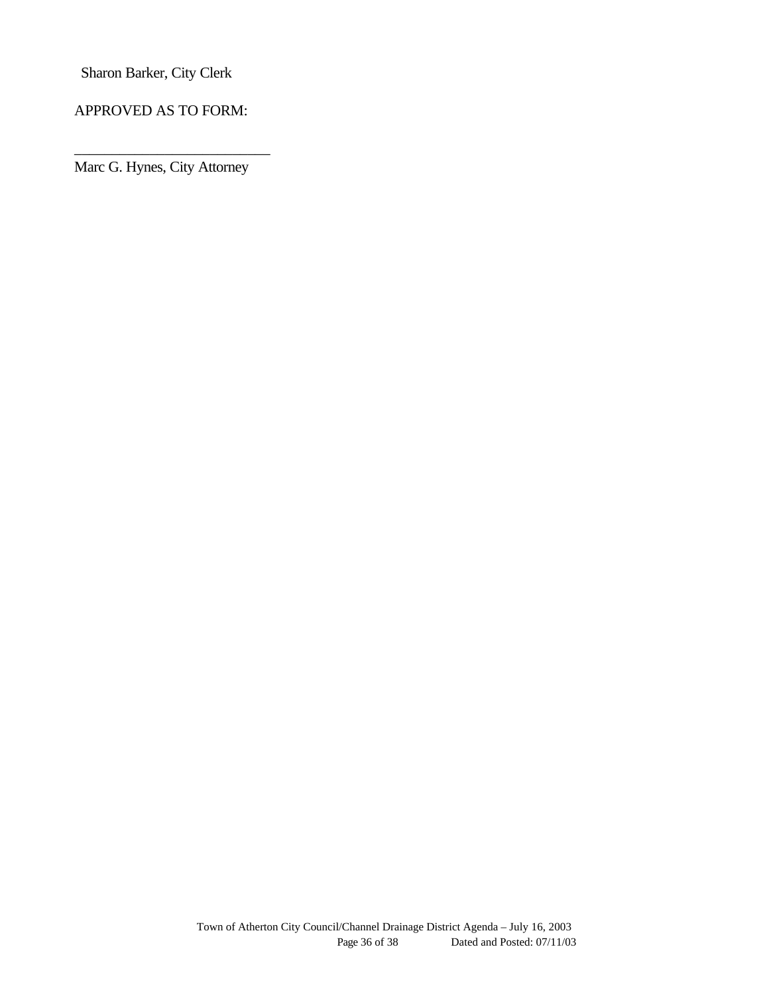Sharon Barker, City Clerk

APPROVED AS TO FORM:

Marc G. Hynes, City Attorney

\_\_\_\_\_\_\_\_\_\_\_\_\_\_\_\_\_\_\_\_\_\_\_\_\_\_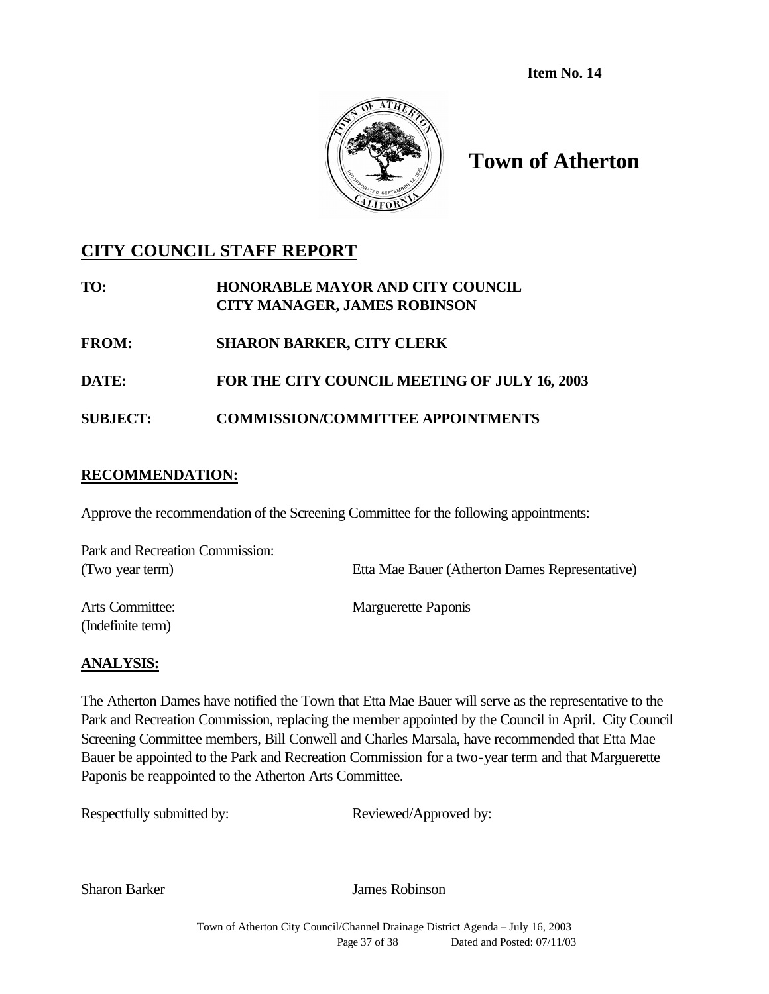**Item No. 14**



# **Town of Atherton**

## **CITY COUNCIL STAFF REPORT**

| TO: | <b>HONORABLE MAYOR AND CITY COUNCIL</b> |
|-----|-----------------------------------------|
|     | <b>CITY MANAGER, JAMES ROBINSON</b>     |
|     |                                         |

- **FROM: SHARON BARKER, CITY CLERK**
- **DATE: FOR THE CITY COUNCIL MEETING OF JULY 16, 2003**
- **SUBJECT: COMMISSION/COMMITTEE APPOINTMENTS**

## **RECOMMENDATION:**

Approve the recommendation of the Screening Committee for the following appointments:

| Park and Recreation Commission: |                                                |
|---------------------------------|------------------------------------------------|
| (Two year term)                 | Etta Mae Bauer (Atherton Dames Representative) |
| Arts Committee:                 | Marguerette Paponis                            |
| (Indefinite term)               |                                                |

## **ANALYSIS:**

The Atherton Dames have notified the Town that Etta Mae Bauer will serve as the representative to the Park and Recreation Commission, replacing the member appointed by the Council in April. City Council Screening Committee members, Bill Conwell and Charles Marsala, have recommended that Etta Mae Bauer be appointed to the Park and Recreation Commission for a two-year term and that Marguerette Paponis be reappointed to the Atherton Arts Committee.

Respectfully submitted by: Reviewed/Approved by:

Sharon Barker James Robinson

Town of Atherton City Council/Channel Drainage District Agenda – July 16, 2003 Page 37 of 38 Dated and Posted: 07/11/03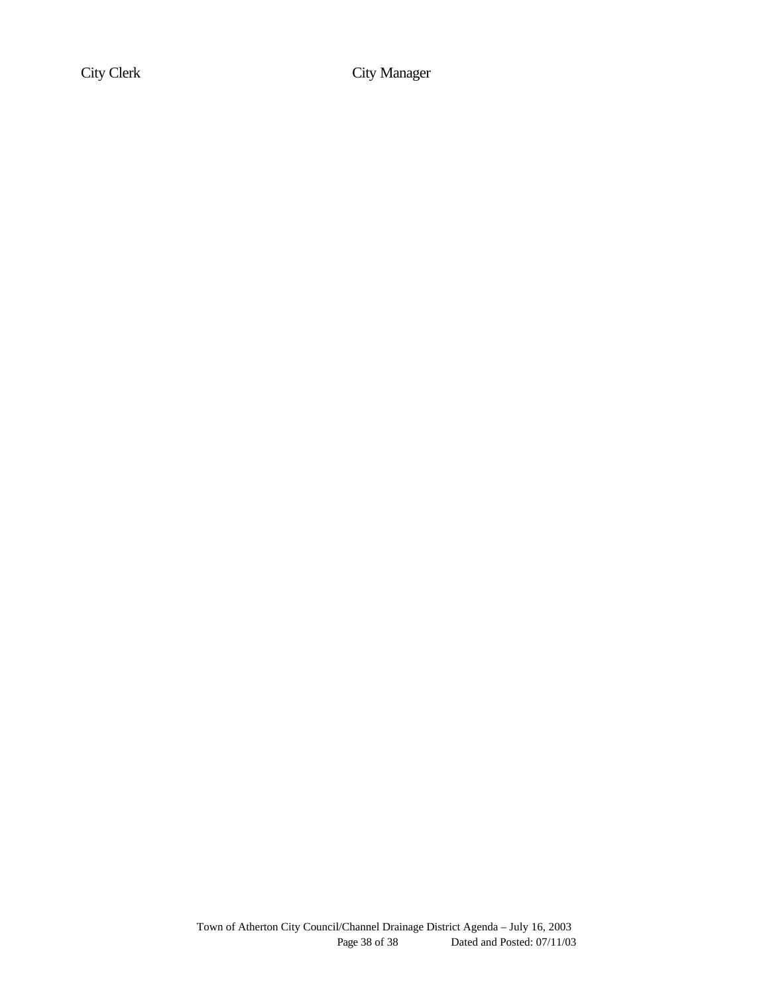City Clerk City Manager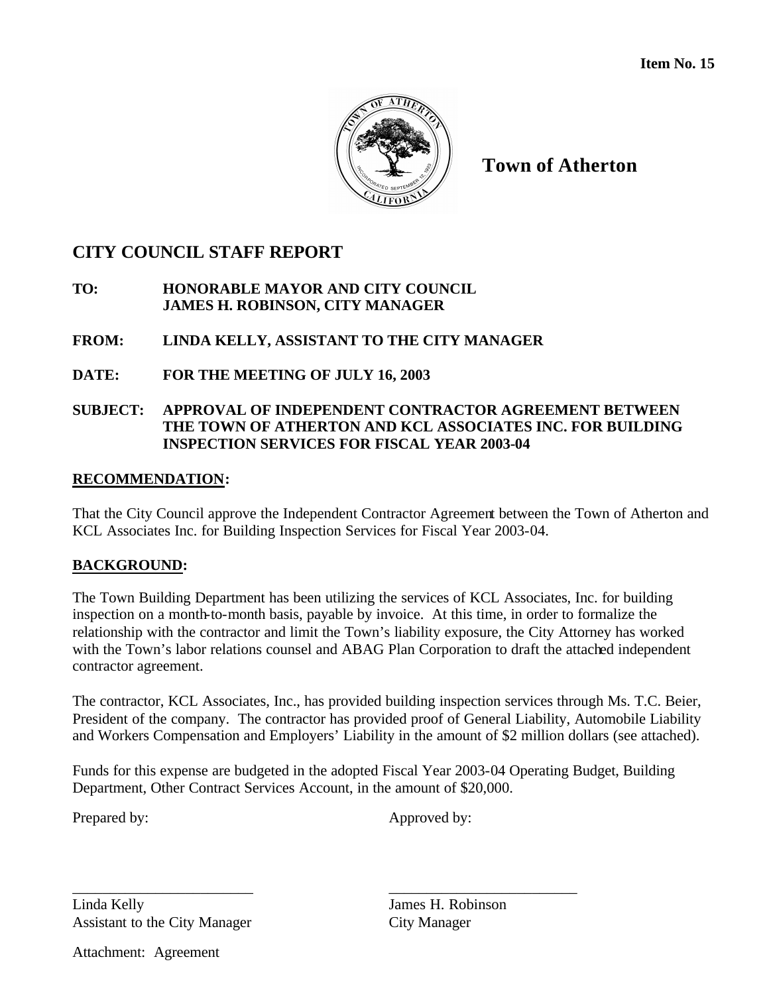

## **CITY COUNCIL STAFF REPORT**

### **TO: HONORABLE MAYOR AND CITY COUNCIL JAMES H. ROBINSON, CITY MANAGER**

## **FROM: LINDA KELLY, ASSISTANT TO THE CITY MANAGER**

## **DATE: FOR THE MEETING OF JULY 16, 2003**

## **SUBJECT: APPROVAL OF INDEPENDENT CONTRACTOR AGREEMENT BETWEEN THE TOWN OF ATHERTON AND KCL ASSOCIATES INC. FOR BUILDING INSPECTION SERVICES FOR FISCAL YEAR 2003-04**

## **RECOMMENDATION:**

That the City Council approve the Independent Contractor Agreement between the Town of Atherton and KCL Associates Inc. for Building Inspection Services for Fiscal Year 2003-04.

## **BACKGROUND:**

The Town Building Department has been utilizing the services of KCL Associates, Inc. for building inspection on a month-to-month basis, payable by invoice. At this time, in order to formalize the relationship with the contractor and limit the Town's liability exposure, the City Attorney has worked with the Town's labor relations counsel and ABAG Plan Corporation to draft the attached independent contractor agreement.

The contractor, KCL Associates, Inc., has provided building inspection services through Ms. T.C. Beier, President of the company. The contractor has provided proof of General Liability, Automobile Liability and Workers Compensation and Employers' Liability in the amount of \$2 million dollars (see attached).

Funds for this expense are budgeted in the adopted Fiscal Year 2003-04 Operating Budget, Building Department, Other Contract Services Account, in the amount of \$20,000.

\_\_\_\_\_\_\_\_\_\_\_\_\_\_\_\_\_\_\_\_\_\_\_\_ \_\_\_\_\_\_\_\_\_\_\_\_\_\_\_\_\_\_\_\_\_\_\_\_\_

Prepared by: Approved by:

Linda Kelly James H. Robinson Assistant to the City Manager City Manager

Attachment: Agreement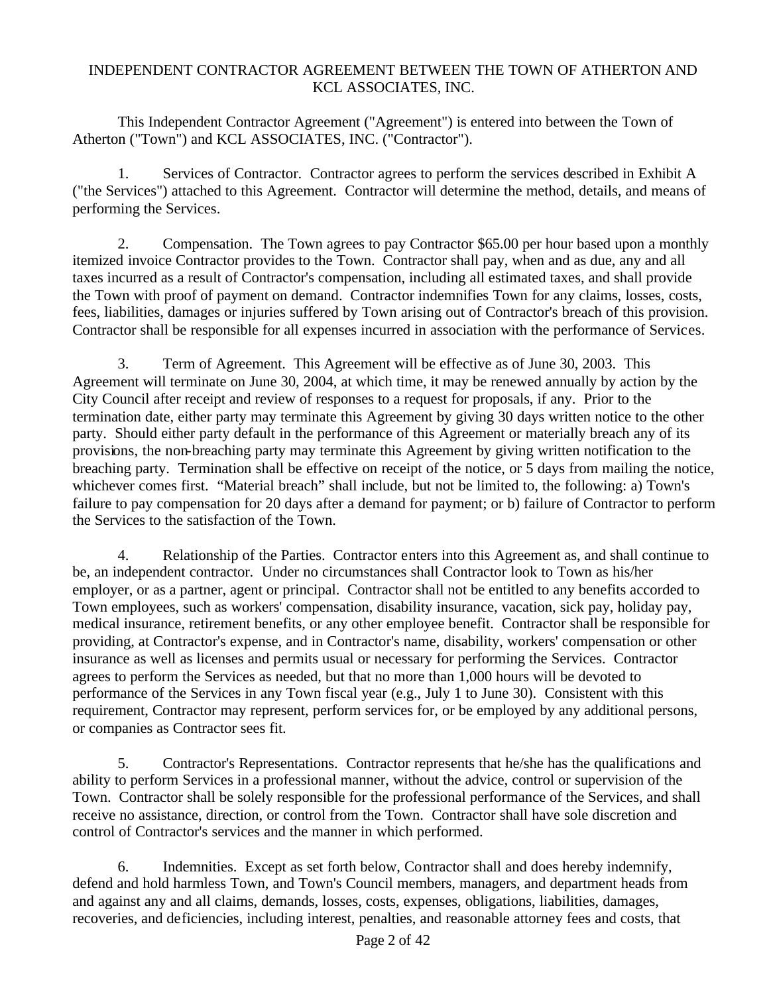### INDEPENDENT CONTRACTOR AGREEMENT BETWEEN THE TOWN OF ATHERTON AND KCL ASSOCIATES, INC.

This Independent Contractor Agreement ("Agreement") is entered into between the Town of Atherton ("Town") and KCL ASSOCIATES, INC. ("Contractor").

1. Services of Contractor. Contractor agrees to perform the services described in Exhibit A ("the Services") attached to this Agreement. Contractor will determine the method, details, and means of performing the Services.

2. Compensation. The Town agrees to pay Contractor \$65.00 per hour based upon a monthly itemized invoice Contractor provides to the Town. Contractor shall pay, when and as due, any and all taxes incurred as a result of Contractor's compensation, including all estimated taxes, and shall provide the Town with proof of payment on demand. Contractor indemnifies Town for any claims, losses, costs, fees, liabilities, damages or injuries suffered by Town arising out of Contractor's breach of this provision. Contractor shall be responsible for all expenses incurred in association with the performance of Services.

3. Term of Agreement. This Agreement will be effective as of June 30, 2003. This Agreement will terminate on June 30, 2004, at which time, it may be renewed annually by action by the City Council after receipt and review of responses to a request for proposals, if any. Prior to the termination date, either party may terminate this Agreement by giving 30 days written notice to the other party. Should either party default in the performance of this Agreement or materially breach any of its provisions, the non-breaching party may terminate this Agreement by giving written notification to the breaching party. Termination shall be effective on receipt of the notice, or 5 days from mailing the notice, whichever comes first. "Material breach" shall include, but not be limited to, the following: a) Town's failure to pay compensation for 20 days after a demand for payment; or b) failure of Contractor to perform the Services to the satisfaction of the Town.

4. Relationship of the Parties. Contractor enters into this Agreement as, and shall continue to be, an independent contractor. Under no circumstances shall Contractor look to Town as his/her employer, or as a partner, agent or principal. Contractor shall not be entitled to any benefits accorded to Town employees, such as workers' compensation, disability insurance, vacation, sick pay, holiday pay, medical insurance, retirement benefits, or any other employee benefit. Contractor shall be responsible for providing, at Contractor's expense, and in Contractor's name, disability, workers' compensation or other insurance as well as licenses and permits usual or necessary for performing the Services. Contractor agrees to perform the Services as needed, but that no more than 1,000 hours will be devoted to performance of the Services in any Town fiscal year (e.g., July 1 to June 30). Consistent with this requirement, Contractor may represent, perform services for, or be employed by any additional persons, or companies as Contractor sees fit.

5. Contractor's Representations. Contractor represents that he/she has the qualifications and ability to perform Services in a professional manner, without the advice, control or supervision of the Town. Contractor shall be solely responsible for the professional performance of the Services, and shall receive no assistance, direction, or control from the Town. Contractor shall have sole discretion and control of Contractor's services and the manner in which performed.

6. Indemnities. Except as set forth below, Contractor shall and does hereby indemnify, defend and hold harmless Town, and Town's Council members, managers, and department heads from and against any and all claims, demands, losses, costs, expenses, obligations, liabilities, damages, recoveries, and deficiencies, including interest, penalties, and reasonable attorney fees and costs, that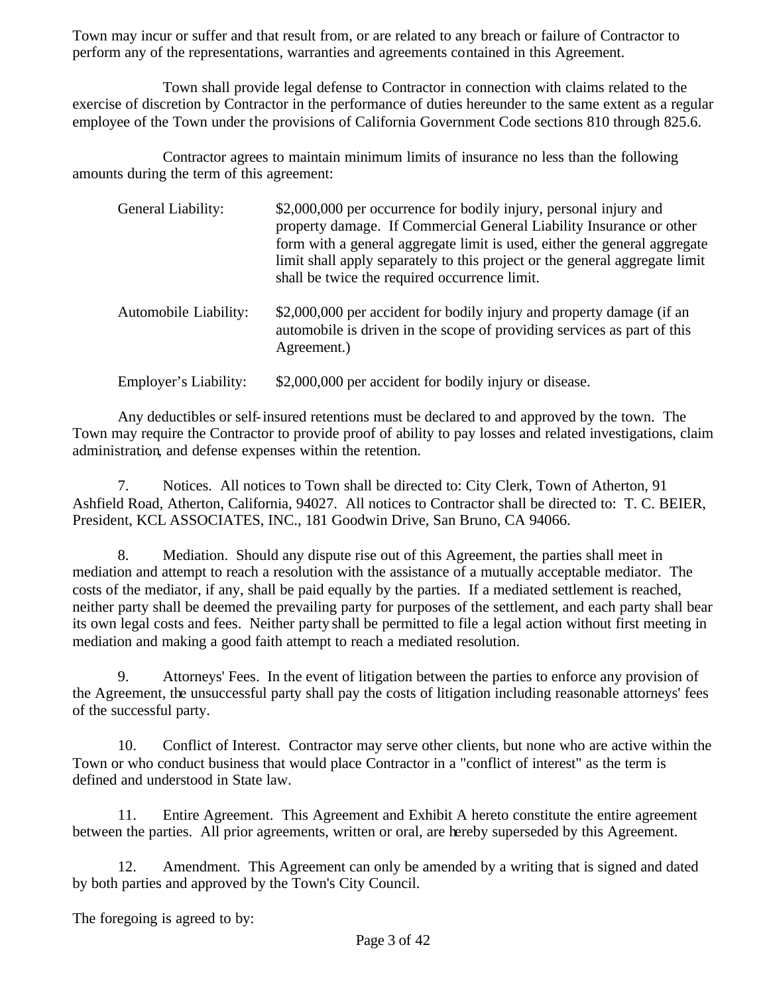Town may incur or suffer and that result from, or are related to any breach or failure of Contractor to perform any of the representations, warranties and agreements contained in this Agreement.

Town shall provide legal defense to Contractor in connection with claims related to the exercise of discretion by Contractor in the performance of duties hereunder to the same extent as a regular employee of the Town under the provisions of California Government Code sections 810 through 825.6.

Contractor agrees to maintain minimum limits of insurance no less than the following amounts during the term of this agreement:

| General Liability:    | \$2,000,000 per occurrence for bodily injury, personal injury and<br>property damage. If Commercial General Liability Insurance or other<br>form with a general aggregate limit is used, either the general aggregate<br>limit shall apply separately to this project or the general aggregate limit<br>shall be twice the required occurrence limit. |
|-----------------------|-------------------------------------------------------------------------------------------------------------------------------------------------------------------------------------------------------------------------------------------------------------------------------------------------------------------------------------------------------|
| Automobile Liability: | \$2,000,000 per accident for bodily injury and property damage (if an<br>automobile is driven in the scope of providing services as part of this<br>Agreement.)                                                                                                                                                                                       |
| Employer's Liability: | \$2,000,000 per accident for bodily injury or disease.                                                                                                                                                                                                                                                                                                |

Any deductibles or self-insured retentions must be declared to and approved by the town. The Town may require the Contractor to provide proof of ability to pay losses and related investigations, claim administration, and defense expenses within the retention.

7. Notices. All notices to Town shall be directed to: City Clerk, Town of Atherton, 91 Ashfield Road, Atherton, California, 94027. All notices to Contractor shall be directed to: T. C. BEIER, President, KCL ASSOCIATES, INC., 181 Goodwin Drive, San Bruno, CA 94066.

8. Mediation. Should any dispute rise out of this Agreement, the parties shall meet in mediation and attempt to reach a resolution with the assistance of a mutually acceptable mediator. The costs of the mediator, if any, shall be paid equally by the parties. If a mediated settlement is reached, neither party shall be deemed the prevailing party for purposes of the settlement, and each party shall bear its own legal costs and fees. Neither party shall be permitted to file a legal action without first meeting in mediation and making a good faith attempt to reach a mediated resolution.

9. Attorneys' Fees. In the event of litigation between the parties to enforce any provision of the Agreement, the unsuccessful party shall pay the costs of litigation including reasonable attorneys' fees of the successful party.

10. Conflict of Interest. Contractor may serve other clients, but none who are active within the Town or who conduct business that would place Contractor in a "conflict of interest" as the term is defined and understood in State law.

11. Entire Agreement. This Agreement and Exhibit A hereto constitute the entire agreement between the parties. All prior agreements, written or oral, are hereby superseded by this Agreement.

12. Amendment. This Agreement can only be amended by a writing that is signed and dated by both parties and approved by the Town's City Council.

The foregoing is agreed to by: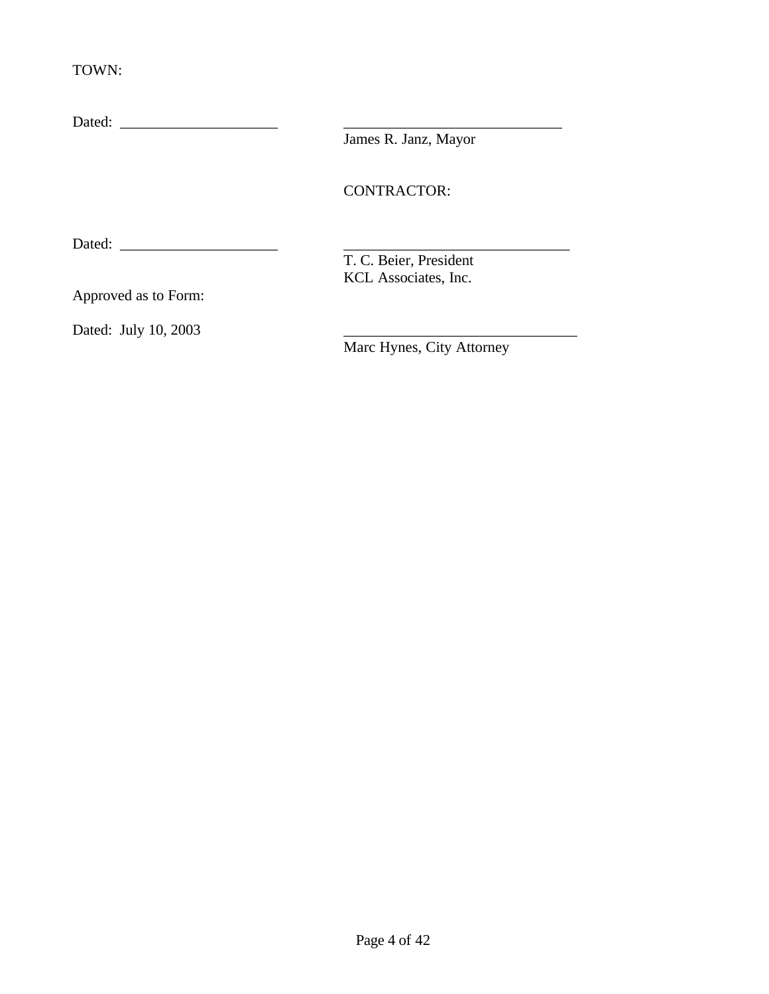TOWN:

| Dated:               |                           |  |
|----------------------|---------------------------|--|
|                      | James R. Janz, Mayor      |  |
|                      |                           |  |
|                      | <b>CONTRACTOR:</b>        |  |
| Dated:               |                           |  |
|                      | T. C. Beier, President    |  |
|                      | KCL Associates, Inc.      |  |
| Approved as to Form: |                           |  |
| Dated: July 10, 2003 |                           |  |
|                      | Marc Hynes, City Attorney |  |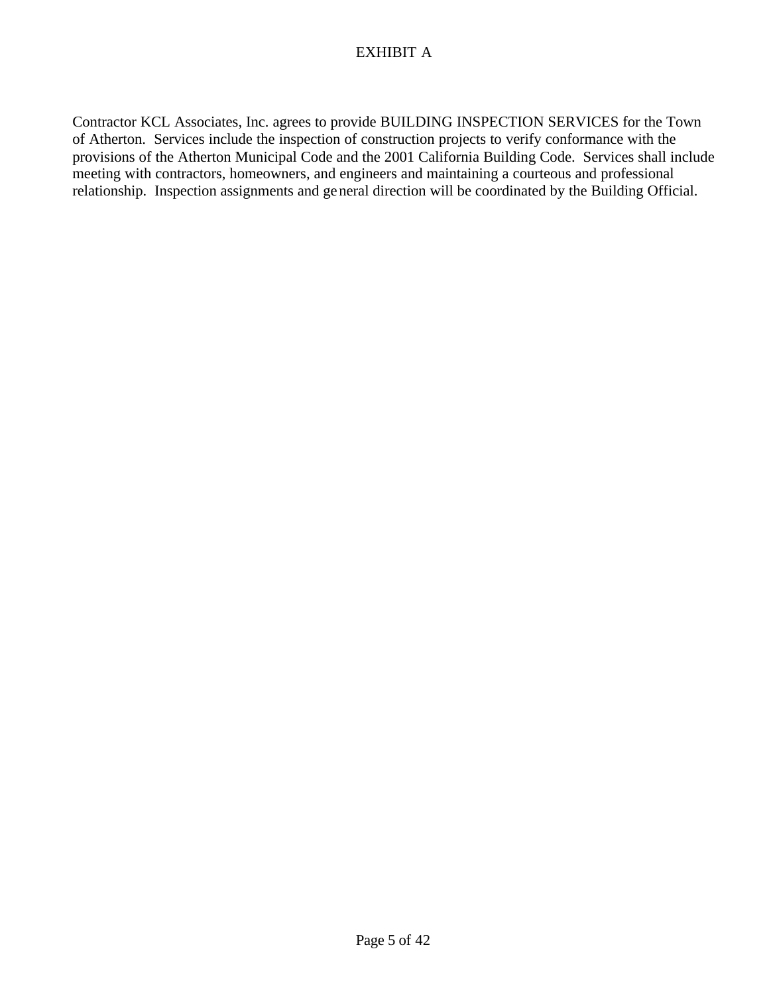## EXHIBIT A

Contractor KCL Associates, Inc. agrees to provide BUILDING INSPECTION SERVICES for the Town of Atherton. Services include the inspection of construction projects to verify conformance with the provisions of the Atherton Municipal Code and the 2001 California Building Code. Services shall include meeting with contractors, homeowners, and engineers and maintaining a courteous and professional relationship. Inspection assignments and general direction will be coordinated by the Building Official.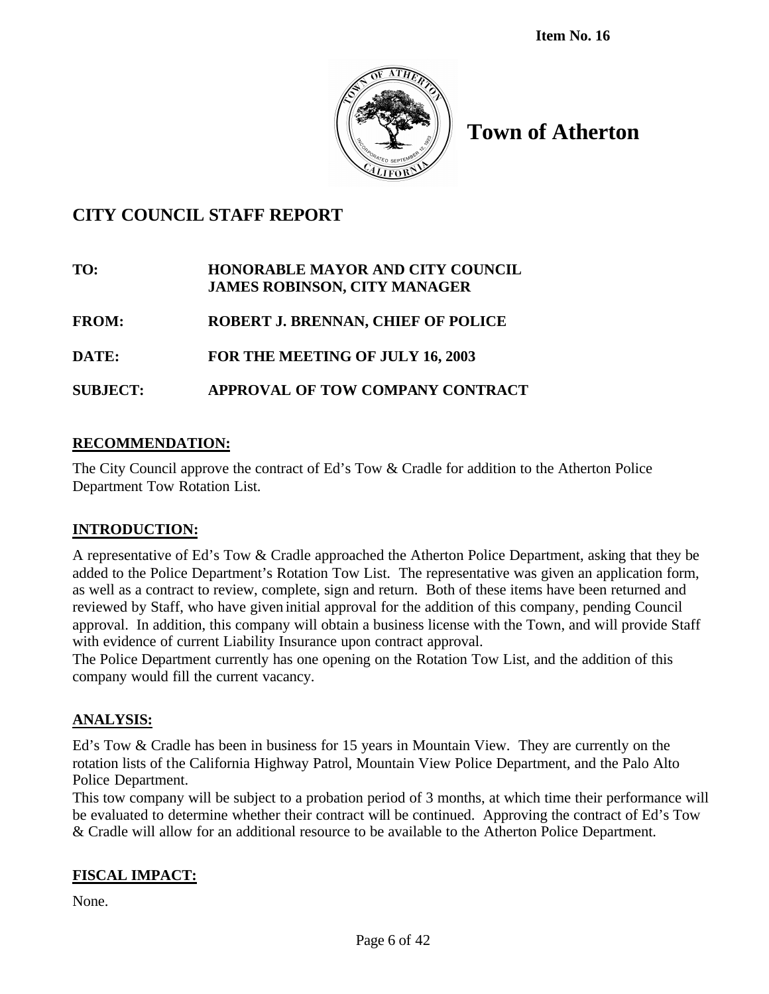

## **CITY COUNCIL STAFF REPORT**

# **TO: HONORABLE MAYOR AND CITY COUNCIL JAMES ROBINSON, CITY MANAGER**

- **FROM: ROBERT J. BRENNAN, CHIEF OF POLICE**
- **DATE: FOR THE MEETING OF JULY 16, 2003**

## **SUBJECT: APPROVAL OF TOW COMPANY CONTRACT**

## **RECOMMENDATION:**

The City Council approve the contract of Ed's Tow & Cradle for addition to the Atherton Police Department Tow Rotation List.

## **INTRODUCTION:**

A representative of Ed's Tow & Cradle approached the Atherton Police Department, asking that they be added to the Police Department's Rotation Tow List. The representative was given an application form, as well as a contract to review, complete, sign and return. Both of these items have been returned and reviewed by Staff, who have given initial approval for the addition of this company, pending Council approval. In addition, this company will obtain a business license with the Town, and will provide Staff with evidence of current Liability Insurance upon contract approval.

The Police Department currently has one opening on the Rotation Tow List, and the addition of this company would fill the current vacancy.

## **ANALYSIS:**

Ed's Tow & Cradle has been in business for 15 years in Mountain View. They are currently on the rotation lists of the California Highway Patrol, Mountain View Police Department, and the Palo Alto Police Department.

This tow company will be subject to a probation period of 3 months, at which time their performance will be evaluated to determine whether their contract will be continued. Approving the contract of Ed's Tow & Cradle will allow for an additional resource to be available to the Atherton Police Department.

## **FISCAL IMPACT:**

None.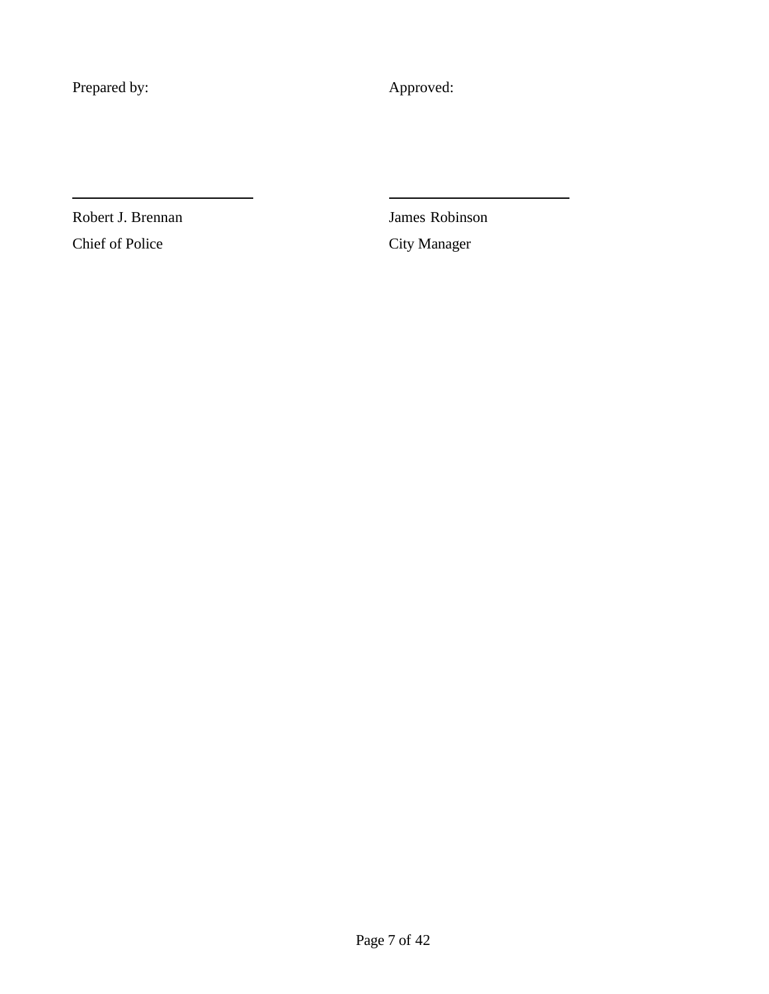Prepared by: Approved:

Chief of Police City Manager

Robert J. Brennan James Robinson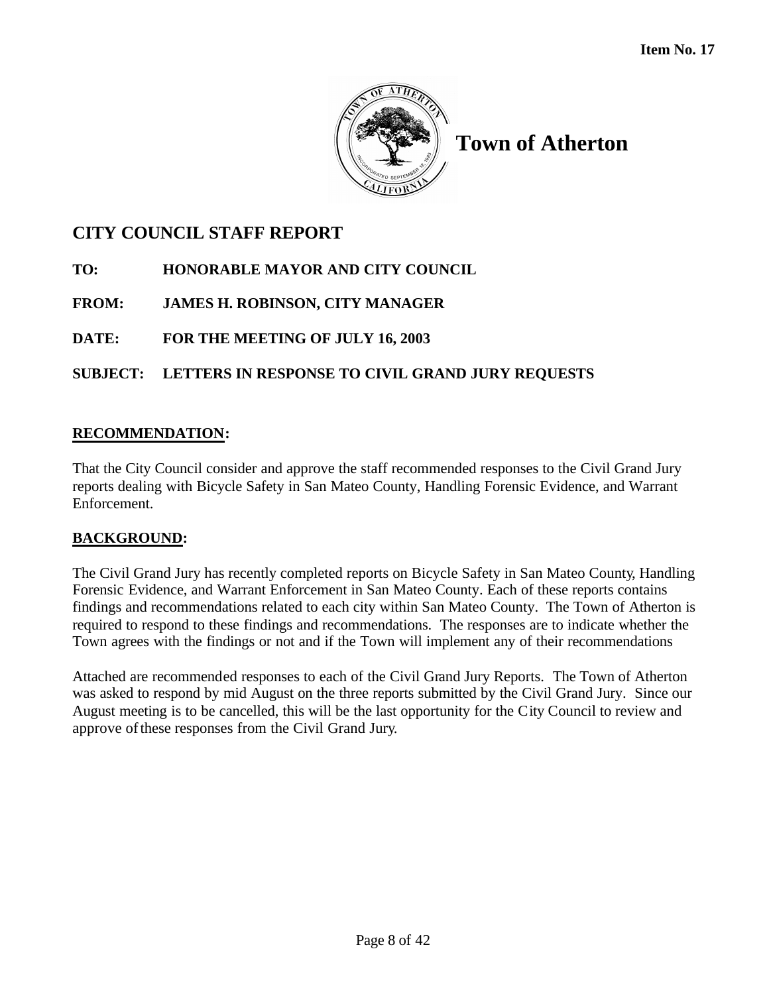

# **CITY COUNCIL STAFF REPORT**

- **TO: HONORABLE MAYOR AND CITY COUNCIL**
- **FROM: JAMES H. ROBINSON, CITY MANAGER**
- **DATE: FOR THE MEETING OF JULY 16, 2003**

## **SUBJECT: LETTERS IN RESPONSE TO CIVIL GRAND JURY REQUESTS**

## **RECOMMENDATION:**

That the City Council consider and approve the staff recommended responses to the Civil Grand Jury reports dealing with Bicycle Safety in San Mateo County, Handling Forensic Evidence, and Warrant Enforcement.

## **BACKGROUND:**

The Civil Grand Jury has recently completed reports on Bicycle Safety in San Mateo County, Handling Forensic Evidence, and Warrant Enforcement in San Mateo County. Each of these reports contains findings and recommendations related to each city within San Mateo County. The Town of Atherton is required to respond to these findings and recommendations. The responses are to indicate whether the Town agrees with the findings or not and if the Town will implement any of their recommendations

Attached are recommended responses to each of the Civil Grand Jury Reports. The Town of Atherton was asked to respond by mid August on the three reports submitted by the Civil Grand Jury. Since our August meeting is to be cancelled, this will be the last opportunity for the City Council to review and approve of these responses from the Civil Grand Jury.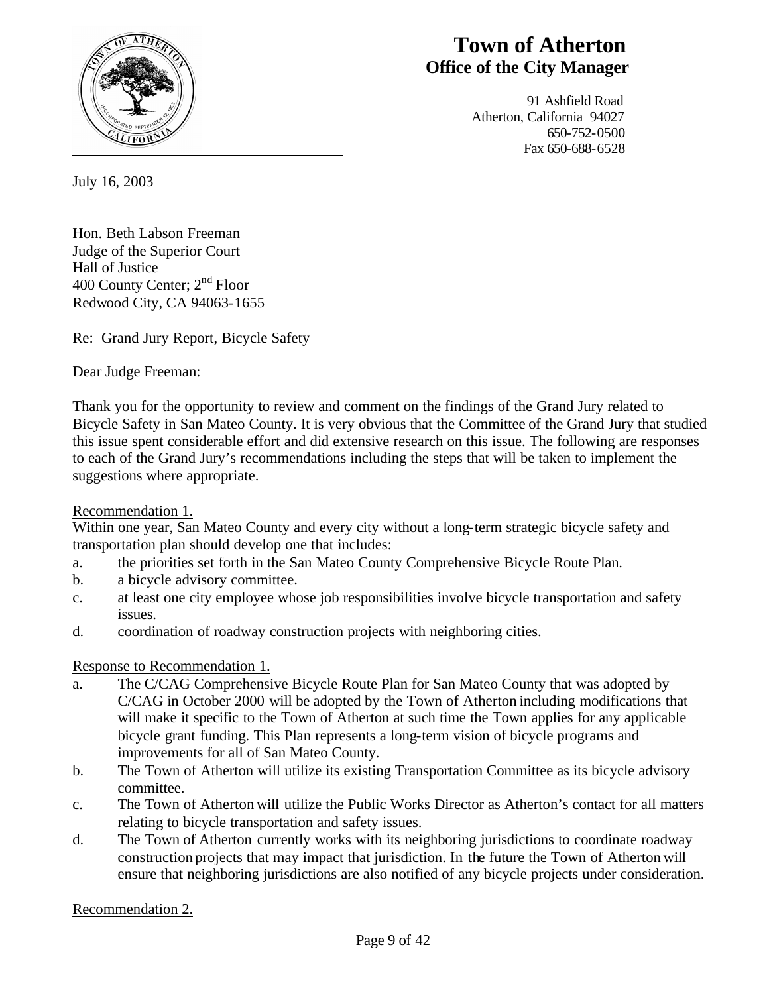

# **Town of Atherton Office of the City Manager**

 91 Ashfield Road Atherton, California 94027 650-752-0500 Fax 650-688-6528

July 16, 2003

Hon. Beth Labson Freeman Judge of the Superior Court Hall of Justice 400 County Center; 2nd Floor Redwood City, CA 94063-1655

Re: Grand Jury Report, Bicycle Safety

Dear Judge Freeman:

Thank you for the opportunity to review and comment on the findings of the Grand Jury related to Bicycle Safety in San Mateo County. It is very obvious that the Committee of the Grand Jury that studied this issue spent considerable effort and did extensive research on this issue. The following are responses to each of the Grand Jury's recommendations including the steps that will be taken to implement the suggestions where appropriate.

Recommendation 1.

Within one year, San Mateo County and every city without a long-term strategic bicycle safety and transportation plan should develop one that includes:

- a. the priorities set forth in the San Mateo County Comprehensive Bicycle Route Plan.
- b. a bicycle advisory committee.
- c. at least one city employee whose job responsibilities involve bicycle transportation and safety issues.
- d. coordination of roadway construction projects with neighboring cities.

Response to Recommendation 1.

- a. The C/CAG Comprehensive Bicycle Route Plan for San Mateo County that was adopted by C/CAG in October 2000 will be adopted by the Town of Atherton including modifications that will make it specific to the Town of Atherton at such time the Town applies for any applicable bicycle grant funding. This Plan represents a long-term vision of bicycle programs and improvements for all of San Mateo County.
- b. The Town of Atherton will utilize its existing Transportation Committee as its bicycle advisory committee.
- c. The Town of Atherton will utilize the Public Works Director as Atherton's contact for all matters relating to bicycle transportation and safety issues.
- d. The Town of Atherton currently works with its neighboring jurisdictions to coordinate roadway construction projects that may impact that jurisdiction. In the future the Town of Atherton will ensure that neighboring jurisdictions are also notified of any bicycle projects under consideration.

Recommendation 2.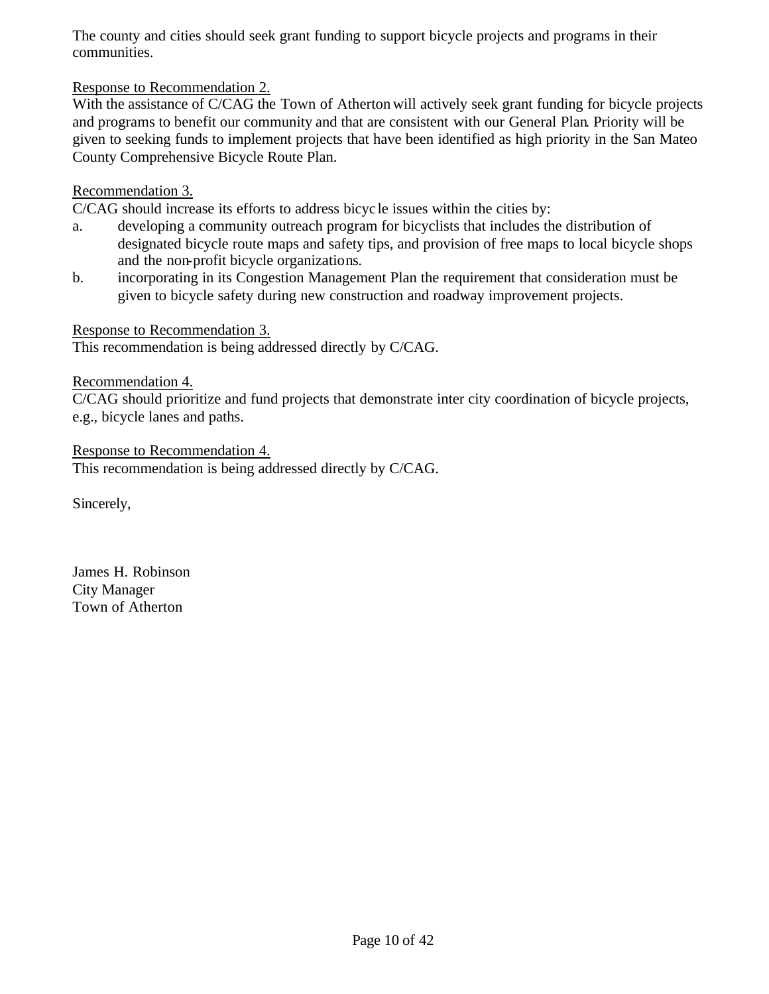The county and cities should seek grant funding to support bicycle projects and programs in their communities.

## Response to Recommendation 2.

With the assistance of C/CAG the Town of Atherton will actively seek grant funding for bicycle projects and programs to benefit our community and that are consistent with our General Plan. Priority will be given to seeking funds to implement projects that have been identified as high priority in the San Mateo County Comprehensive Bicycle Route Plan.

### Recommendation 3.

C/CAG should increase its efforts to address bicyc le issues within the cities by:

- a. developing a community outreach program for bicyclists that includes the distribution of designated bicycle route maps and safety tips, and provision of free maps to local bicycle shops and the non-profit bicycle organizations.
- b. incorporating in its Congestion Management Plan the requirement that consideration must be given to bicycle safety during new construction and roadway improvement projects.

### Response to Recommendation 3.

This recommendation is being addressed directly by C/CAG.

#### Recommendation 4.

C/CAG should prioritize and fund projects that demonstrate inter city coordination of bicycle projects, e.g., bicycle lanes and paths.

Response to Recommendation 4. This recommendation is being addressed directly by C/CAG.

Sincerely,

James H. Robinson City Manager Town of Atherton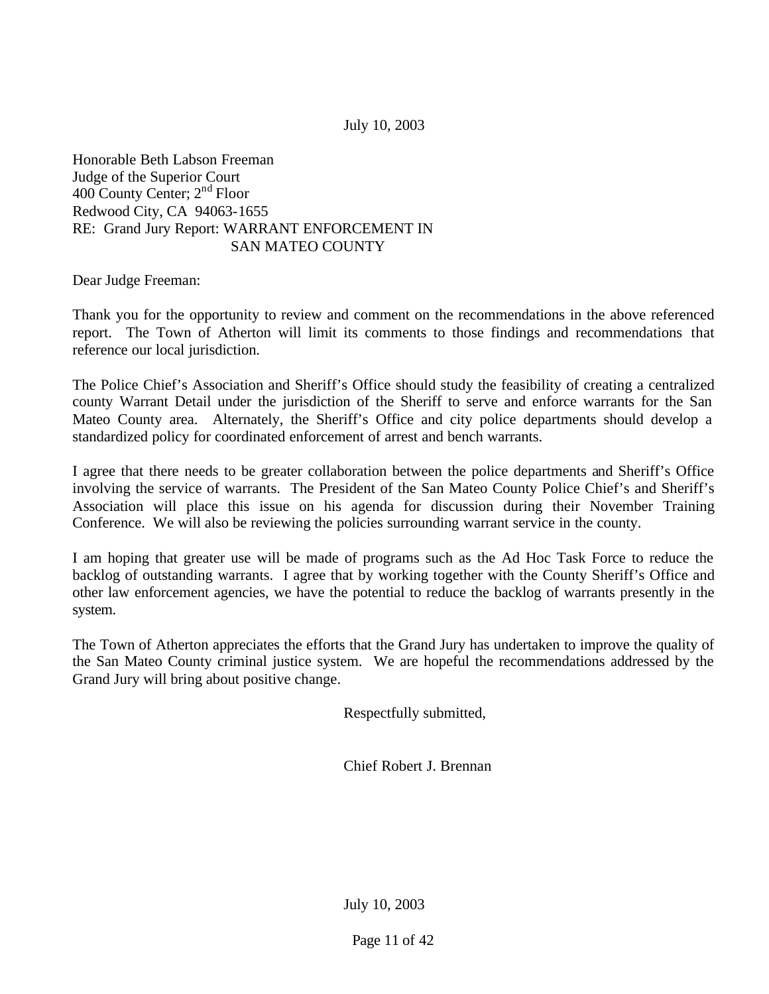July 10, 2003

Honorable Beth Labson Freeman Judge of the Superior Court 400 County Center; 2nd Floor Redwood City, CA 94063-1655 RE: Grand Jury Report: WARRANT ENFORCEMENT IN SAN MATEO COUNTY

Dear Judge Freeman:

Thank you for the opportunity to review and comment on the recommendations in the above referenced report. The Town of Atherton will limit its comments to those findings and recommendations that reference our local jurisdiction.

The Police Chief's Association and Sheriff's Office should study the feasibility of creating a centralized county Warrant Detail under the jurisdiction of the Sheriff to serve and enforce warrants for the San Mateo County area. Alternately, the Sheriff's Office and city police departments should develop a standardized policy for coordinated enforcement of arrest and bench warrants.

I agree that there needs to be greater collaboration between the police departments and Sheriff's Office involving the service of warrants. The President of the San Mateo County Police Chief's and Sheriff's Association will place this issue on his agenda for discussion during their November Training Conference. We will also be reviewing the policies surrounding warrant service in the county.

I am hoping that greater use will be made of programs such as the Ad Hoc Task Force to reduce the backlog of outstanding warrants. I agree that by working together with the County Sheriff's Office and other law enforcement agencies, we have the potential to reduce the backlog of warrants presently in the system.

The Town of Atherton appreciates the efforts that the Grand Jury has undertaken to improve the quality of the San Mateo County criminal justice system. We are hopeful the recommendations addressed by the Grand Jury will bring about positive change.

Respectfully submitted,

Chief Robert J. Brennan

July 10, 2003

Page 11 of 42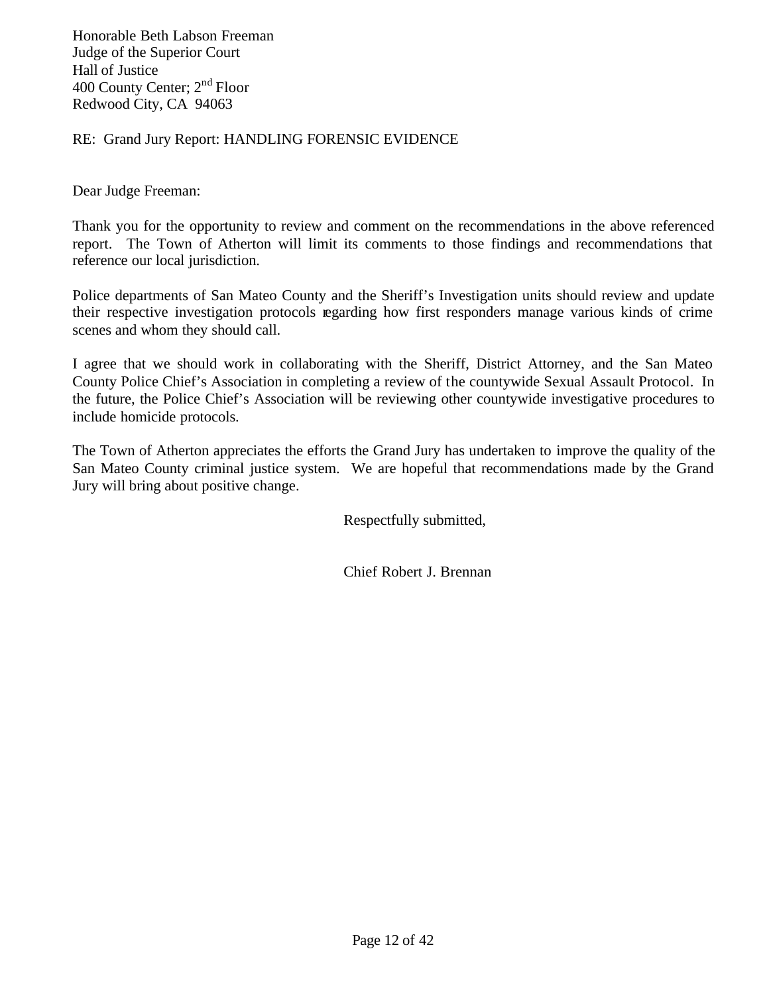Honorable Beth Labson Freeman Judge of the Superior Court Hall of Justice 400 County Center; 2<sup>nd</sup> Floor Redwood City, CA 94063

RE: Grand Jury Report: HANDLING FORENSIC EVIDENCE

Dear Judge Freeman:

Thank you for the opportunity to review and comment on the recommendations in the above referenced report. The Town of Atherton will limit its comments to those findings and recommendations that reference our local jurisdiction.

Police departments of San Mateo County and the Sheriff's Investigation units should review and update their respective investigation protocols regarding how first responders manage various kinds of crime scenes and whom they should call.

I agree that we should work in collaborating with the Sheriff, District Attorney, and the San Mateo County Police Chief's Association in completing a review of the countywide Sexual Assault Protocol. In the future, the Police Chief's Association will be reviewing other countywide investigative procedures to include homicide protocols.

The Town of Atherton appreciates the efforts the Grand Jury has undertaken to improve the quality of the San Mateo County criminal justice system. We are hopeful that recommendations made by the Grand Jury will bring about positive change.

Respectfully submitted,

Chief Robert J. Brennan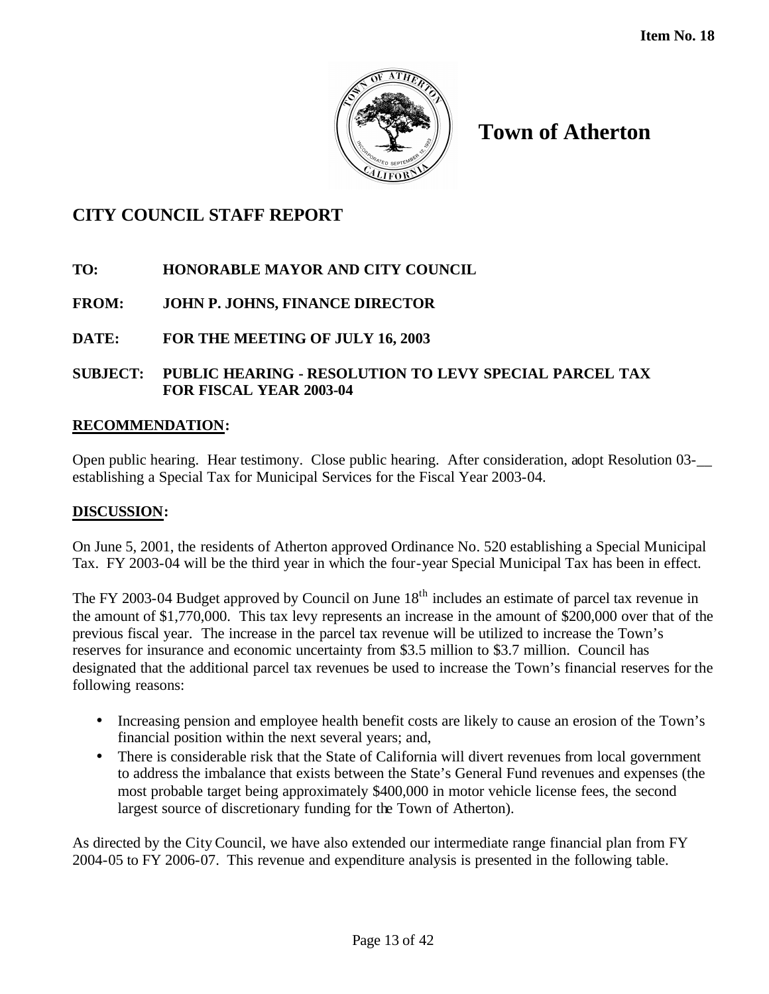

## **CITY COUNCIL STAFF REPORT**

## **TO: HONORABLE MAYOR AND CITY COUNCIL**

## **FROM: JOHN P. JOHNS, FINANCE DIRECTOR**

## **DATE: FOR THE MEETING OF JULY 16, 2003**

## **SUBJECT: PUBLIC HEARING - RESOLUTION TO LEVY SPECIAL PARCEL TAX FOR FISCAL YEAR 2003-04**

## **RECOMMENDATION:**

Open public hearing. Hear testimony. Close public hearing. After consideration, adopt Resolution 03-\_\_ establishing a Special Tax for Municipal Services for the Fiscal Year 2003-04.

#### **DISCUSSION:**

On June 5, 2001, the residents of Atherton approved Ordinance No. 520 establishing a Special Municipal Tax. FY 2003-04 will be the third year in which the four-year Special Municipal Tax has been in effect.

The FY 2003-04 Budget approved by Council on June 18<sup>th</sup> includes an estimate of parcel tax revenue in the amount of \$1,770,000. This tax levy represents an increase in the amount of \$200,000 over that of the previous fiscal year. The increase in the parcel tax revenue will be utilized to increase the Town's reserves for insurance and economic uncertainty from \$3.5 million to \$3.7 million. Council has designated that the additional parcel tax revenues be used to increase the Town's financial reserves for the following reasons:

- Increasing pension and employee health benefit costs are likely to cause an erosion of the Town's financial position within the next several years; and,
- There is considerable risk that the State of California will divert revenues from local government to address the imbalance that exists between the State's General Fund revenues and expenses (the most probable target being approximately \$400,000 in motor vehicle license fees, the second largest source of discretionary funding for the Town of Atherton).

As directed by the City Council, we have also extended our intermediate range financial plan from FY 2004-05 to FY 2006-07. This revenue and expenditure analysis is presented in the following table.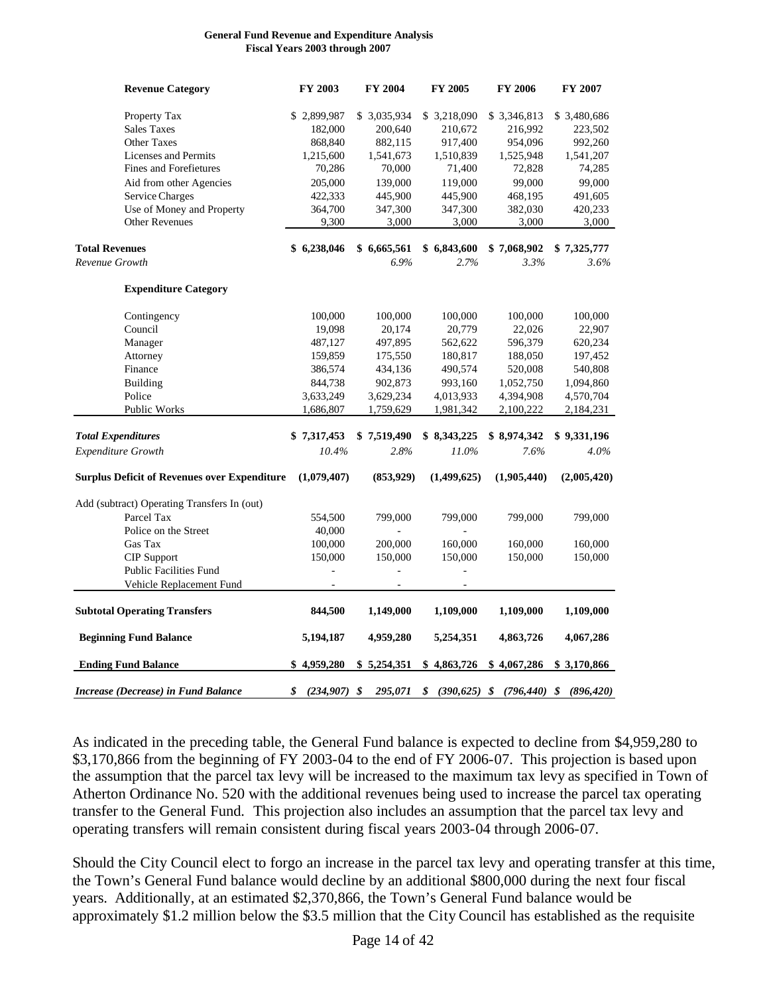#### **General Fund Revenue and Expenditure Analysis Fiscal Years 2003 through 2007**

| <b>Revenue Category</b>                             | FY 2003              | <b>FY 2004</b> | FY 2005      | <b>FY 2006</b>                               | FY 2007     |
|-----------------------------------------------------|----------------------|----------------|--------------|----------------------------------------------|-------------|
| Property Tax                                        | \$2,899,987          | \$3,035,934    | \$ 3,218,090 | \$ 3,346,813                                 | \$3,480,686 |
| <b>Sales Taxes</b>                                  | 182,000              | 200,640        | 210,672      | 216,992                                      | 223,502     |
| <b>Other Taxes</b>                                  | 868,840              | 882,115        | 917,400      | 954,096                                      | 992,260     |
| <b>Licenses and Permits</b>                         | 1,215,600            | 1,541,673      | 1,510,839    | 1,525,948                                    | 1,541,207   |
| Fines and Forefietures                              | 70,286               | 70,000         | 71,400       | 72,828                                       | 74,285      |
| Aid from other Agencies                             | 205,000              | 139,000        | 119,000      | 99,000                                       | 99,000      |
| <b>Service Charges</b>                              | 422,333              | 445,900        | 445,900      | 468,195                                      | 491,605     |
| Use of Money and Property                           | 364,700              | 347,300        | 347,300      | 382,030                                      | 420,233     |
| <b>Other Revenues</b>                               | 9,300                | 3,000          | 3,000        | 3,000                                        | 3,000       |
| <b>Total Revenues</b>                               | \$6,238,046          | \$6,665,561    | \$6,843,600  | \$7,068,902                                  | \$7,325,777 |
| Revenue Growth                                      |                      | 6.9%           | 2.7%         | 3.3%                                         | $3.6\%$     |
| <b>Expenditure Category</b>                         |                      |                |              |                                              |             |
| Contingency                                         | 100,000              | 100,000        | 100,000      | 100,000                                      | 100,000     |
| Council                                             | 19,098               | 20,174         | 20,779       | 22,026                                       | 22,907      |
| Manager                                             | 487,127              | 497,895        | 562,622      | 596,379                                      | 620,234     |
| Attorney                                            | 159,859              | 175,550        | 180,817      | 188,050                                      | 197,452     |
| Finance                                             | 386,574              | 434,136        | 490,574      | 520,008                                      | 540,808     |
| Building                                            | 844,738              | 902,873        | 993,160      | 1,052,750                                    | 1,094,860   |
| Police                                              | 3,633,249            | 3,629,234      | 4,013,933    | 4,394,908                                    | 4,570,704   |
| Public Works                                        | 1,686,807            | 1,759,629      | 1,981,342    | 2,100,222                                    | 2,184,231   |
| <b>Total Expenditures</b>                           | \$7,317,453          | \$7,519,490    | \$ 8,343,225 | \$8,974,342                                  | \$9,331,196 |
| Expenditure Growth                                  | 10.4%                | 2.8%           | 11.0%        | 7.6%                                         | 4.0%        |
| <b>Surplus Deficit of Revenues over Expenditure</b> | (1,079,407)          | (853,929)      | (1,499,625)  | (1,905,440)                                  | (2,005,420) |
| Add (subtract) Operating Transfers In (out)         |                      |                |              |                                              |             |
| Parcel Tax                                          | 554,500              | 799,000        | 799,000      | 799,000                                      | 799,000     |
| Police on the Street                                | 40,000               |                |              |                                              |             |
| Gas Tax                                             | 100,000              | 200,000        | 160,000      | 160,000                                      | 160,000     |
| <b>CIP</b> Support                                  | 150,000              | 150,000        | 150,000      | 150,000                                      | 150,000     |
| <b>Public Facilities Fund</b>                       | ÷,                   | $\frac{1}{2}$  | L,           |                                              |             |
| Vehicle Replacement Fund                            |                      |                |              |                                              |             |
| <b>Subtotal Operating Transfers</b>                 | 844,500              | 1,149,000      | 1,109,000    | 1,109,000                                    | 1,109,000   |
| <b>Beginning Fund Balance</b>                       | 5,194,187            | 4,959,280      | 5,254,351    | 4,863,726                                    | 4,067,286   |
| <b>Ending Fund Balance</b>                          | \$4,959,280          | \$5,254,351    | \$4,863,726  | \$4,067,286                                  | \$3,170,866 |
| <b>Increase (Decrease) in Fund Balance</b>          | \$<br>$(234,907)$ \$ | 295,071        | \$           | $(390, 625)$ \$ $(796, 440)$ \$ $(896, 420)$ |             |

As indicated in the preceding table, the General Fund balance is expected to decline from \$4,959,280 to \$3,170,866 from the beginning of FY 2003-04 to the end of FY 2006-07. This projection is based upon the assumption that the parcel tax levy will be increased to the maximum tax levy as specified in Town of Atherton Ordinance No. 520 with the additional revenues being used to increase the parcel tax operating transfer to the General Fund. This projection also includes an assumption that the parcel tax levy and operating transfers will remain consistent during fiscal years 2003-04 through 2006-07.

Should the City Council elect to forgo an increase in the parcel tax levy and operating transfer at this time, the Town's General Fund balance would decline by an additional \$800,000 during the next four fiscal years. Additionally, at an estimated \$2,370,866, the Town's General Fund balance would be approximately \$1.2 million below the \$3.5 million that the City Council has established as the requisite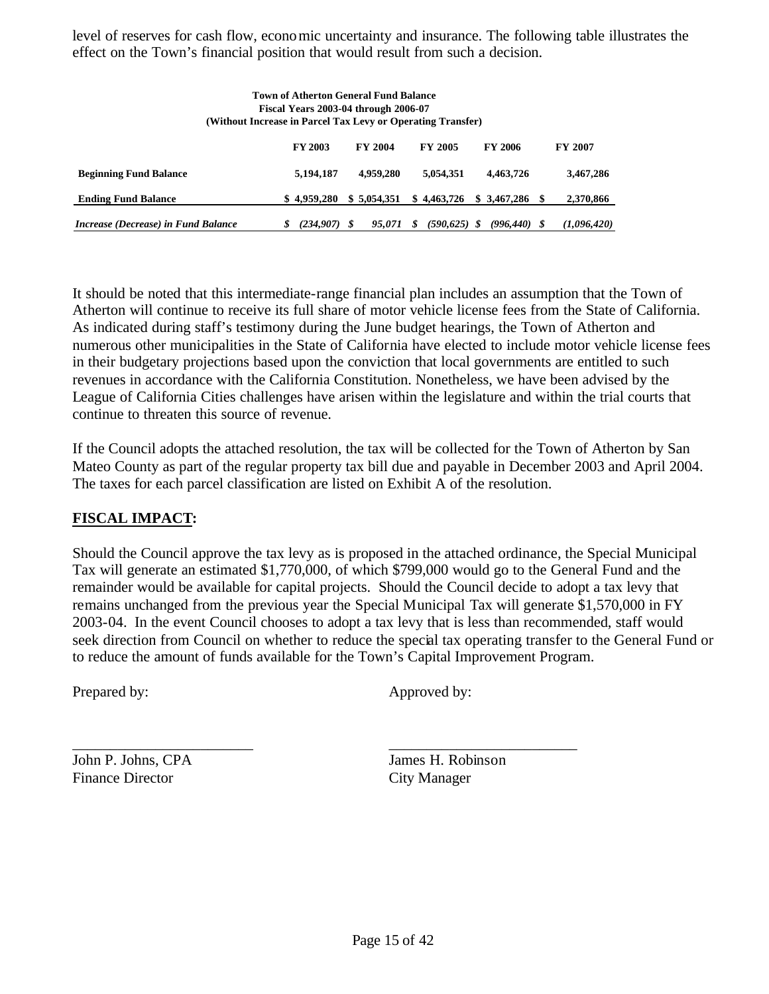level of reserves for cash flow, economic uncertainty and insurance. The following table illustrates the effect on the Town's financial position that would result from such a decision.

|                                     | Town of Atherton General Fund Balance<br>Fiscal Years 2003-04 through 2006-07<br>(Without Increase in Parcel Tax Levy or Operating Transfer) |                |                      |                 |                |
|-------------------------------------|----------------------------------------------------------------------------------------------------------------------------------------------|----------------|----------------------|-----------------|----------------|
|                                     | <b>FY 2003</b>                                                                                                                               | <b>FY 2004</b> | <b>FY 2005</b>       | <b>FY 2006</b>  | <b>FY 2007</b> |
| <b>Beginning Fund Balance</b>       | 5,194,187                                                                                                                                    | 4,959,280      | 5.054.351            | 4.463.726       | 3,467,286      |
| <b>Ending Fund Balance</b>          | \$4.959.280                                                                                                                                  | \$5.054.351    | \$4.463.726          | \$ 3.467.286    | 2,370,866      |
| Increase (Decrease) in Fund Balance | (234.907)<br>S                                                                                                                               | \$<br>95.071   | $(590, 625)$ \$<br>S | $(996, 440)$ \$ | (1,096,420)    |

It should be noted that this intermediate-range financial plan includes an assumption that the Town of Atherton will continue to receive its full share of motor vehicle license fees from the State of California. As indicated during staff's testimony during the June budget hearings, the Town of Atherton and numerous other municipalities in the State of California have elected to include motor vehicle license fees in their budgetary projections based upon the conviction that local governments are entitled to such revenues in accordance with the California Constitution. Nonetheless, we have been advised by the League of California Cities challenges have arisen within the legislature and within the trial courts that continue to threaten this source of revenue.

If the Council adopts the attached resolution, the tax will be collected for the Town of Atherton by San Mateo County as part of the regular property tax bill due and payable in December 2003 and April 2004. The taxes for each parcel classification are listed on Exhibit A of the resolution.

## **FISCAL IMPACT:**

Should the Council approve the tax levy as is proposed in the attached ordinance, the Special Municipal Tax will generate an estimated \$1,770,000, of which \$799,000 would go to the General Fund and the remainder would be available for capital projects. Should the Council decide to adopt a tax levy that remains unchanged from the previous year the Special Municipal Tax will generate \$1,570,000 in FY 2003-04. In the event Council chooses to adopt a tax levy that is less than recommended, staff would seek direction from Council on whether to reduce the special tax operating transfer to the General Fund or to reduce the amount of funds available for the Town's Capital Improvement Program.

\_\_\_\_\_\_\_\_\_\_\_\_\_\_\_\_\_\_\_\_\_\_\_\_ \_\_\_\_\_\_\_\_\_\_\_\_\_\_\_\_\_\_\_\_\_\_\_\_\_

Prepared by: Approved by:

John P. Johns, CPA James H. Robinson Finance Director City Manager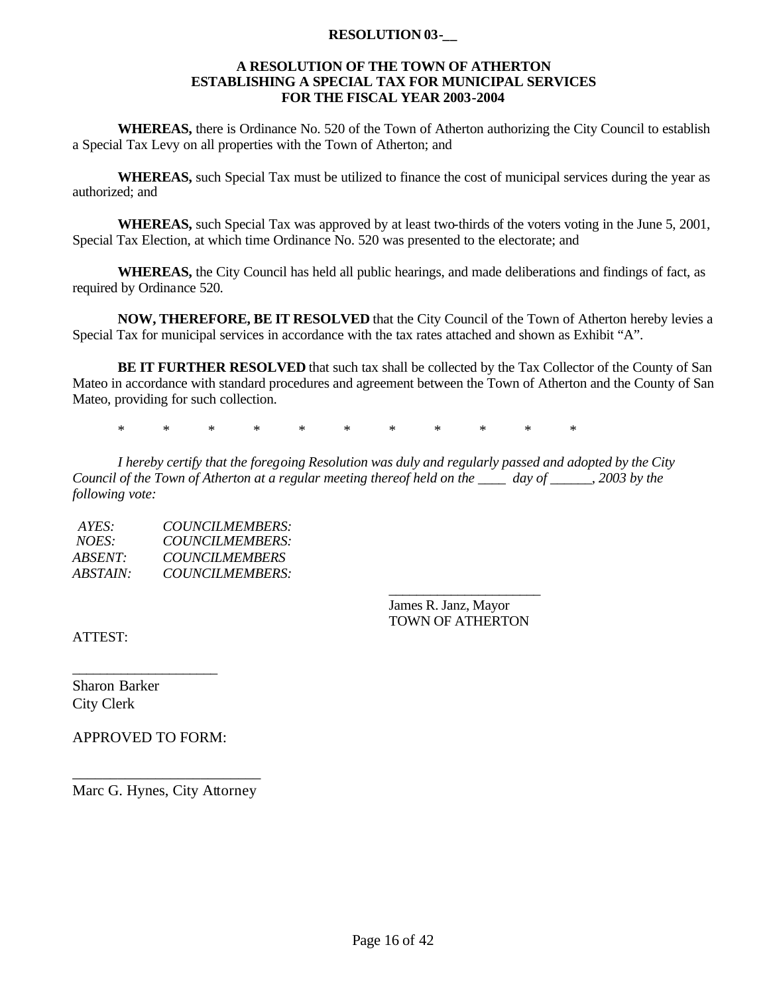#### **RESOLUTION 03-\_\_**

#### **A RESOLUTION OF THE TOWN OF ATHERTON ESTABLISHING A SPECIAL TAX FOR MUNICIPAL SERVICES FOR THE FISCAL YEAR 2003-2004**

**WHEREAS,** there is Ordinance No. 520 of the Town of Atherton authorizing the City Council to establish a Special Tax Levy on all properties with the Town of Atherton; and

**WHEREAS,** such Special Tax must be utilized to finance the cost of municipal services during the year as authorized; and

**WHEREAS,** such Special Tax was approved by at least two-thirds of the voters voting in the June 5, 2001, Special Tax Election, at which time Ordinance No. 520 was presented to the electorate; and

**WHEREAS,** the City Council has held all public hearings, and made deliberations and findings of fact, as required by Ordinance 520.

**NOW, THEREFORE, BE IT RESOLVED** that the City Council of the Town of Atherton hereby levies a Special Tax for municipal services in accordance with the tax rates attached and shown as Exhibit "A".

**BE IT FURTHER RESOLVED** that such tax shall be collected by the Tax Collector of the County of San Mateo in accordance with standard procedures and agreement between the Town of Atherton and the County of San Mateo, providing for such collection.

\* \* \* \* \* \* \* \* \* \* \*

*I hereby certify that the foregoing Resolution was duly and regularly passed and adopted by the City Council of the Town of Atherton at a regular meeting thereof held on the \_\_\_\_ day of \_\_\_\_\_\_, 2003 by the following vote:* 

*AYES: COUNCILMEMBERS: NOES: COUNCILMEMBERS: ABSENT: COUNCILMEMBERS ABSTAIN: COUNCILMEMBERS:* 

> *\_\_\_\_\_\_\_\_\_\_\_\_\_\_\_\_\_\_\_\_\_\_* James R. Janz, Mayor TOWN OF ATHERTON

ATTEST:

Sharon Barker City Clerk

APPROVED TO FORM:

\_\_\_\_\_\_\_\_\_\_\_\_\_\_\_\_\_\_\_\_\_

\_\_\_\_\_\_\_\_\_\_\_\_\_\_\_\_\_\_\_\_\_\_\_\_\_ Marc G. Hynes, City Attorney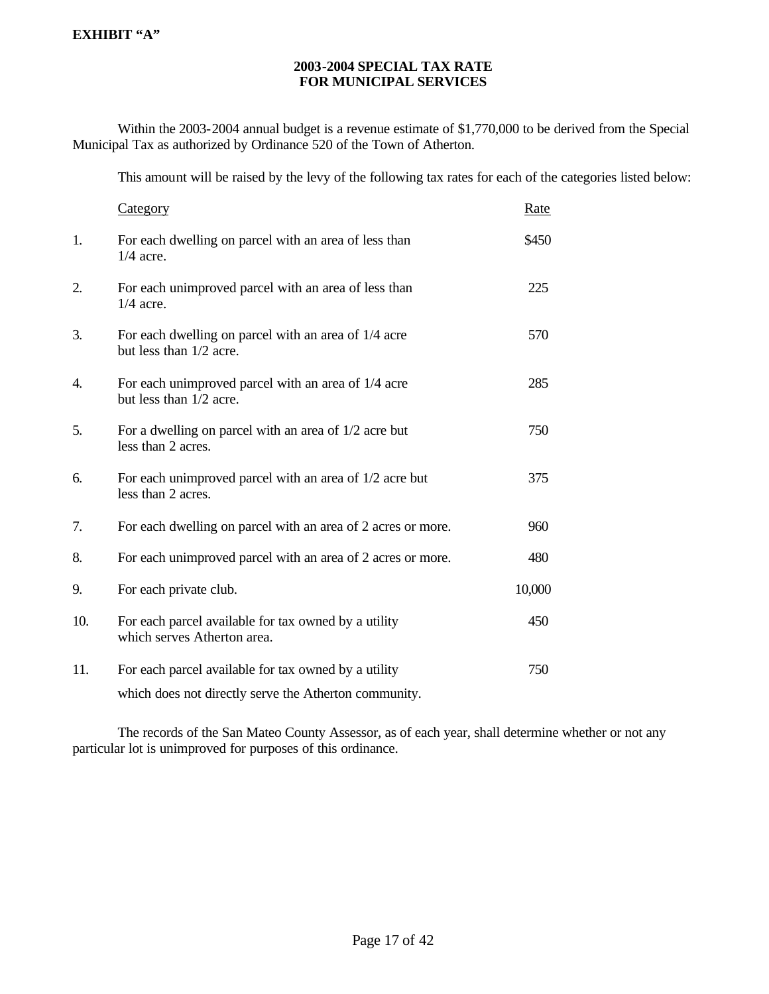#### **2003-2004 SPECIAL TAX RATE FOR MUNICIPAL SERVICES**

Within the 2003-2004 annual budget is a revenue estimate of \$1,770,000 to be derived from the Special Municipal Tax as authorized by Ordinance 520 of the Town of Atherton.

This amount will be raised by the levy of the following tax rates for each of the categories listed below:

|     | Category                                                                                                      | Rate   |
|-----|---------------------------------------------------------------------------------------------------------------|--------|
| 1.  | For each dwelling on parcel with an area of less than<br>$1/4$ acre.                                          | \$450  |
| 2.  | For each unimproved parcel with an area of less than<br>$1/4$ acre.                                           | 225    |
| 3.  | For each dwelling on parcel with an area of 1/4 acre<br>but less than 1/2 acre.                               | 570    |
| 4.  | For each unimproved parcel with an area of 1/4 acre<br>but less than 1/2 acre.                                | 285    |
| 5.  | For a dwelling on parcel with an area of 1/2 acre but<br>less than 2 acres.                                   | 750    |
| 6.  | For each unimproved parcel with an area of 1/2 acre but<br>less than 2 acres.                                 | 375    |
| 7.  | For each dwelling on parcel with an area of 2 acres or more.                                                  | 960    |
| 8.  | For each unimproved parcel with an area of 2 acres or more.                                                   | 480    |
| 9.  | For each private club.                                                                                        | 10,000 |
| 10. | For each parcel available for tax owned by a utility<br>which serves Atherton area.                           | 450    |
| 11. | For each parcel available for tax owned by a utility<br>which does not directly serve the Atherton community. | 750    |

The records of the San Mateo County Assessor, as of each year, shall determine whether or not any particular lot is unimproved for purposes of this ordinance.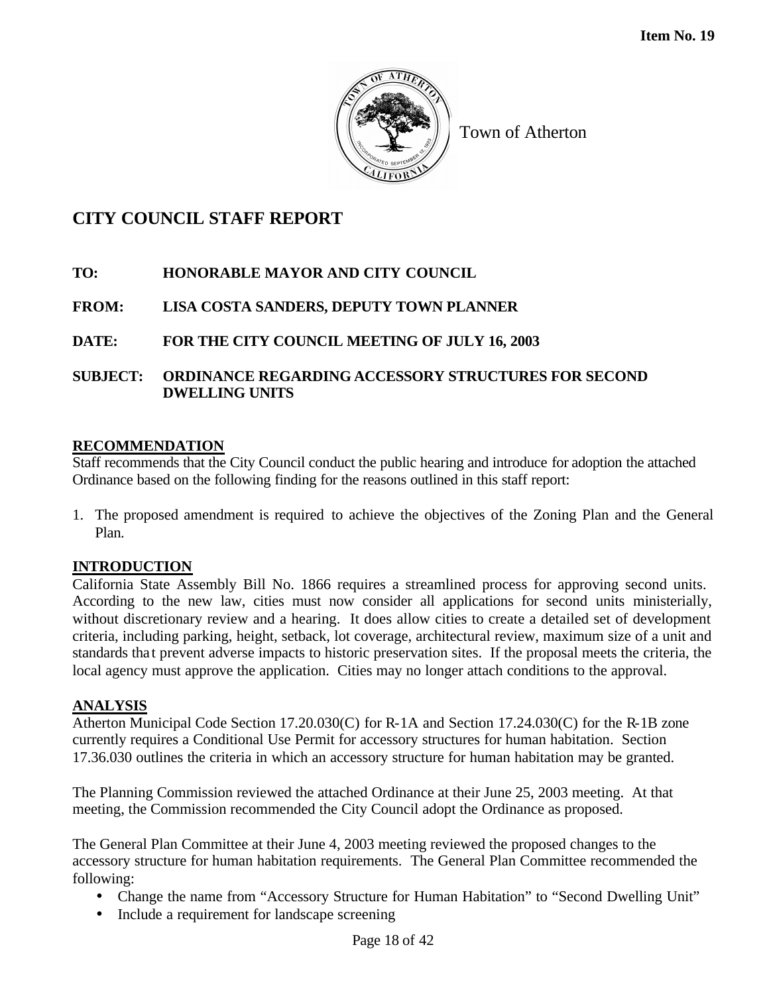

## **CITY COUNCIL STAFF REPORT**

## **TO: HONORABLE MAYOR AND CITY COUNCIL**

## **FROM: LISA COSTA SANDERS, DEPUTY TOWN PLANNER**

## **DATE: FOR THE CITY COUNCIL MEETING OF JULY 16, 2003**

## **SUBJECT: ORDINANCE REGARDING ACCESSORY STRUCTURES FOR SECOND DWELLING UNITS**

## **RECOMMENDATION**

Staff recommends that the City Council conduct the public hearing and introduce for adoption the attached Ordinance based on the following finding for the reasons outlined in this staff report:

1. The proposed amendment is required to achieve the objectives of the Zoning Plan and the General Plan.

## **INTRODUCTION**

California State Assembly Bill No. 1866 requires a streamlined process for approving second units. According to the new law, cities must now consider all applications for second units ministerially, without discretionary review and a hearing. It does allow cities to create a detailed set of development criteria, including parking, height, setback, lot coverage, architectural review, maximum size of a unit and standards tha t prevent adverse impacts to historic preservation sites. If the proposal meets the criteria, the local agency must approve the application. Cities may no longer attach conditions to the approval.

## **ANALYSIS**

Atherton Municipal Code Section 17.20.030(C) for R-1A and Section 17.24.030(C) for the R-1B zone currently requires a Conditional Use Permit for accessory structures for human habitation. Section 17.36.030 outlines the criteria in which an accessory structure for human habitation may be granted.

The Planning Commission reviewed the attached Ordinance at their June 25, 2003 meeting. At that meeting, the Commission recommended the City Council adopt the Ordinance as proposed.

The General Plan Committee at their June 4, 2003 meeting reviewed the proposed changes to the accessory structure for human habitation requirements. The General Plan Committee recommended the following:

- Change the name from "Accessory Structure for Human Habitation" to "Second Dwelling Unit"
- Include a requirement for landscape screening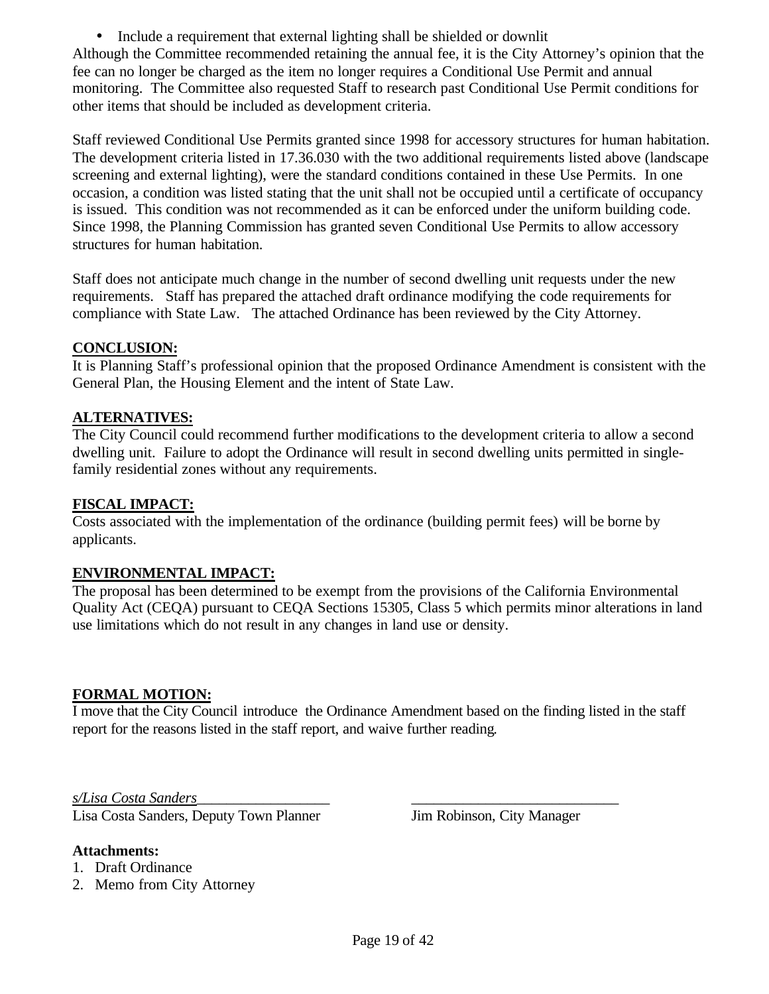• Include a requirement that external lighting shall be shielded or downlit Although the Committee recommended retaining the annual fee, it is the City Attorney's opinion that the fee can no longer be charged as the item no longer requires a Conditional Use Permit and annual monitoring. The Committee also requested Staff to research past Conditional Use Permit conditions for other items that should be included as development criteria.

Staff reviewed Conditional Use Permits granted since 1998 for accessory structures for human habitation. The development criteria listed in 17.36.030 with the two additional requirements listed above (landscape screening and external lighting), were the standard conditions contained in these Use Permits. In one occasion, a condition was listed stating that the unit shall not be occupied until a certificate of occupancy is issued. This condition was not recommended as it can be enforced under the uniform building code. Since 1998, the Planning Commission has granted seven Conditional Use Permits to allow accessory structures for human habitation.

Staff does not anticipate much change in the number of second dwelling unit requests under the new requirements. Staff has prepared the attached draft ordinance modifying the code requirements for compliance with State Law. The attached Ordinance has been reviewed by the City Attorney.

### **CONCLUSION:**

It is Planning Staff's professional opinion that the proposed Ordinance Amendment is consistent with the General Plan, the Housing Element and the intent of State Law.

### **ALTERNATIVES:**

The City Council could recommend further modifications to the development criteria to allow a second dwelling unit. Failure to adopt the Ordinance will result in second dwelling units permitted in singlefamily residential zones without any requirements.

#### **FISCAL IMPACT:**

Costs associated with the implementation of the ordinance (building permit fees) will be borne by applicants.

#### **ENVIRONMENTAL IMPACT:**

The proposal has been determined to be exempt from the provisions of the California Environmental Quality Act (CEQA) pursuant to CEQA Sections 15305, Class 5 which permits minor alterations in land use limitations which do not result in any changes in land use or density.

#### **FORMAL MOTION:**

I move that the City Council introduce the Ordinance Amendment based on the finding listed in the staff report for the reasons listed in the staff report, and waive further reading.

*s/Lisa Costa Sanders*\_\_\_\_\_\_\_\_\_\_\_\_\_\_\_\_\_\_ \_\_\_\_\_\_\_\_\_\_\_\_\_\_\_\_\_\_\_\_\_\_\_\_\_\_\_\_

Lisa Costa Sanders, Deputy Town Planner Jim Robinson, City Manager

#### **Attachments:**

- 1. Draft Ordinance
- 2. Memo from City Attorney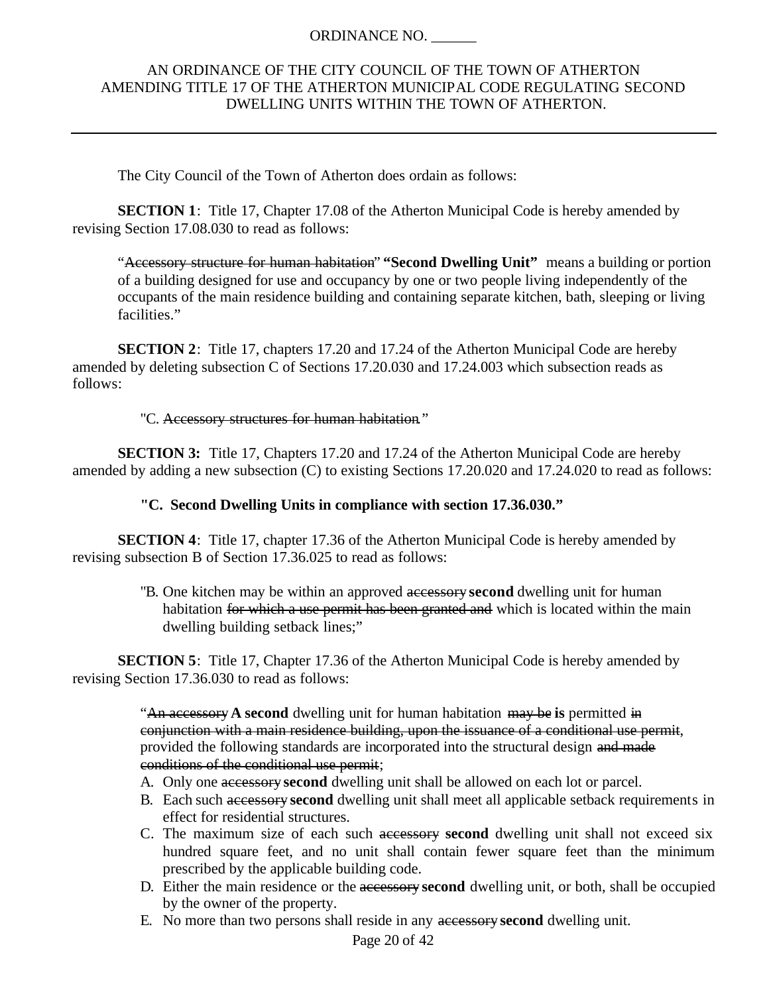### ORDINANCE NO. \_\_\_\_\_\_

### AN ORDINANCE OF THE CITY COUNCIL OF THE TOWN OF ATHERTON AMENDING TITLE 17 OF THE ATHERTON MUNICIPAL CODE REGULATING SECOND DWELLING UNITS WITHIN THE TOWN OF ATHERTON.

The City Council of the Town of Atherton does ordain as follows:

**SECTION 1**: Title 17, Chapter 17.08 of the Atherton Municipal Code is hereby amended by revising Section 17.08.030 to read as follows:

"Accessory structure for human habitation" **"Second Dwelling Unit"** means a building or portion of a building designed for use and occupancy by one or two people living independently of the occupants of the main residence building and containing separate kitchen, bath, sleeping or living facilities."

**SECTION 2**: Title 17, chapters 17.20 and 17.24 of the Atherton Municipal Code are hereby amended by deleting subsection C of Sections 17.20.030 and 17.24.003 which subsection reads as follows:

#### "C. Accessory structures for human habitation."

**SECTION 3:** Title 17, Chapters 17.20 and 17.24 of the Atherton Municipal Code are hereby amended by adding a new subsection (C) to existing Sections 17.20.020 and 17.24.020 to read as follows:

#### **"C. Second Dwelling Units in compliance with section 17.36.030."**

**SECTION 4**: Title 17, chapter 17.36 of the Atherton Municipal Code is hereby amended by revising subsection B of Section 17.36.025 to read as follows:

> "B. One kitchen may be within an approved accessory **second** dwelling unit for human habitation for which a use permit has been granted and which is located within the main dwelling building setback lines;"

**SECTION 5**: Title 17, Chapter 17.36 of the Atherton Municipal Code is hereby amended by revising Section 17.36.030 to read as follows:

> "An accessory**A second** dwelling unit for human habitation may be **is** permitted in conjunction with a main residence building, upon the issuance of a conditional use permit, provided the following standards are incorporated into the structural design and made conditions of the conditional use permit;

- A. Only one accessory **second** dwelling unit shall be allowed on each lot or parcel.
- B. Each such accessory **second** dwelling unit shall meet all applicable setback requirements in effect for residential structures.
- C. The maximum size of each such accessory **second** dwelling unit shall not exceed six hundred square feet, and no unit shall contain fewer square feet than the minimum prescribed by the applicable building code.
- D. Either the main residence or the accessory **second** dwelling unit, or both, shall be occupied by the owner of the property.
- E. No more than two persons shall reside in any accessory **second** dwelling unit.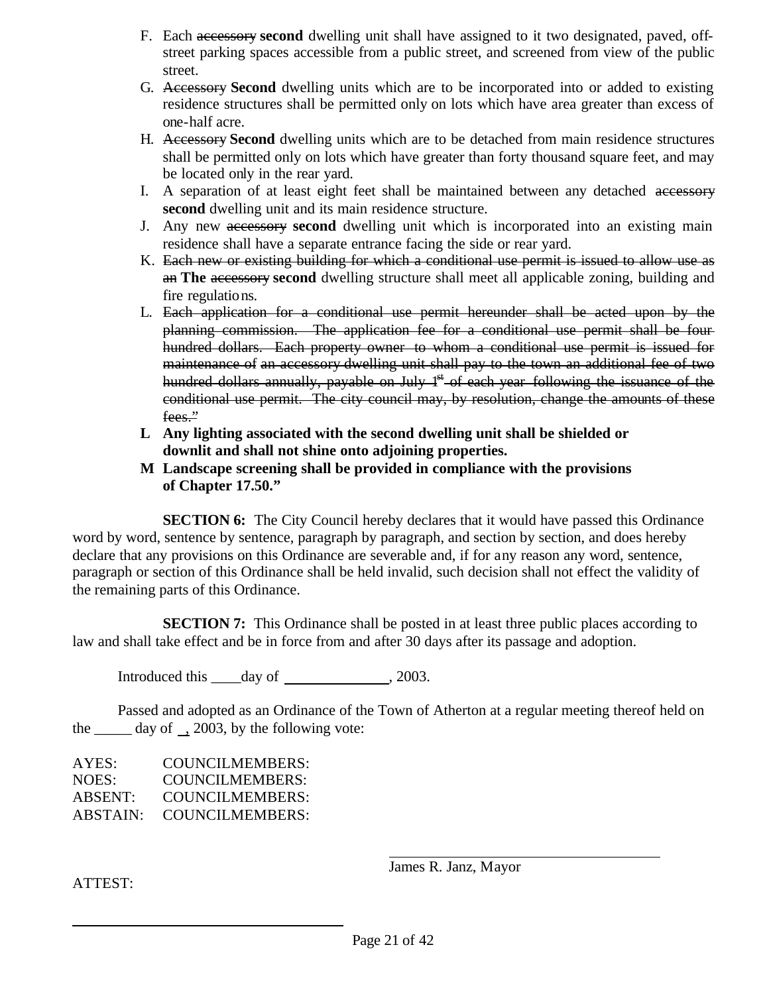- F. Each accessory **second** dwelling unit shall have assigned to it two designated, paved, offstreet parking spaces accessible from a public street, and screened from view of the public street.
- G. Accessory **Second** dwelling units which are to be incorporated into or added to existing residence structures shall be permitted only on lots which have area greater than excess of one-half acre.
- H. Accessory **Second** dwelling units which are to be detached from main residence structures shall be permitted only on lots which have greater than forty thousand square feet, and may be located only in the rear yard.
- I. A separation of at least eight feet shall be maintained between any detached accessory **second** dwelling unit and its main residence structure.
- J. Any new accessory **second** dwelling unit which is incorporated into an existing main residence shall have a separate entrance facing the side or rear yard.
- K. Each new or existing building for which a conditional use permit is issued to allow use as an **The** accessory **second** dwelling structure shall meet all applicable zoning, building and fire regulations.
- L. Each application for a conditional use permit hereunder shall be acted upon by the planning commission. The application fee for a conditional use permit shall be four hundred dollars. Each property owner to whom a conditional use permit is issued for maintenance of an accessory dwelling unit shall pay to the town an additional fee of two hundred dollars annually, payable on July  $1<sup>st</sup>$  of each year following the issuance of the conditional use permit. The city council may, by resolution, change the amounts of these fees."
- **L Any lighting associated with the second dwelling unit shall be shielded or downlit and shall not shine onto adjoining properties.**
- **M Landscape screening shall be provided in compliance with the provisions of Chapter 17.50."**

**SECTION 6:** The City Council hereby declares that it would have passed this Ordinance word by word, sentence by sentence, paragraph by paragraph, and section by section, and does hereby declare that any provisions on this Ordinance are severable and, if for any reason any word, sentence, paragraph or section of this Ordinance shall be held invalid, such decision shall not effect the validity of the remaining parts of this Ordinance.

**SECTION 7:** This Ordinance shall be posted in at least three public places according to law and shall take effect and be in force from and after 30 days after its passage and adoption.

Introduced this  $\_\_\_day$  of , 2003.

Passed and adopted as an Ordinance of the Town of Atherton at a regular meeting thereof held on the  $\_\_\_\$  day of  $\_\_$  2003, by the following vote:

AYES: COUNCILMEMBERS: NOES: COUNCILMEMBERS: ABSENT: COUNCILMEMBERS: ABSTAIN: COUNCILMEMBERS:

James R. Janz, Mayor

ATTEST: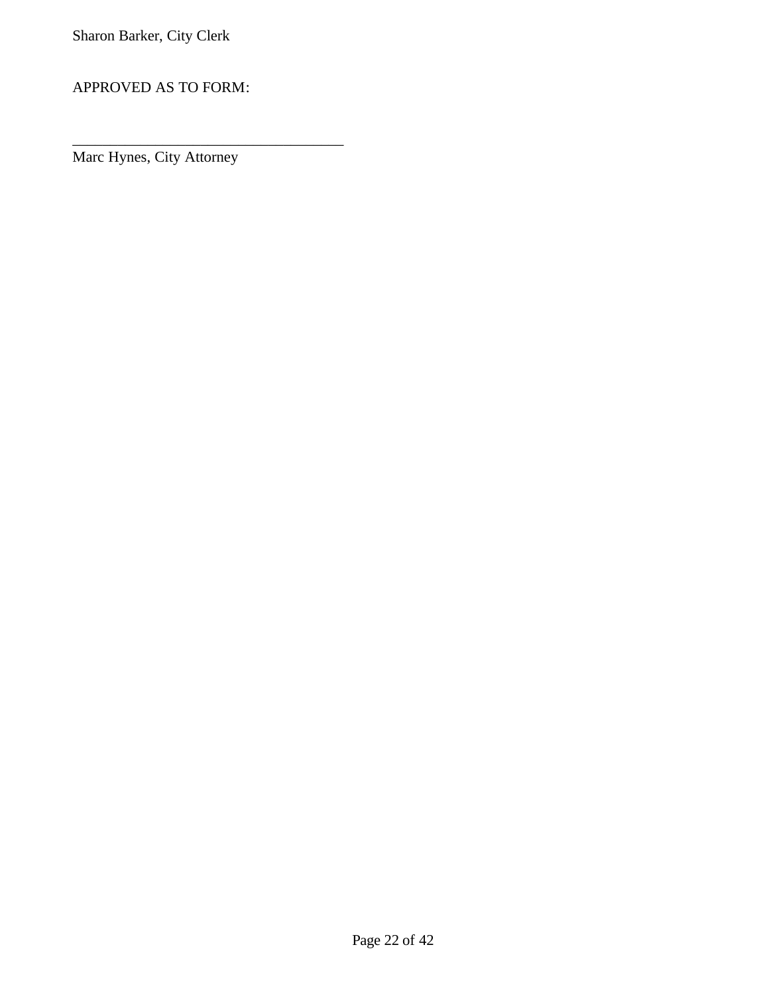APPROVED AS TO FORM:

\_\_\_\_\_\_\_\_\_\_\_\_\_\_\_\_\_\_\_\_\_\_\_\_\_\_\_\_\_\_\_\_\_\_\_\_

Marc Hynes, City Attorney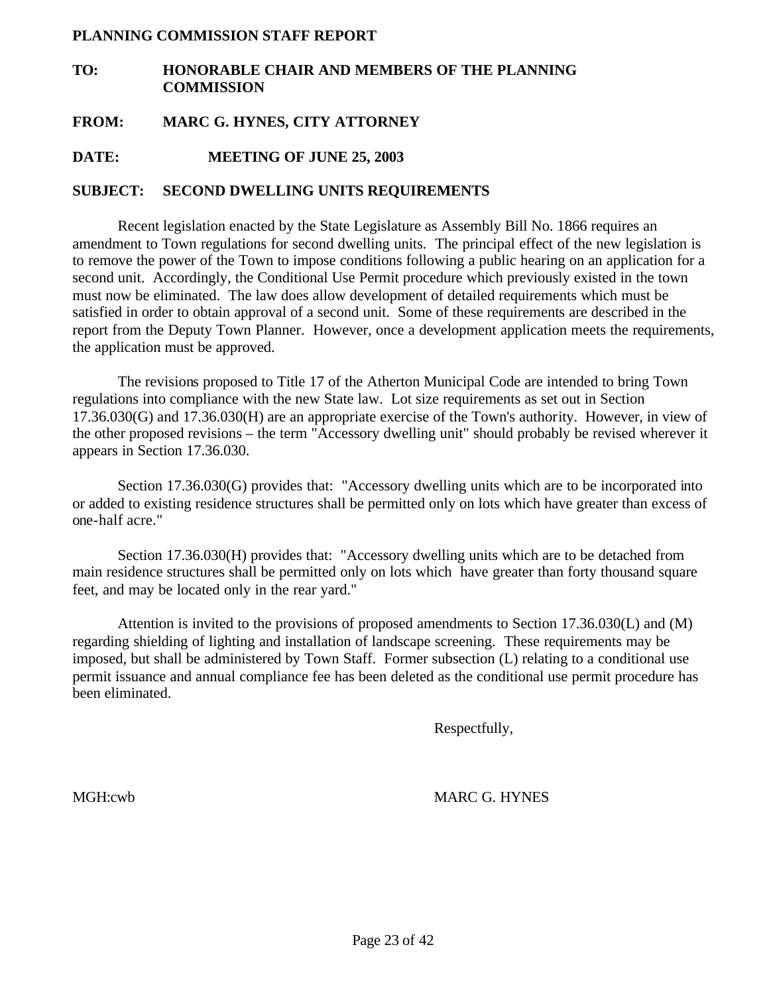#### **PLANNING COMMISSION STAFF REPORT**

### **TO: HONORABLE CHAIR AND MEMBERS OF THE PLANNING COMMISSION**

#### **FROM: MARC G. HYNES, CITY ATTORNEY**

**DATE: MEETING OF JUNE 25, 2003**

#### **SUBJECT: SECOND DWELLING UNITS REQUIREMENTS**

Recent legislation enacted by the State Legislature as Assembly Bill No. 1866 requires an amendment to Town regulations for second dwelling units. The principal effect of the new legislation is to remove the power of the Town to impose conditions following a public hearing on an application for a second unit. Accordingly, the Conditional Use Permit procedure which previously existed in the town must now be eliminated. The law does allow development of detailed requirements which must be satisfied in order to obtain approval of a second unit. Some of these requirements are described in the report from the Deputy Town Planner. However, once a development application meets the requirements, the application must be approved.

The revisions proposed to Title 17 of the Atherton Municipal Code are intended to bring Town regulations into compliance with the new State law. Lot size requirements as set out in Section 17.36.030(G) and 17.36.030(H) are an appropriate exercise of the Town's authority. However, in view of the other proposed revisions – the term "Accessory dwelling unit" should probably be revised wherever it appears in Section 17.36.030.

Section 17.36.030(G) provides that: "Accessory dwelling units which are to be incorporated into or added to existing residence structures shall be permitted only on lots which have greater than excess of one-half acre."

Section 17.36.030(H) provides that: "Accessory dwelling units which are to be detached from main residence structures shall be permitted only on lots which have greater than forty thousand square feet, and may be located only in the rear yard."

Attention is invited to the provisions of proposed amendments to Section 17.36.030(L) and (M) regarding shielding of lighting and installation of landscape screening. These requirements may be imposed, but shall be administered by Town Staff. Former subsection (L) relating to a conditional use permit issuance and annual compliance fee has been deleted as the conditional use permit procedure has been eliminated.

Respectfully,

MGH:cwb MARC G. HYNES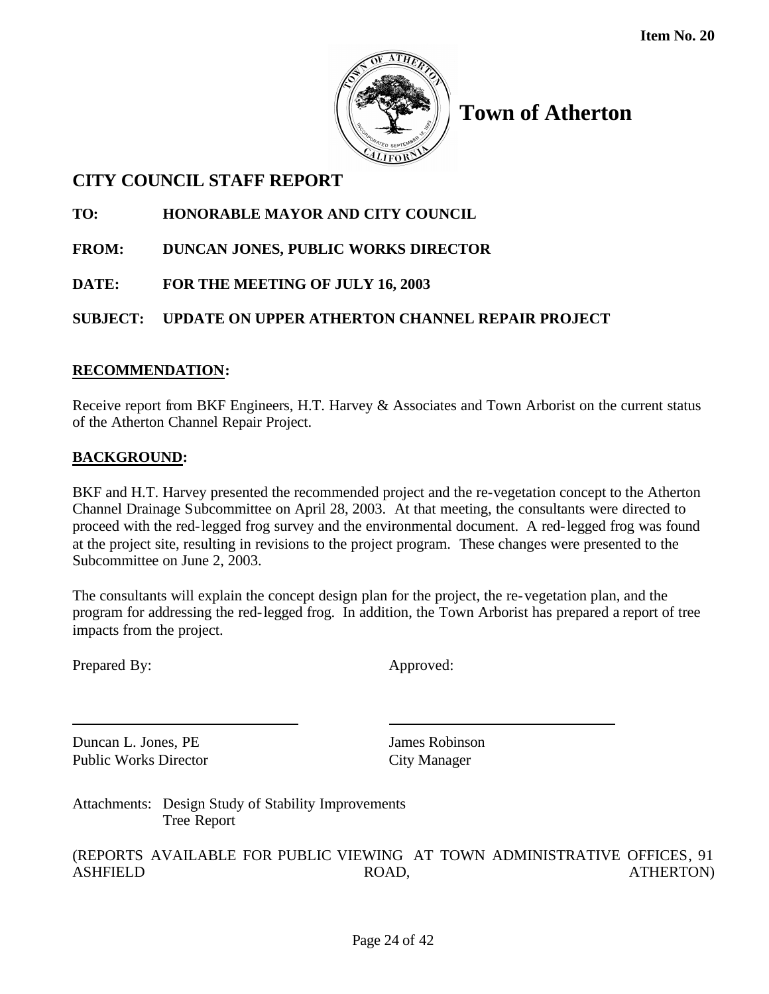

## **CITY COUNCIL STAFF REPORT**

**TO: HONORABLE MAYOR AND CITY COUNCIL**

- **FROM: DUNCAN JONES, PUBLIC WORKS DIRECTOR**
- **DATE: FOR THE MEETING OF JULY 16, 2003**

## **SUBJECT: UPDATE ON UPPER ATHERTON CHANNEL REPAIR PROJECT**

## **RECOMMENDATION:**

Receive report from BKF Engineers, H.T. Harvey & Associates and Town Arborist on the current status of the Atherton Channel Repair Project.

## **BACKGROUND:**

BKF and H.T. Harvey presented the recommended project and the re-vegetation concept to the Atherton Channel Drainage Subcommittee on April 28, 2003. At that meeting, the consultants were directed to proceed with the red-legged frog survey and the environmental document. A red-legged frog was found at the project site, resulting in revisions to the project program. These changes were presented to the Subcommittee on June 2, 2003.

The consultants will explain the concept design plan for the project, the re-vegetation plan, and the program for addressing the red-legged frog. In addition, the Town Arborist has prepared a report of tree impacts from the project.

Prepared By: Approved:

**Duncan L. Jones, PE** James Robinson Public Works Director City Manager

Attachments: Design Study of Stability Improvements Tree Report

(REPORTS AVAILABLE FOR PUBLIC VIEWING AT TOWN ADMINISTRATIVE OFFICES, 91 ASHFIELD ROAD, ROAD, ATHERTON)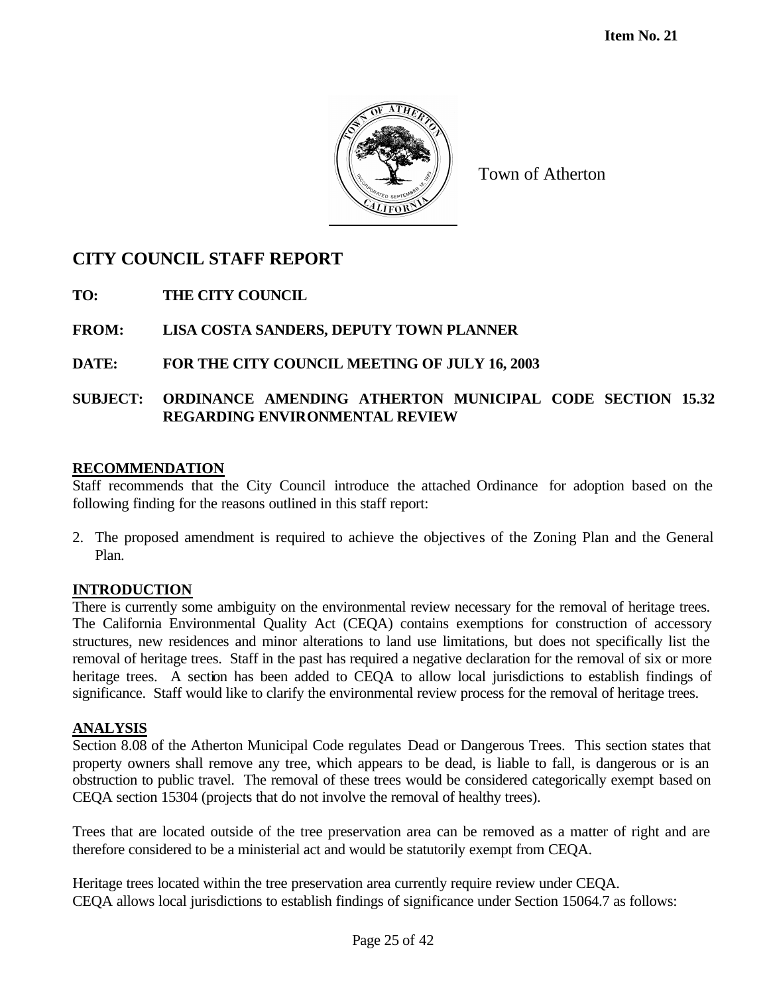

## **CITY COUNCIL STAFF REPORT**

**TO: THE CITY COUNCIL**

**FROM: LISA COSTA SANDERS, DEPUTY TOWN PLANNER**

## **DATE: FOR THE CITY COUNCIL MEETING OF JULY 16, 2003**

## **SUBJECT: ORDINANCE AMENDING ATHERTON MUNICIPAL CODE SECTION 15.32 REGARDING ENVIRONMENTAL REVIEW**

#### **RECOMMENDATION**

Staff recommends that the City Council introduce the attached Ordinance for adoption based on the following finding for the reasons outlined in this staff report:

2. The proposed amendment is required to achieve the objectives of the Zoning Plan and the General Plan.

#### **INTRODUCTION**

There is currently some ambiguity on the environmental review necessary for the removal of heritage trees. The California Environmental Quality Act (CEQA) contains exemptions for construction of accessory structures, new residences and minor alterations to land use limitations, but does not specifically list the removal of heritage trees. Staff in the past has required a negative declaration for the removal of six or more heritage trees. A section has been added to CEQA to allow local jurisdictions to establish findings of significance. Staff would like to clarify the environmental review process for the removal of heritage trees.

#### **ANALYSIS**

Section 8.08 of the Atherton Municipal Code regulates Dead or Dangerous Trees. This section states that property owners shall remove any tree, which appears to be dead, is liable to fall, is dangerous or is an obstruction to public travel. The removal of these trees would be considered categorically exempt based on CEQA section 15304 (projects that do not involve the removal of healthy trees).

Trees that are located outside of the tree preservation area can be removed as a matter of right and are therefore considered to be a ministerial act and would be statutorily exempt from CEQA.

Heritage trees located within the tree preservation area currently require review under CEQA. CEQA allows local jurisdictions to establish findings of significance under Section 15064.7 as follows: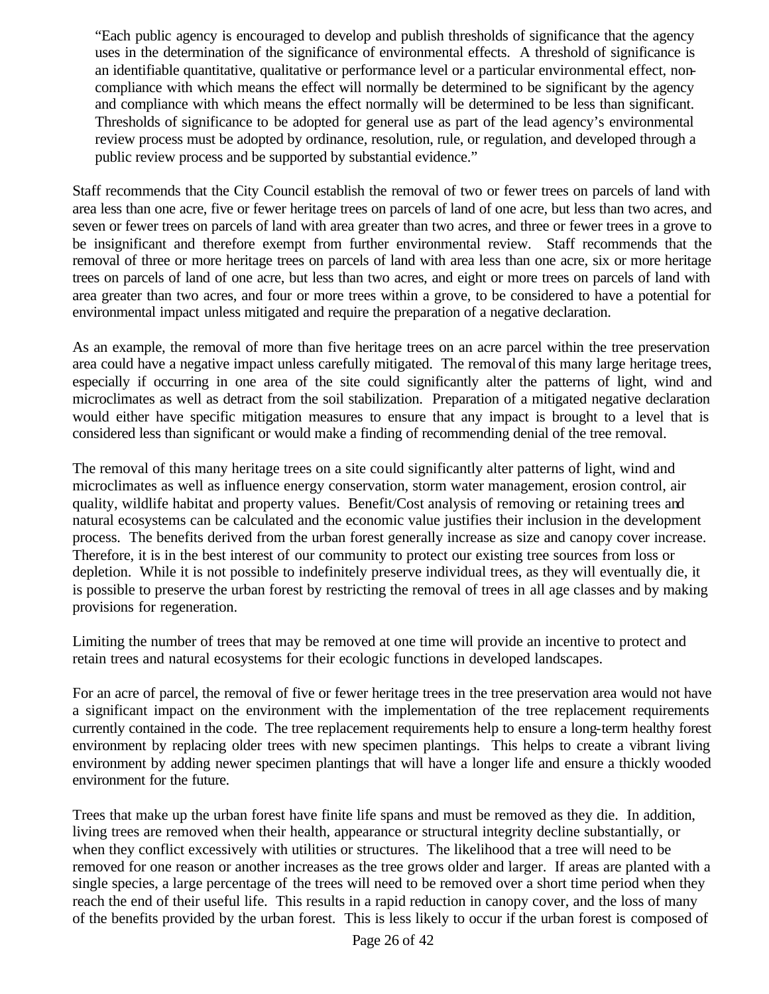"Each public agency is encouraged to develop and publish thresholds of significance that the agency uses in the determination of the significance of environmental effects. A threshold of significance is an identifiable quantitative, qualitative or performance level or a particular environmental effect, noncompliance with which means the effect will normally be determined to be significant by the agency and compliance with which means the effect normally will be determined to be less than significant. Thresholds of significance to be adopted for general use as part of the lead agency's environmental review process must be adopted by ordinance, resolution, rule, or regulation, and developed through a public review process and be supported by substantial evidence."

Staff recommends that the City Council establish the removal of two or fewer trees on parcels of land with area less than one acre, five or fewer heritage trees on parcels of land of one acre, but less than two acres, and seven or fewer trees on parcels of land with area greater than two acres, and three or fewer trees in a grove to be insignificant and therefore exempt from further environmental review. Staff recommends that the removal of three or more heritage trees on parcels of land with area less than one acre, six or more heritage trees on parcels of land of one acre, but less than two acres, and eight or more trees on parcels of land with area greater than two acres, and four or more trees within a grove, to be considered to have a potential for environmental impact unless mitigated and require the preparation of a negative declaration.

As an example, the removal of more than five heritage trees on an acre parcel within the tree preservation area could have a negative impact unless carefully mitigated. The removal of this many large heritage trees, especially if occurring in one area of the site could significantly alter the patterns of light, wind and microclimates as well as detract from the soil stabilization. Preparation of a mitigated negative declaration would either have specific mitigation measures to ensure that any impact is brought to a level that is considered less than significant or would make a finding of recommending denial of the tree removal.

The removal of this many heritage trees on a site could significantly alter patterns of light, wind and microclimates as well as influence energy conservation, storm water management, erosion control, air quality, wildlife habitat and property values. Benefit/Cost analysis of removing or retaining trees and natural ecosystems can be calculated and the economic value justifies their inclusion in the development process. The benefits derived from the urban forest generally increase as size and canopy cover increase. Therefore, it is in the best interest of our community to protect our existing tree sources from loss or depletion. While it is not possible to indefinitely preserve individual trees, as they will eventually die, it is possible to preserve the urban forest by restricting the removal of trees in all age classes and by making provisions for regeneration.

Limiting the number of trees that may be removed at one time will provide an incentive to protect and retain trees and natural ecosystems for their ecologic functions in developed landscapes.

For an acre of parcel, the removal of five or fewer heritage trees in the tree preservation area would not have a significant impact on the environment with the implementation of the tree replacement requirements currently contained in the code. The tree replacement requirements help to ensure a long-term healthy forest environment by replacing older trees with new specimen plantings. This helps to create a vibrant living environment by adding newer specimen plantings that will have a longer life and ensure a thickly wooded environment for the future.

Trees that make up the urban forest have finite life spans and must be removed as they die. In addition, living trees are removed when their health, appearance or structural integrity decline substantially, or when they conflict excessively with utilities or structures. The likelihood that a tree will need to be removed for one reason or another increases as the tree grows older and larger. If areas are planted with a single species, a large percentage of the trees will need to be removed over a short time period when they reach the end of their useful life. This results in a rapid reduction in canopy cover, and the loss of many of the benefits provided by the urban forest. This is less likely to occur if the urban forest is composed of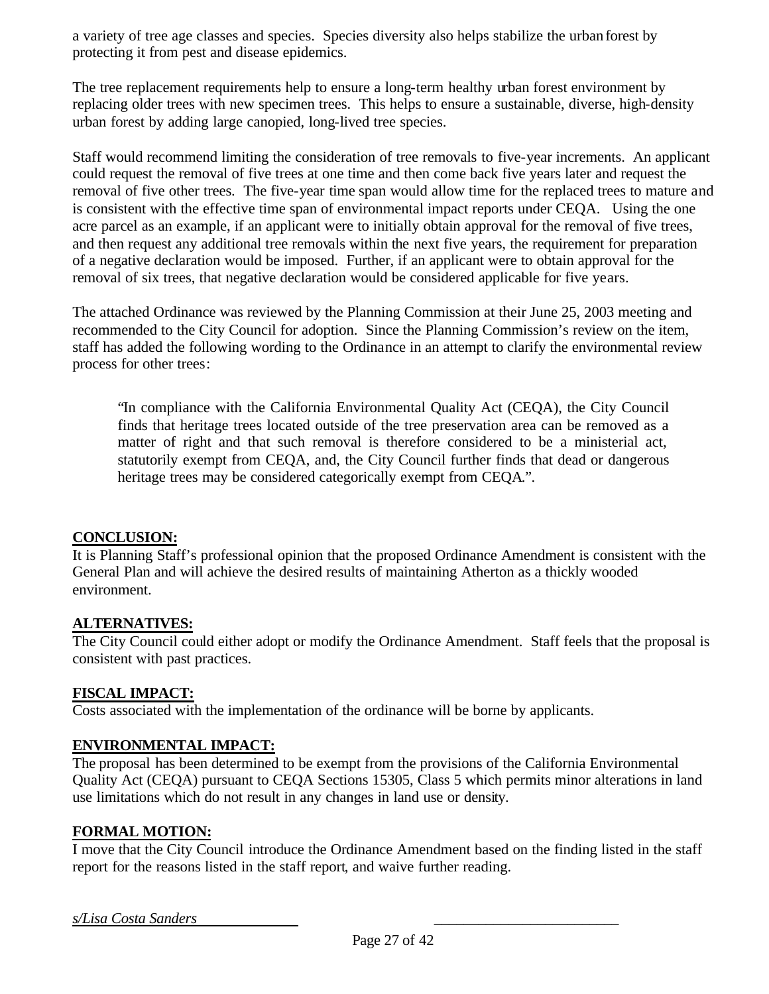a variety of tree age classes and species. Species diversity also helps stabilize the urban forest by protecting it from pest and disease epidemics.

The tree replacement requirements help to ensure a long-term healthy urban forest environment by replacing older trees with new specimen trees. This helps to ensure a sustainable, diverse, high-density urban forest by adding large canopied, long-lived tree species.

Staff would recommend limiting the consideration of tree removals to five-year increments. An applicant could request the removal of five trees at one time and then come back five years later and request the removal of five other trees. The five-year time span would allow time for the replaced trees to mature and is consistent with the effective time span of environmental impact reports under CEQA. Using the one acre parcel as an example, if an applicant were to initially obtain approval for the removal of five trees, and then request any additional tree removals within the next five years, the requirement for preparation of a negative declaration would be imposed. Further, if an applicant were to obtain approval for the removal of six trees, that negative declaration would be considered applicable for five years.

The attached Ordinance was reviewed by the Planning Commission at their June 25, 2003 meeting and recommended to the City Council for adoption. Since the Planning Commission's review on the item, staff has added the following wording to the Ordinance in an attempt to clarify the environmental review process for other trees:

"In compliance with the California Environmental Quality Act (CEQA), the City Council finds that heritage trees located outside of the tree preservation area can be removed as a matter of right and that such removal is therefore considered to be a ministerial act, statutorily exempt from CEQA, and, the City Council further finds that dead or dangerous heritage trees may be considered categorically exempt from CEQA.".

## **CONCLUSION:**

It is Planning Staff's professional opinion that the proposed Ordinance Amendment is consistent with the General Plan and will achieve the desired results of maintaining Atherton as a thickly wooded environment.

## **ALTERNATIVES:**

The City Council could either adopt or modify the Ordinance Amendment. Staff feels that the proposal is consistent with past practices.

## **FISCAL IMPACT:**

Costs associated with the implementation of the ordinance will be borne by applicants.

## **ENVIRONMENTAL IMPACT:**

The proposal has been determined to be exempt from the provisions of the California Environmental Quality Act (CEQA) pursuant to CEQA Sections 15305, Class 5 which permits minor alterations in land use limitations which do not result in any changes in land use or density.

## **FORMAL MOTION:**

I move that the City Council introduce the Ordinance Amendment based on the finding listed in the staff report for the reasons listed in the staff report, and waive further reading.

*s/Lisa Costa Sanders* \_\_\_\_\_\_\_\_\_\_\_\_\_\_\_\_\_\_\_\_\_\_\_\_\_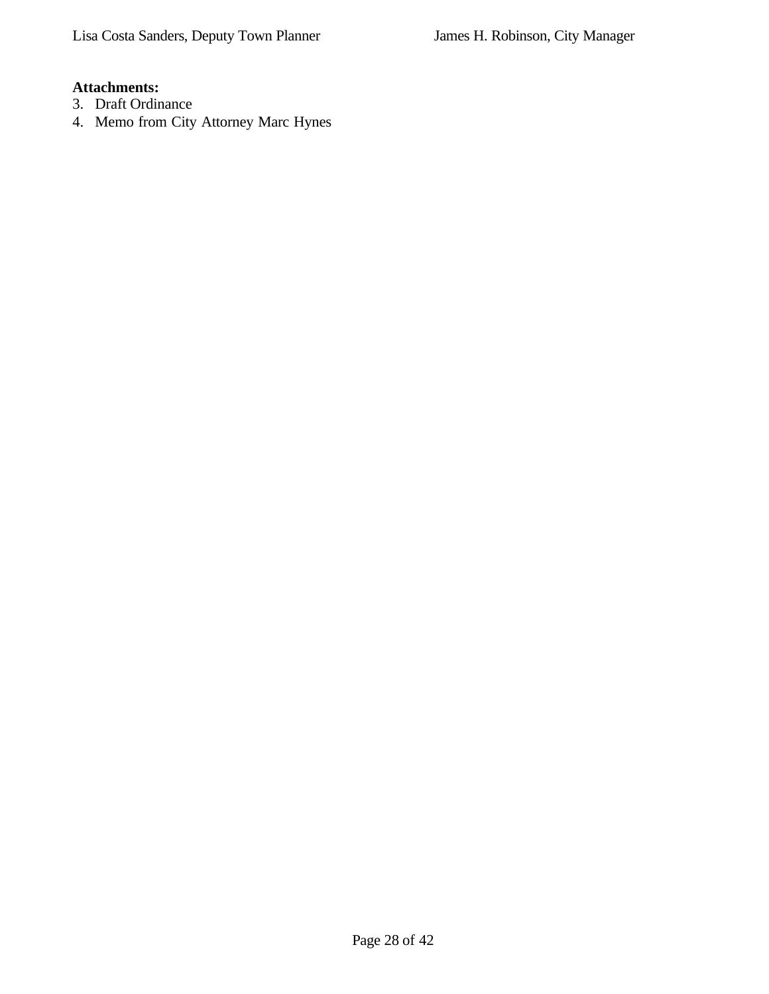## **Attachments:**

- 3. Draft Ordinance
- 4. Memo from City Attorney Marc Hynes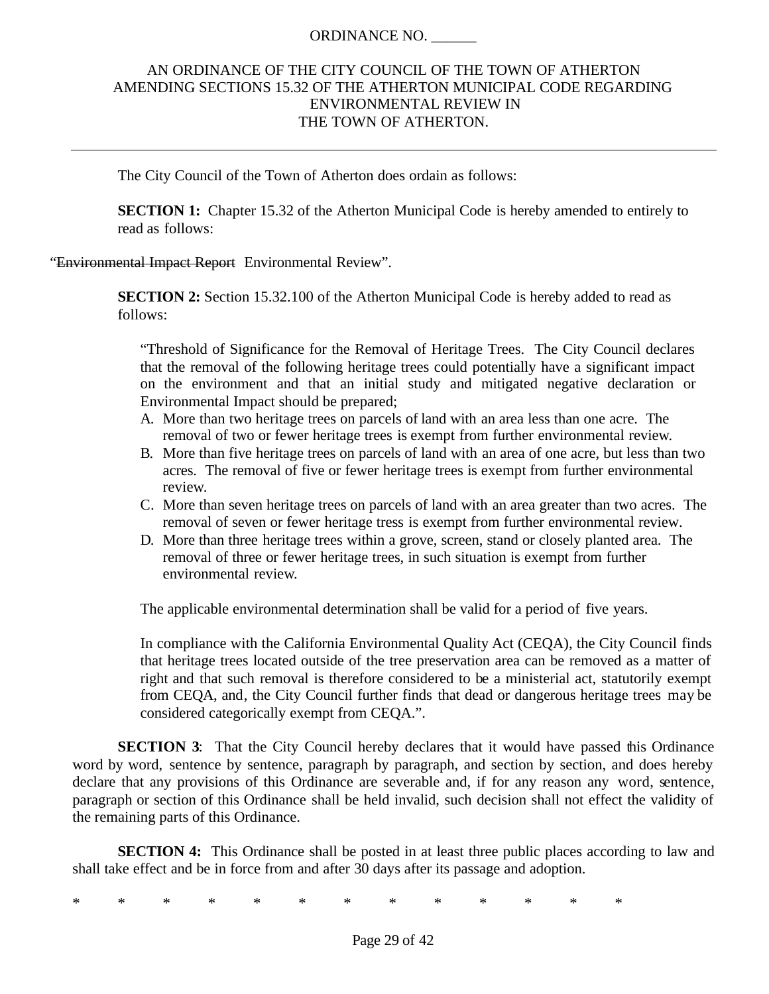#### ORDINANCE NO. \_\_\_\_\_\_

## AN ORDINANCE OF THE CITY COUNCIL OF THE TOWN OF ATHERTON AMENDING SECTIONS 15.32 OF THE ATHERTON MUNICIPAL CODE REGARDING ENVIRONMENTAL REVIEW IN THE TOWN OF ATHERTON.

The City Council of the Town of Atherton does ordain as follows:

**SECTION 1:** Chapter 15.32 of the Atherton Municipal Code is hereby amended to entirely to read as follows:

"Environmental Impact Report Environmental Review".

**SECTION 2:** Section 15.32.100 of the Atherton Municipal Code is hereby added to read as follows:

"Threshold of Significance for the Removal of Heritage Trees. The City Council declares that the removal of the following heritage trees could potentially have a significant impact on the environment and that an initial study and mitigated negative declaration or Environmental Impact should be prepared;

- A. More than two heritage trees on parcels of land with an area less than one acre. The removal of two or fewer heritage trees is exempt from further environmental review.
- B. More than five heritage trees on parcels of land with an area of one acre, but less than two acres. The removal of five or fewer heritage trees is exempt from further environmental review.
- C. More than seven heritage trees on parcels of land with an area greater than two acres. The removal of seven or fewer heritage tress is exempt from further environmental review.
- D. More than three heritage trees within a grove, screen, stand or closely planted area. The removal of three or fewer heritage trees, in such situation is exempt from further environmental review.

The applicable environmental determination shall be valid for a period of five years.

In compliance with the California Environmental Quality Act (CEQA), the City Council finds that heritage trees located outside of the tree preservation area can be removed as a matter of right and that such removal is therefore considered to be a ministerial act, statutorily exempt from CEQA, and, the City Council further finds that dead or dangerous heritage trees may be considered categorically exempt from CEQA.".

**SECTION 3:** That the City Council hereby declares that it would have passed this Ordinance word by word, sentence by sentence, paragraph by paragraph, and section by section, and does hereby declare that any provisions of this Ordinance are severable and, if for any reason any word, sentence, paragraph or section of this Ordinance shall be held invalid, such decision shall not effect the validity of the remaining parts of this Ordinance.

**SECTION 4:** This Ordinance shall be posted in at least three public places according to law and shall take effect and be in force from and after 30 days after its passage and adoption.

\* \* \* \* \* \* \* \* \* \* \* \* \*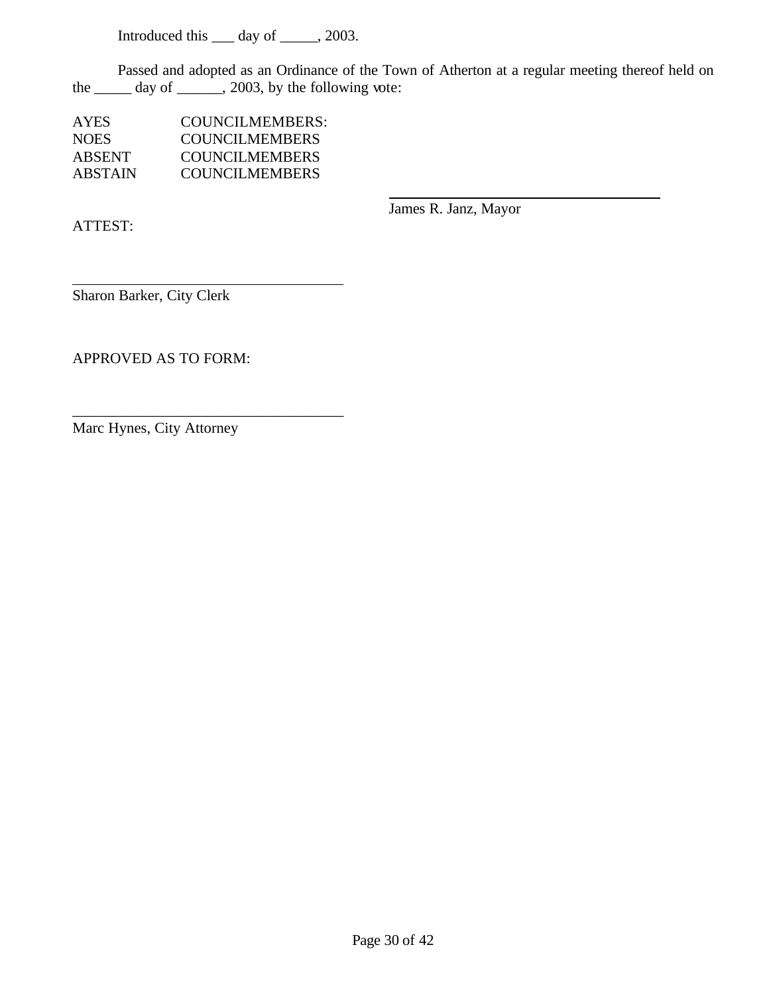Introduced this \_\_\_ day of \_\_\_\_\_, 2003.

Passed and adopted as an Ordinance of the Town of Atherton at a regular meeting thereof held on the  $\frac{1}{\sqrt{2}}$  day of  $\frac{1}{\sqrt{2}}$ , 2003, by the following vote:

| <b>AYES</b>   | COUNCILMEMBERS:       |
|---------------|-----------------------|
| <b>NOES</b>   | <b>COUNCILMEMBERS</b> |
| <b>ABSENT</b> | COUNCIL MEMBERS       |
| ABSTAIN       | <b>COUNCILMEMBERS</b> |

ATTEST:

James R. Janz, Mayor

Sharon Barker, City Clerk

APPROVED AS TO FORM:

Marc Hynes, City Attorney

\_\_\_\_\_\_\_\_\_\_\_\_\_\_\_\_\_\_\_\_\_\_\_\_\_\_\_\_\_\_\_\_\_\_\_\_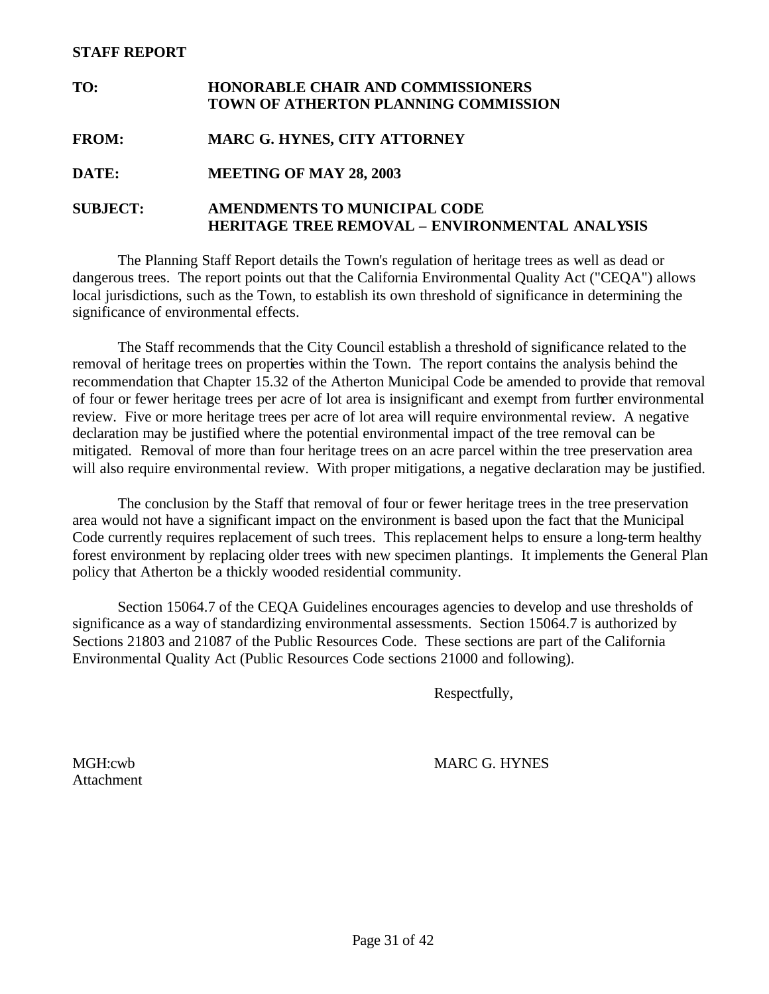#### **STAFF REPORT**

| TO:             | <b>HONORABLE CHAIR AND COMMISSIONERS</b><br>TOWN OF ATHERTON PLANNING COMMISSION      |
|-----------------|---------------------------------------------------------------------------------------|
| <b>FROM:</b>    | <b>MARC G. HYNES, CITY ATTORNEY</b>                                                   |
| DATE:           | <b>MEETING OF MAY 28, 2003</b>                                                        |
| <b>SUBJECT:</b> | <b>AMENDMENTS TO MUNICIPAL CODE</b><br>HERITAGE TREE REMOVAL – ENVIRONMENTAL ANALYSIS |

The Planning Staff Report details the Town's regulation of heritage trees as well as dead or dangerous trees. The report points out that the California Environmental Quality Act ("CEQA") allows local jurisdictions, such as the Town, to establish its own threshold of significance in determining the significance of environmental effects.

The Staff recommends that the City Council establish a threshold of significance related to the removal of heritage trees on properties within the Town. The report contains the analysis behind the recommendation that Chapter 15.32 of the Atherton Municipal Code be amended to provide that removal of four or fewer heritage trees per acre of lot area is insignificant and exempt from further environmental review. Five or more heritage trees per acre of lot area will require environmental review. A negative declaration may be justified where the potential environmental impact of the tree removal can be mitigated. Removal of more than four heritage trees on an acre parcel within the tree preservation area will also require environmental review. With proper mitigations, a negative declaration may be justified.

The conclusion by the Staff that removal of four or fewer heritage trees in the tree preservation area would not have a significant impact on the environment is based upon the fact that the Municipal Code currently requires replacement of such trees. This replacement helps to ensure a long-term healthy forest environment by replacing older trees with new specimen plantings. It implements the General Plan policy that Atherton be a thickly wooded residential community.

Section 15064.7 of the CEQA Guidelines encourages agencies to develop and use thresholds of significance as a way of standardizing environmental assessments. Section 15064.7 is authorized by Sections 21803 and 21087 of the Public Resources Code. These sections are part of the California Environmental Quality Act (Public Resources Code sections 21000 and following).

Respectfully,

MGH:cwb MARC G. HYNES

**Attachment**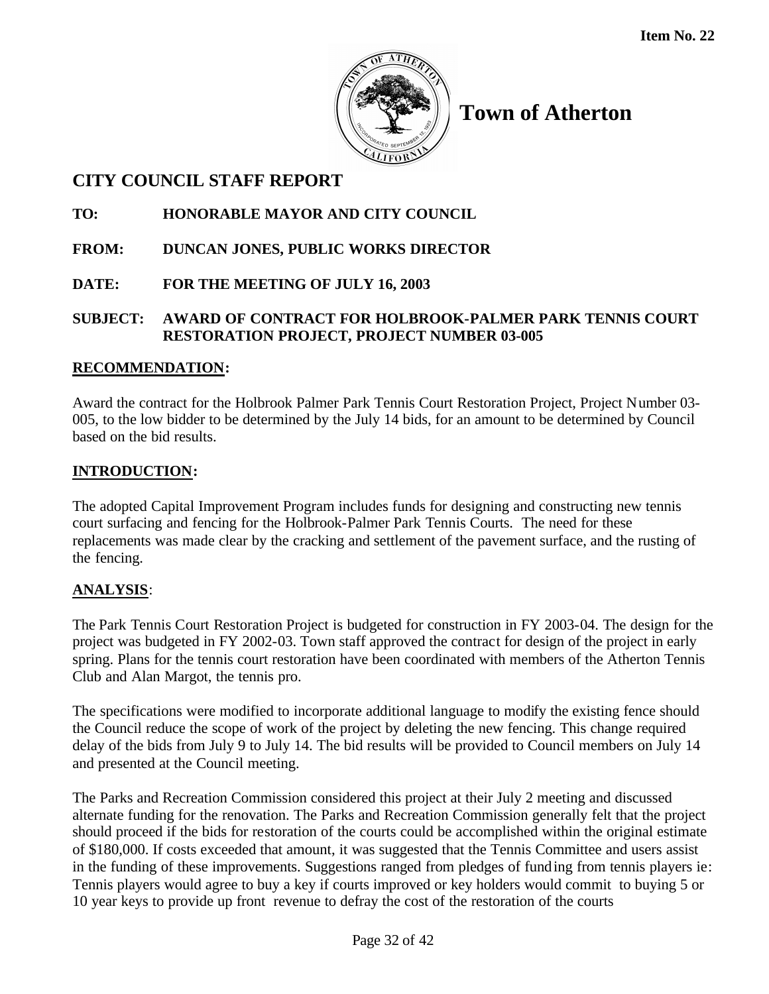

## **CITY COUNCIL STAFF REPORT**

**TO: HONORABLE MAYOR AND CITY COUNCIL**

- **FROM: DUNCAN JONES, PUBLIC WORKS DIRECTOR**
- **DATE: FOR THE MEETING OF JULY 16, 2003**

## **SUBJECT: AWARD OF CONTRACT FOR HOLBROOK-PALMER PARK TENNIS COURT RESTORATION PROJECT, PROJECT NUMBER 03-005**

## **RECOMMENDATION:**

Award the contract for the Holbrook Palmer Park Tennis Court Restoration Project, Project Number 03- 005, to the low bidder to be determined by the July 14 bids, for an amount to be determined by Council based on the bid results.

## **INTRODUCTION:**

The adopted Capital Improvement Program includes funds for designing and constructing new tennis court surfacing and fencing for the Holbrook-Palmer Park Tennis Courts. The need for these replacements was made clear by the cracking and settlement of the pavement surface, and the rusting of the fencing.

## **ANALYSIS**:

The Park Tennis Court Restoration Project is budgeted for construction in FY 2003-04. The design for the project was budgeted in FY 2002-03. Town staff approved the contract for design of the project in early spring. Plans for the tennis court restoration have been coordinated with members of the Atherton Tennis Club and Alan Margot, the tennis pro.

The specifications were modified to incorporate additional language to modify the existing fence should the Council reduce the scope of work of the project by deleting the new fencing. This change required delay of the bids from July 9 to July 14. The bid results will be provided to Council members on July 14 and presented at the Council meeting.

The Parks and Recreation Commission considered this project at their July 2 meeting and discussed alternate funding for the renovation. The Parks and Recreation Commission generally felt that the project should proceed if the bids for restoration of the courts could be accomplished within the original estimate of \$180,000. If costs exceeded that amount, it was suggested that the Tennis Committee and users assist in the funding of these improvements. Suggestions ranged from pledges of funding from tennis players ie: Tennis players would agree to buy a key if courts improved or key holders would commit to buying 5 or 10 year keys to provide up front revenue to defray the cost of the restoration of the courts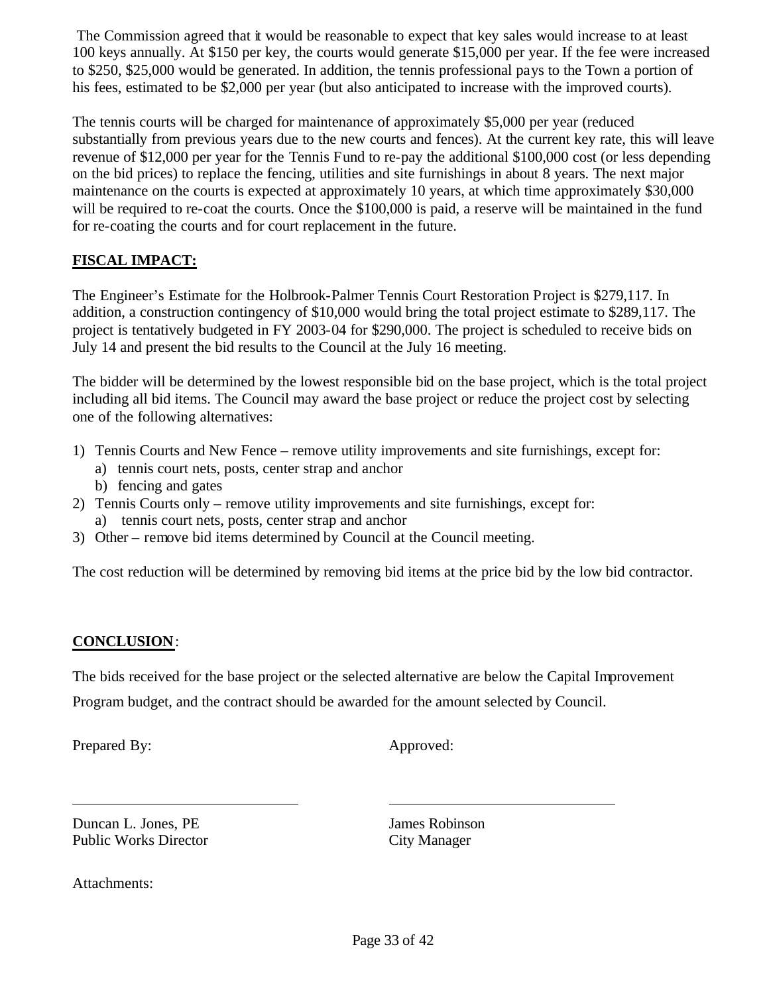The Commission agreed that it would be reasonable to expect that key sales would increase to at least 100 keys annually. At \$150 per key, the courts would generate \$15,000 per year. If the fee were increased to \$250, \$25,000 would be generated. In addition, the tennis professional pays to the Town a portion of his fees, estimated to be \$2,000 per year (but also anticipated to increase with the improved courts).

The tennis courts will be charged for maintenance of approximately \$5,000 per year (reduced substantially from previous years due to the new courts and fences). At the current key rate, this will leave revenue of \$12,000 per year for the Tennis Fund to re-pay the additional \$100,000 cost (or less depending on the bid prices) to replace the fencing, utilities and site furnishings in about 8 years. The next major maintenance on the courts is expected at approximately 10 years, at which time approximately \$30,000 will be required to re-coat the courts. Once the \$100,000 is paid, a reserve will be maintained in the fund for re-coating the courts and for court replacement in the future.

## **FISCAL IMPACT:**

The Engineer's Estimate for the Holbrook-Palmer Tennis Court Restoration Project is \$279,117. In addition, a construction contingency of \$10,000 would bring the total project estimate to \$289,117. The project is tentatively budgeted in FY 2003-04 for \$290,000. The project is scheduled to receive bids on July 14 and present the bid results to the Council at the July 16 meeting.

The bidder will be determined by the lowest responsible bid on the base project, which is the total project including all bid items. The Council may award the base project or reduce the project cost by selecting one of the following alternatives:

- 1) Tennis Courts and New Fence remove utility improvements and site furnishings, except for:
	- a) tennis court nets, posts, center strap and anchor
	- b) fencing and gates
- 2) Tennis Courts only remove utility improvements and site furnishings, except for: a) tennis court nets, posts, center strap and anchor
- 3) Other remove bid items determined by Council at the Council meeting.

The cost reduction will be determined by removing bid items at the price bid by the low bid contractor.

## **CONCLUSION**:

The bids received for the base project or the selected alternative are below the Capital Improvement Program budget, and the contract should be awarded for the amount selected by Council.

Prepared By: Approved:

**Duncan L. Jones, PE** James Robinson Public Works Director City Manager

Attachments: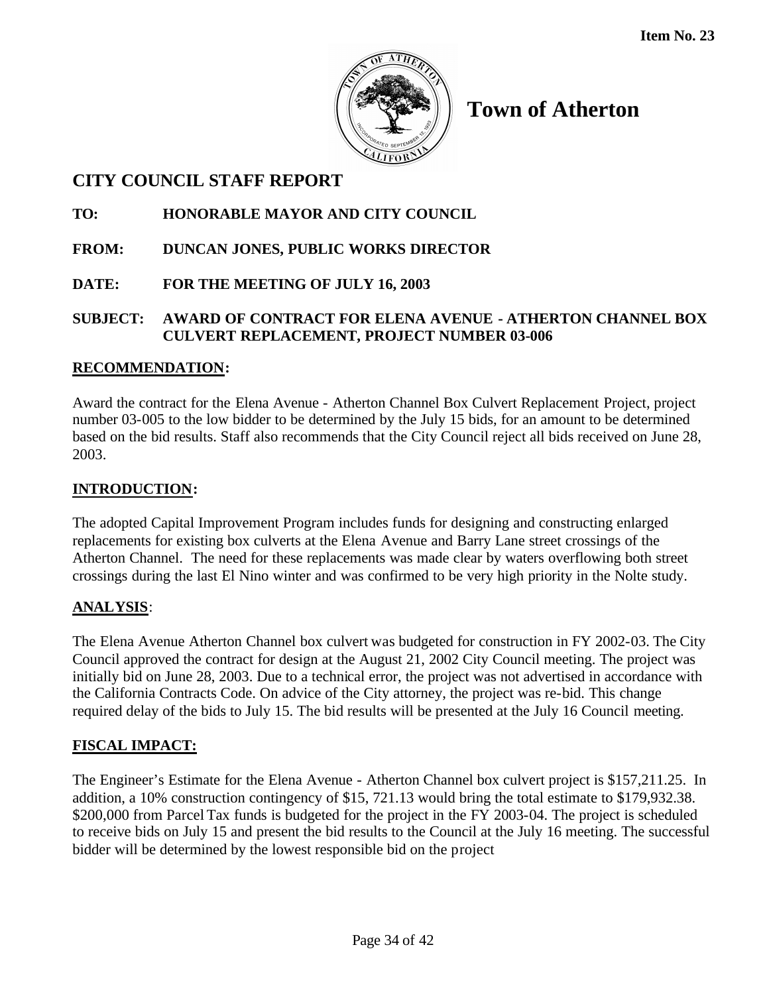

## **CITY COUNCIL STAFF REPORT**

## **TO: HONORABLE MAYOR AND CITY COUNCIL**

- **FROM: DUNCAN JONES, PUBLIC WORKS DIRECTOR**
- **DATE: FOR THE MEETING OF JULY 16, 2003**

## **SUBJECT: AWARD OF CONTRACT FOR ELENA AVENUE - ATHERTON CHANNEL BOX CULVERT REPLACEMENT, PROJECT NUMBER 03-006**

## **RECOMMENDATION:**

Award the contract for the Elena Avenue - Atherton Channel Box Culvert Replacement Project, project number 03-005 to the low bidder to be determined by the July 15 bids, for an amount to be determined based on the bid results. Staff also recommends that the City Council reject all bids received on June 28, 2003.

## **INTRODUCTION:**

The adopted Capital Improvement Program includes funds for designing and constructing enlarged replacements for existing box culverts at the Elena Avenue and Barry Lane street crossings of the Atherton Channel. The need for these replacements was made clear by waters overflowing both street crossings during the last El Nino winter and was confirmed to be very high priority in the Nolte study.

## **ANALYSIS**:

The Elena Avenue Atherton Channel box culvert was budgeted for construction in FY 2002-03. The City Council approved the contract for design at the August 21, 2002 City Council meeting. The project was initially bid on June 28, 2003. Due to a technical error, the project was not advertised in accordance with the California Contracts Code. On advice of the City attorney, the project was re-bid. This change required delay of the bids to July 15. The bid results will be presented at the July 16 Council meeting.

## **FISCAL IMPACT:**

The Engineer's Estimate for the Elena Avenue - Atherton Channel box culvert project is \$157,211.25. In addition, a 10% construction contingency of \$15, 721.13 would bring the total estimate to \$179,932.38. \$200,000 from Parcel Tax funds is budgeted for the project in the FY 2003-04. The project is scheduled to receive bids on July 15 and present the bid results to the Council at the July 16 meeting. The successful bidder will be determined by the lowest responsible bid on the project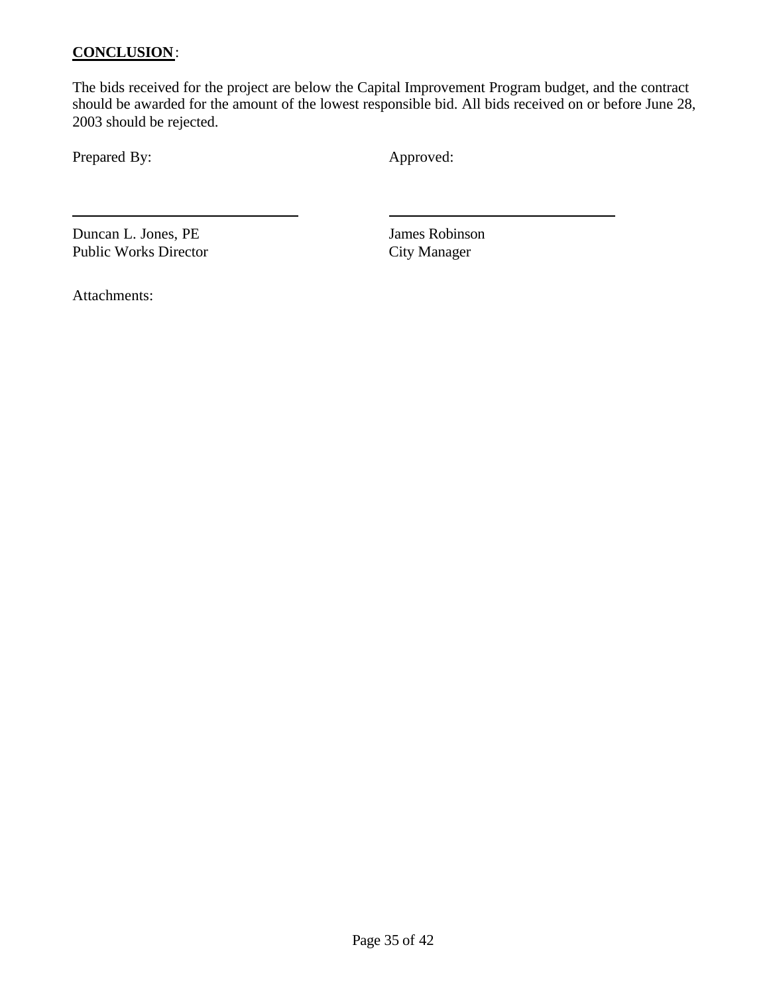#### **CONCLUSION**:

The bids received for the project are below the Capital Improvement Program budget, and the contract should be awarded for the amount of the lowest responsible bid. All bids received on or before June 28, 2003 should be rejected.

Prepared By: Approved:

Duncan L. Jones, PE<br>
Public Works Director<br>
City Manager Public Works Director

Attachments: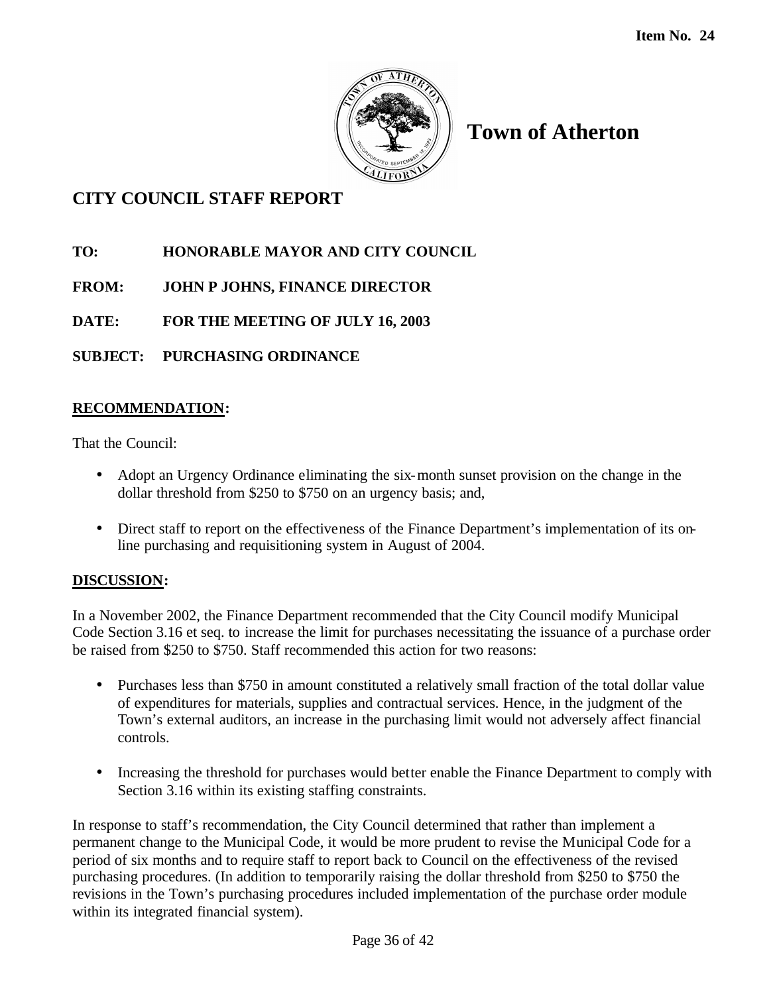

**Town of Atherton**

# **CITY COUNCIL STAFF REPORT**

- **TO: HONORABLE MAYOR AND CITY COUNCIL**
- **FROM: JOHN P JOHNS, FINANCE DIRECTOR**

**DATE: FOR THE MEETING OF JULY 16, 2003**

**SUBJECT: PURCHASING ORDINANCE**

### **RECOMMENDATION:**

That the Council:

- Adopt an Urgency Ordinance eliminating the six-month sunset provision on the change in the dollar threshold from \$250 to \$750 on an urgency basis; and,
- Direct staff to report on the effectiveness of the Finance Department's implementation of its online purchasing and requisitioning system in August of 2004.

### **DISCUSSION:**

In a November 2002, the Finance Department recommended that the City Council modify Municipal Code Section 3.16 et seq. to increase the limit for purchases necessitating the issuance of a purchase order be raised from \$250 to \$750. Staff recommended this action for two reasons:

- Purchases less than \$750 in amount constituted a relatively small fraction of the total dollar value of expenditures for materials, supplies and contractual services. Hence, in the judgment of the Town's external auditors, an increase in the purchasing limit would not adversely affect financial controls.
- Increasing the threshold for purchases would better enable the Finance Department to comply with Section 3.16 within its existing staffing constraints.

In response to staff's recommendation, the City Council determined that rather than implement a permanent change to the Municipal Code, it would be more prudent to revise the Municipal Code for a period of six months and to require staff to report back to Council on the effectiveness of the revised purchasing procedures. (In addition to temporarily raising the dollar threshold from \$250 to \$750 the revisions in the Town's purchasing procedures included implementation of the purchase order module within its integrated financial system).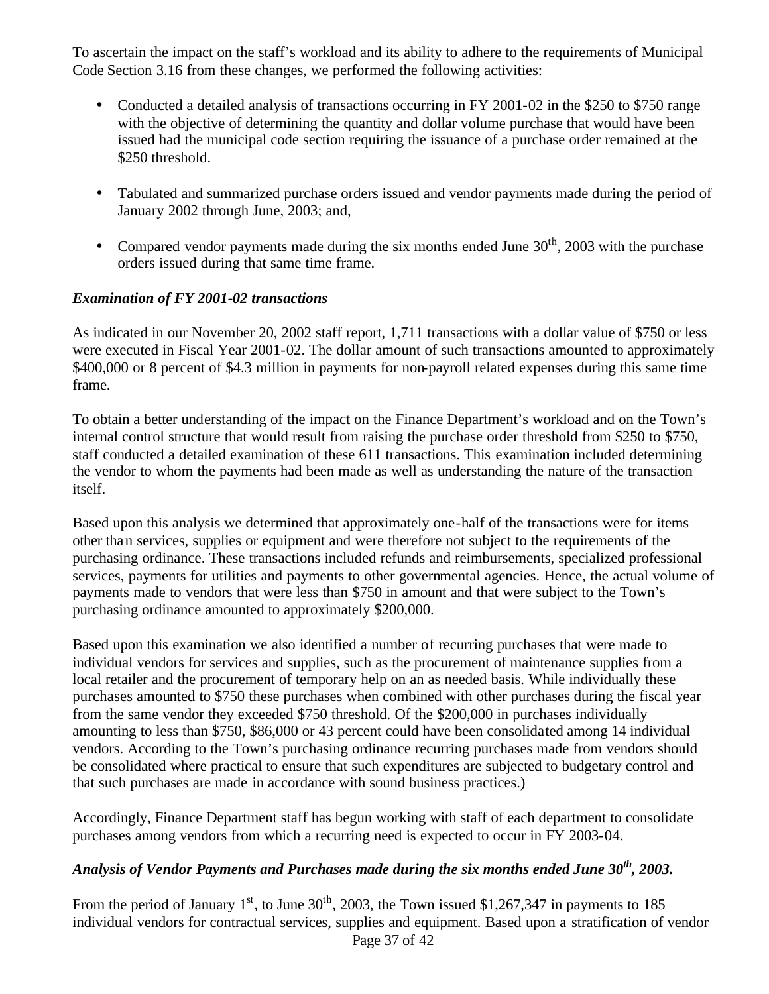To ascertain the impact on the staff's workload and its ability to adhere to the requirements of Municipal Code Section 3.16 from these changes, we performed the following activities:

- Conducted a detailed analysis of transactions occurring in FY 2001-02 in the \$250 to \$750 range with the objective of determining the quantity and dollar volume purchase that would have been issued had the municipal code section requiring the issuance of a purchase order remained at the \$250 threshold.
- Tabulated and summarized purchase orders issued and vendor payments made during the period of January 2002 through June, 2003; and,
- Compared vendor payments made during the six months ended June  $30<sup>th</sup>$ , 2003 with the purchase orders issued during that same time frame.

#### *Examination of FY 2001-02 transactions*

As indicated in our November 20, 2002 staff report, 1,711 transactions with a dollar value of \$750 or less were executed in Fiscal Year 2001-02. The dollar amount of such transactions amounted to approximately \$400,000 or 8 percent of \$4.3 million in payments for non-payroll related expenses during this same time frame.

To obtain a better understanding of the impact on the Finance Department's workload and on the Town's internal control structure that would result from raising the purchase order threshold from \$250 to \$750, staff conducted a detailed examination of these 611 transactions. This examination included determining the vendor to whom the payments had been made as well as understanding the nature of the transaction itself.

Based upon this analysis we determined that approximately one-half of the transactions were for items other than services, supplies or equipment and were therefore not subject to the requirements of the purchasing ordinance. These transactions included refunds and reimbursements, specialized professional services, payments for utilities and payments to other governmental agencies. Hence, the actual volume of payments made to vendors that were less than \$750 in amount and that were subject to the Town's purchasing ordinance amounted to approximately \$200,000.

Based upon this examination we also identified a number of recurring purchases that were made to individual vendors for services and supplies, such as the procurement of maintenance supplies from a local retailer and the procurement of temporary help on an as needed basis. While individually these purchases amounted to \$750 these purchases when combined with other purchases during the fiscal year from the same vendor they exceeded \$750 threshold. Of the \$200,000 in purchases individually amounting to less than \$750, \$86,000 or 43 percent could have been consolidated among 14 individual vendors. According to the Town's purchasing ordinance recurring purchases made from vendors should be consolidated where practical to ensure that such expenditures are subjected to budgetary control and that such purchases are made in accordance with sound business practices.)

Accordingly, Finance Department staff has begun working with staff of each department to consolidate purchases among vendors from which a recurring need is expected to occur in FY 2003-04.

## *Analysis of Vendor Payments and Purchases made during the six months ended June 30th, 2003.*

Page 37 of 42 From the period of January  $1<sup>st</sup>$ , to June  $30<sup>th</sup>$ , 2003, the Town issued \$1,267,347 in payments to 185 individual vendors for contractual services, supplies and equipment. Based upon a stratification of vendor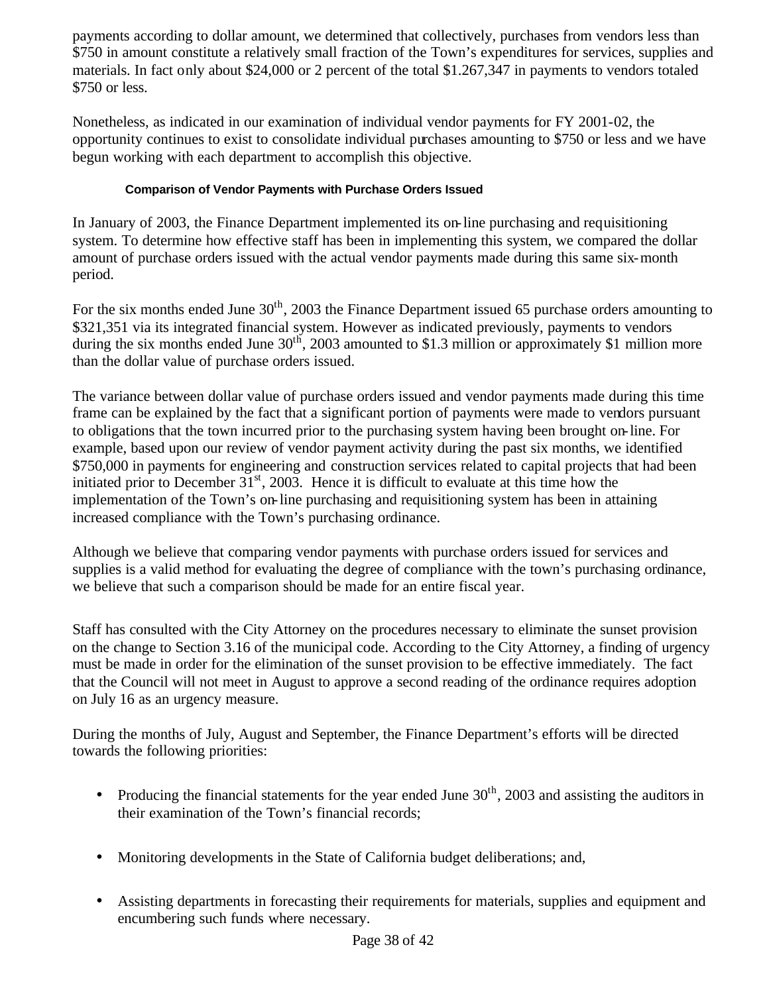payments according to dollar amount, we determined that collectively, purchases from vendors less than \$750 in amount constitute a relatively small fraction of the Town's expenditures for services, supplies and materials. In fact only about \$24,000 or 2 percent of the total \$1.267,347 in payments to vendors totaled \$750 or less.

Nonetheless, as indicated in our examination of individual vendor payments for FY 2001-02, the opportunity continues to exist to consolidate individual purchases amounting to \$750 or less and we have begun working with each department to accomplish this objective.

#### **Comparison of Vendor Payments with Purchase Orders Issued**

In January of 2003, the Finance Department implemented its on-line purchasing and requisitioning system. To determine how effective staff has been in implementing this system, we compared the dollar amount of purchase orders issued with the actual vendor payments made during this same six-month period.

For the six months ended June  $30<sup>th</sup>$ , 2003 the Finance Department issued 65 purchase orders amounting to \$321,351 via its integrated financial system. However as indicated previously, payments to vendors during the six months ended June 30<sup>th</sup>, 2003 amounted to \$1.3 million or approximately \$1 million more than the dollar value of purchase orders issued.

The variance between dollar value of purchase orders issued and vendor payments made during this time frame can be explained by the fact that a significant portion of payments were made to vendors pursuant to obligations that the town incurred prior to the purchasing system having been brought on-line. For example, based upon our review of vendor payment activity during the past six months, we identified \$750,000 in payments for engineering and construction services related to capital projects that had been initiated prior to December  $31<sup>st</sup>$ , 2003. Hence it is difficult to evaluate at this time how the implementation of the Town's on-line purchasing and requisitioning system has been in attaining increased compliance with the Town's purchasing ordinance.

Although we believe that comparing vendor payments with purchase orders issued for services and supplies is a valid method for evaluating the degree of compliance with the town's purchasing ordinance, we believe that such a comparison should be made for an entire fiscal year.

Staff has consulted with the City Attorney on the procedures necessary to eliminate the sunset provision on the change to Section 3.16 of the municipal code. According to the City Attorney, a finding of urgency must be made in order for the elimination of the sunset provision to be effective immediately. The fact that the Council will not meet in August to approve a second reading of the ordinance requires adoption on July 16 as an urgency measure.

During the months of July, August and September, the Finance Department's efforts will be directed towards the following priorities:

- Producing the financial statements for the year ended June  $30<sup>th</sup>$ , 2003 and assisting the auditors in their examination of the Town's financial records;
- Monitoring developments in the State of California budget deliberations; and,
- Assisting departments in forecasting their requirements for materials, supplies and equipment and encumbering such funds where necessary.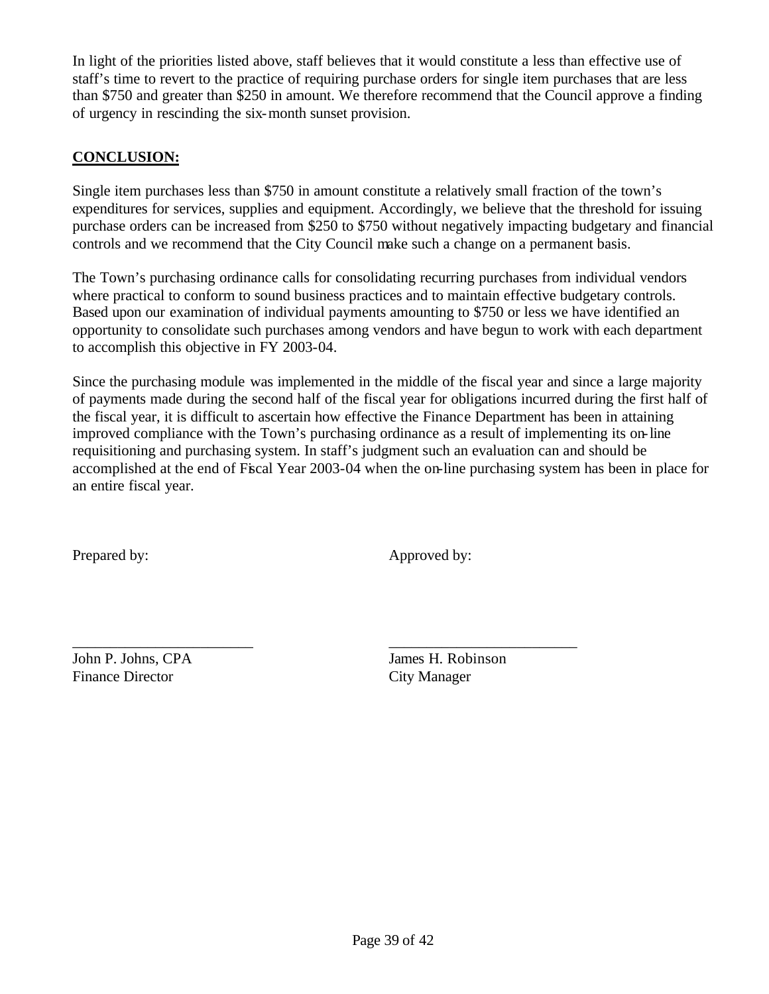In light of the priorities listed above, staff believes that it would constitute a less than effective use of staff's time to revert to the practice of requiring purchase orders for single item purchases that are less than \$750 and greater than \$250 in amount. We therefore recommend that the Council approve a finding of urgency in rescinding the six-month sunset provision.

#### **CONCLUSION:**

Single item purchases less than \$750 in amount constitute a relatively small fraction of the town's expenditures for services, supplies and equipment. Accordingly, we believe that the threshold for issuing purchase orders can be increased from \$250 to \$750 without negatively impacting budgetary and financial controls and we recommend that the City Council make such a change on a permanent basis.

The Town's purchasing ordinance calls for consolidating recurring purchases from individual vendors where practical to conform to sound business practices and to maintain effective budgetary controls. Based upon our examination of individual payments amounting to \$750 or less we have identified an opportunity to consolidate such purchases among vendors and have begun to work with each department to accomplish this objective in FY 2003-04.

Since the purchasing module was implemented in the middle of the fiscal year and since a large majority of payments made during the second half of the fiscal year for obligations incurred during the first half of the fiscal year, it is difficult to ascertain how effective the Finance Department has been in attaining improved compliance with the Town's purchasing ordinance as a result of implementing its on-line requisitioning and purchasing system. In staff's judgment such an evaluation can and should be accomplished at the end of Fiscal Year 2003-04 when the on-line purchasing system has been in place for an entire fiscal year.

\_\_\_\_\_\_\_\_\_\_\_\_\_\_\_\_\_\_\_\_\_\_\_\_ \_\_\_\_\_\_\_\_\_\_\_\_\_\_\_\_\_\_\_\_\_\_\_\_\_

Prepared by: Approved by:

Finance Director City Manager

John P. Johns, CPA James H. Robinson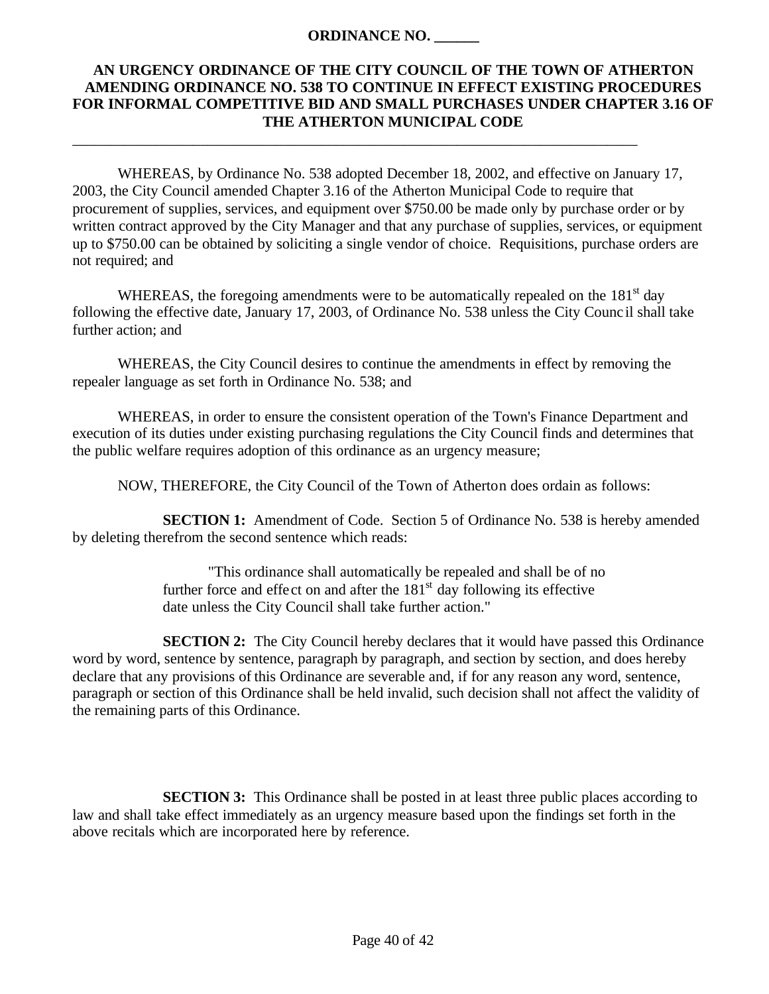#### **ORDINANCE NO. \_\_\_\_\_\_**

\_\_\_\_\_\_\_\_\_\_\_\_\_\_\_\_\_\_\_\_\_\_\_\_\_\_\_\_\_\_\_\_\_\_\_\_\_\_\_\_\_\_\_\_\_\_\_\_\_\_\_\_\_\_\_\_\_\_\_\_\_\_\_\_\_\_\_\_\_\_\_\_\_\_\_

#### **AN URGENCY ORDINANCE OF THE CITY COUNCIL OF THE TOWN OF ATHERTON AMENDING ORDINANCE NO. 538 TO CONTINUE IN EFFECT EXISTING PROCEDURES FOR INFORMAL COMPETITIVE BID AND SMALL PURCHASES UNDER CHAPTER 3.16 OF THE ATHERTON MUNICIPAL CODE**

WHEREAS, by Ordinance No. 538 adopted December 18, 2002, and effective on January 17, 2003, the City Council amended Chapter 3.16 of the Atherton Municipal Code to require that procurement of supplies, services, and equipment over \$750.00 be made only by purchase order or by written contract approved by the City Manager and that any purchase of supplies, services, or equipment up to \$750.00 can be obtained by soliciting a single vendor of choice. Requisitions, purchase orders are not required; and

WHEREAS, the foregoing amendments were to be automatically repealed on the  $181<sup>st</sup>$  day following the effective date, January 17, 2003, of Ordinance No. 538 unless the City Counc il shall take further action; and

WHEREAS, the City Council desires to continue the amendments in effect by removing the repealer language as set forth in Ordinance No. 538; and

WHEREAS, in order to ensure the consistent operation of the Town's Finance Department and execution of its duties under existing purchasing regulations the City Council finds and determines that the public welfare requires adoption of this ordinance as an urgency measure;

NOW, THEREFORE, the City Council of the Town of Atherton does ordain as follows:

**SECTION 1:** Amendment of Code. Section 5 of Ordinance No. 538 is hereby amended by deleting therefrom the second sentence which reads:

> "This ordinance shall automatically be repealed and shall be of no further force and effect on and after the  $181<sup>st</sup>$  day following its effective date unless the City Council shall take further action."

**SECTION 2:** The City Council hereby declares that it would have passed this Ordinance word by word, sentence by sentence, paragraph by paragraph, and section by section, and does hereby declare that any provisions of this Ordinance are severable and, if for any reason any word, sentence, paragraph or section of this Ordinance shall be held invalid, such decision shall not affect the validity of the remaining parts of this Ordinance.

**SECTION 3:** This Ordinance shall be posted in at least three public places according to law and shall take effect immediately as an urgency measure based upon the findings set forth in the above recitals which are incorporated here by reference.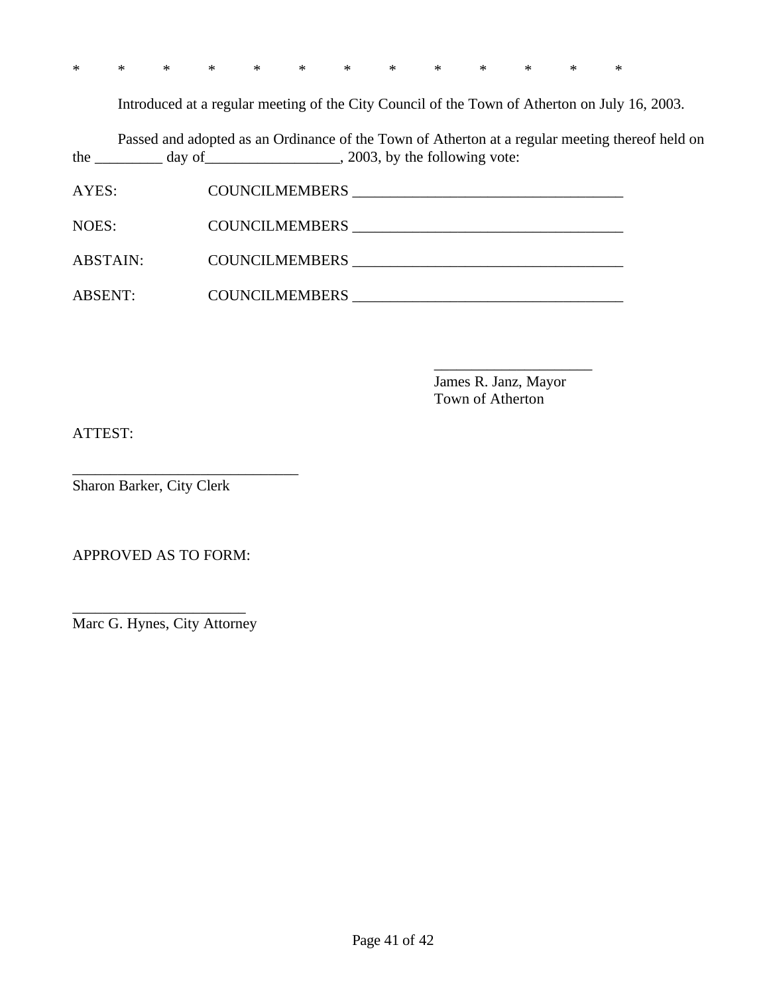| * * * * * * * * * * * * * |  |
|---------------------------|--|
|---------------------------|--|

Introduced at a regular meeting of the City Council of the Town of Atherton on July 16, 2003.

Passed and adopted as an Ordinance of the Town of Atherton at a regular meeting thereof held on the  $\frac{1}{\sqrt{2\pi}}$  day of  $\frac{1}{\sqrt{2\pi}}$ , 2003, by the following vote:

| AYES:           | <b>COUNCILMEMBERS</b> |
|-----------------|-----------------------|
| NOES:           | COUNCILMEMBERS        |
|                 |                       |
| <b>ABSTAIN:</b> | <b>COUNCILMEMBERS</b> |
| <b>ABSENT:</b>  | <b>COUNCILMEMBERS</b> |

James R. Janz, Mayor Town of Atherton

\_\_\_\_\_\_\_\_\_\_\_\_\_\_\_\_\_\_\_\_\_

ATTEST:

Sharon Barker, City Clerk

\_\_\_\_\_\_\_\_\_\_\_\_\_\_\_\_\_\_\_\_\_\_\_\_\_\_\_\_\_\_

APPROVED AS TO FORM:

\_\_\_\_\_\_\_\_\_\_\_\_\_\_\_\_\_\_\_\_\_\_\_ Marc G. Hynes, City Attorney